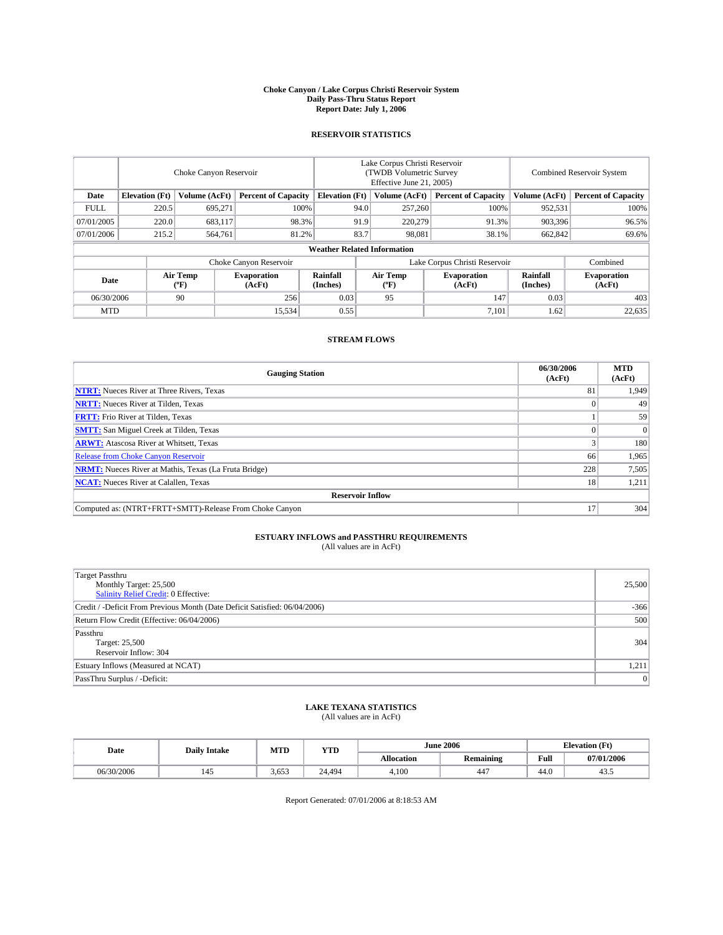#### **Choke Canyon / Lake Corpus Christi Reservoir System Daily Pass-Thru Status Report Report Date: July 1, 2006**

## **RESERVOIR STATISTICS**

|             | Choke Canyon Reservoir                                               |                  |                              |                      | Lake Corpus Christi Reservoir<br>(TWDB Volumetric Survey<br>Effective June 21, 2005) |                            |                               |                            | <b>Combined Reservoir System</b> |  |  |  |
|-------------|----------------------------------------------------------------------|------------------|------------------------------|----------------------|--------------------------------------------------------------------------------------|----------------------------|-------------------------------|----------------------------|----------------------------------|--|--|--|
| Date        | <b>Elevation</b> (Ft)<br>Volume (AcFt)<br><b>Percent of Capacity</b> |                  | <b>Elevation</b> (Ft)        |                      | Volume (AcFt)                                                                        | <b>Percent of Capacity</b> | Volume (AcFt)                 | <b>Percent of Capacity</b> |                                  |  |  |  |
| <b>FULL</b> | 220.5                                                                | 695.271          |                              | 100%                 | 94.0                                                                                 | 257,260                    | 100%                          | 952,531                    | 100%                             |  |  |  |
| 07/01/2005  | 220.0                                                                | 683,117          |                              | 98.3%                | 91.9                                                                                 | 220,279                    | 91.3%                         | 903.396                    | 96.5%                            |  |  |  |
| 07/01/2006  | 215.2                                                                | 564,761          |                              | 81.2%                | 83.7                                                                                 | 98.081                     | 38.1%                         | 662,842                    | 69.6%                            |  |  |  |
|             | <b>Weather Related Information</b>                                   |                  |                              |                      |                                                                                      |                            |                               |                            |                                  |  |  |  |
|             |                                                                      |                  | Choke Canyon Reservoir       |                      |                                                                                      |                            | Lake Corpus Christi Reservoir |                            | Combined                         |  |  |  |
| Date        |                                                                      | Air Temp<br>(°F) | <b>Evaporation</b><br>(AcFt) | Rainfall<br>(Inches) |                                                                                      | Air Temp<br>("F)           | <b>Evaporation</b><br>(AcFt)  | Rainfall<br>(Inches)       | <b>Evaporation</b><br>(AcFt)     |  |  |  |
| 06/30/2006  |                                                                      | 90               | 256                          | 0.03                 |                                                                                      | 95                         | 147                           | 0.03                       | 403                              |  |  |  |
| <b>MTD</b>  |                                                                      |                  | 15,534                       | 0.55                 |                                                                                      |                            | 7,101                         | 1.62                       | 22,635                           |  |  |  |

## **STREAM FLOWS**

| <b>Gauging Station</b>                                       | 06/30/2006<br>(AcFt) | <b>MTD</b><br>(AcFt) |
|--------------------------------------------------------------|----------------------|----------------------|
| <b>NTRT:</b> Nueces River at Three Rivers, Texas             | 81                   | 1,949                |
| <b>NRTT:</b> Nueces River at Tilden, Texas                   |                      | 49                   |
| <b>FRTT:</b> Frio River at Tilden, Texas                     |                      | 59                   |
| <b>SMTT:</b> San Miguel Creek at Tilden, Texas               |                      | $\overline{0}$       |
| <b>ARWT:</b> Atascosa River at Whitsett, Texas               |                      | 180                  |
| <b>Release from Choke Canyon Reservoir</b>                   | 66                   | 1,965                |
| <b>NRMT:</b> Nueces River at Mathis, Texas (La Fruta Bridge) | 228                  | 7,505                |
| <b>NCAT:</b> Nueces River at Calallen, Texas                 | 18                   | 1,211                |
| <b>Reservoir Inflow</b>                                      |                      |                      |
| Computed as: (NTRT+FRTT+SMTT)-Release From Choke Canyon      |                      | 304                  |

## **ESTUARY INFLOWS and PASSTHRU REQUIREMENTS**<br>(All values are in AcFt)

| <b>Target Passthru</b><br>Monthly Target: 25,500<br>Salinity Relief Credit: 0 Effective: | 25,500       |
|------------------------------------------------------------------------------------------|--------------|
| Credit / -Deficit From Previous Month (Date Deficit Satisfied: 06/04/2006)               | $-366$       |
| Return Flow Credit (Effective: 06/04/2006)                                               | 500          |
| Passthru<br>Target: 25,500<br>Reservoir Inflow: 304                                      | 304          |
| Estuary Inflows (Measured at NCAT)                                                       | 1,211        |
| PassThru Surplus / -Deficit:                                                             | $\mathbf{0}$ |

# **LAKE TEXANA STATISTICS** (All values are in AcFt)

| Date       | <b>Daily Intake</b> | MTD   | <b>YTD</b> |            | <b>June 2006</b>       |      | <b>Elevation</b> (Ft) |
|------------|---------------------|-------|------------|------------|------------------------|------|-----------------------|
|            |                     |       |            | Allocation | <b>Remaining</b>       | Full | 07/01/2006            |
| 06/30/2006 | 143                 | 3.653 | 24.494     | 4.100      | $\overline{a}$<br>-44. | 44.0 | 40.0                  |

Report Generated: 07/01/2006 at 8:18:53 AM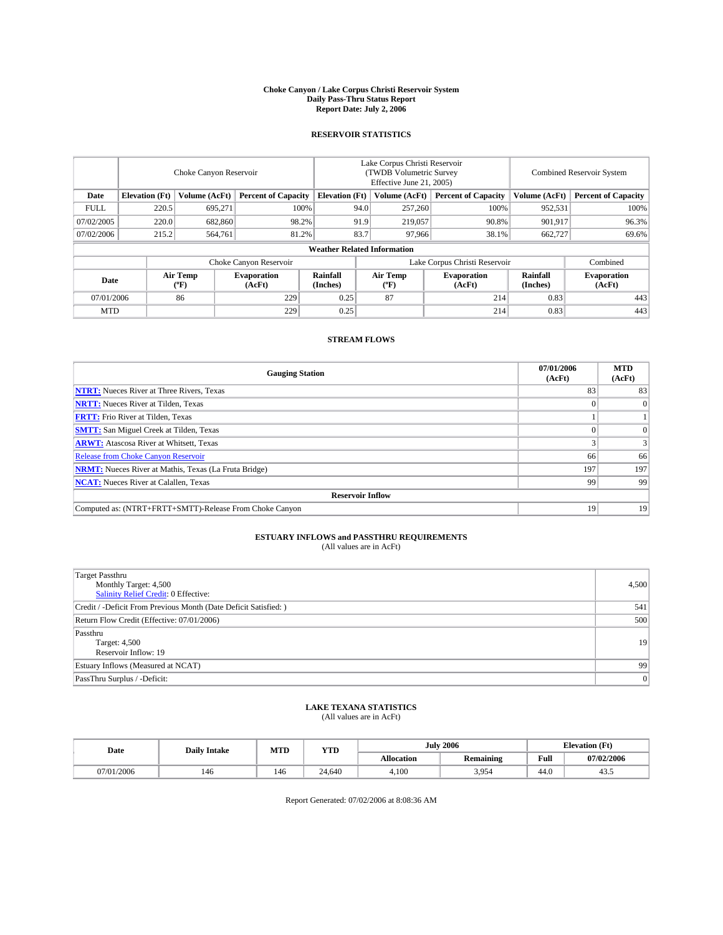#### **Choke Canyon / Lake Corpus Christi Reservoir System Daily Pass-Thru Status Report Report Date: July 2, 2006**

### **RESERVOIR STATISTICS**

|             | Choke Canyon Reservoir             |                                             |                              |                       | Lake Corpus Christi Reservoir<br>(TWDB Volumetric Survey<br>Effective June 21, 2005) |                  |                               |                      | <b>Combined Reservoir System</b> |  |  |  |
|-------------|------------------------------------|---------------------------------------------|------------------------------|-----------------------|--------------------------------------------------------------------------------------|------------------|-------------------------------|----------------------|----------------------------------|--|--|--|
| Date        | <b>Elevation</b> (Ft)              | Volume (AcFt)<br><b>Percent of Capacity</b> |                              | <b>Elevation</b> (Ft) |                                                                                      | Volume (AcFt)    | <b>Percent of Capacity</b>    | Volume (AcFt)        | <b>Percent of Capacity</b>       |  |  |  |
| <b>FULL</b> | 220.5                              | 695.271                                     |                              | 100%                  | 94.0                                                                                 | 257,260          | 100%                          | 952,531              | 100%                             |  |  |  |
| 07/02/2005  | 220.0                              | 682,860                                     | 98.2%                        |                       | 91.9                                                                                 | 219,057          | 90.8%                         | 901.917              | 96.3%                            |  |  |  |
| 07/02/2006  | 215.2                              | 564,761                                     | 81.2%                        |                       | 83.7                                                                                 | 97,966           | 38.1%                         | 662,727              | 69.6%                            |  |  |  |
|             | <b>Weather Related Information</b> |                                             |                              |                       |                                                                                      |                  |                               |                      |                                  |  |  |  |
|             |                                    |                                             | Choke Canyon Reservoir       |                       |                                                                                      |                  | Lake Corpus Christi Reservoir |                      | Combined                         |  |  |  |
| Date        |                                    | Air Temp<br>(°F)                            | <b>Evaporation</b><br>(AcFt) | Rainfall<br>(Inches)  |                                                                                      | Air Temp<br>("F) | <b>Evaporation</b><br>(AcFt)  | Rainfall<br>(Inches) | <b>Evaporation</b><br>(AcFt)     |  |  |  |
| 07/01/2006  |                                    | 86                                          | 229                          | 0.25                  |                                                                                      | 87               | 214                           | 0.83                 | 443                              |  |  |  |
| <b>MTD</b>  |                                    |                                             | 229                          | 0.25                  |                                                                                      |                  | 214                           | 0.83                 | 443                              |  |  |  |

## **STREAM FLOWS**

| <b>Gauging Station</b>                                       | 07/01/2006<br>(AcFt) | <b>MTD</b><br>(AcFt) |
|--------------------------------------------------------------|----------------------|----------------------|
| <b>NTRT:</b> Nueces River at Three Rivers, Texas             | 83                   | 83                   |
| <b>NRTT:</b> Nueces River at Tilden, Texas                   |                      | $\Omega$             |
| <b>FRTT:</b> Frio River at Tilden, Texas                     |                      |                      |
| <b>SMTT:</b> San Miguel Creek at Tilden, Texas               |                      | $\Omega$             |
| <b>ARWT:</b> Atascosa River at Whitsett, Texas               |                      | 3                    |
| <b>Release from Choke Canyon Reservoir</b>                   | 66                   | 66                   |
| <b>NRMT:</b> Nueces River at Mathis, Texas (La Fruta Bridge) | 197                  | 197                  |
| <b>NCAT:</b> Nueces River at Calallen, Texas                 | 99                   | 99                   |
| <b>Reservoir Inflow</b>                                      |                      |                      |
| Computed as: (NTRT+FRTT+SMTT)-Release From Choke Canyon      | 19                   | 19                   |

# **ESTUARY INFLOWS and PASSTHRU REQUIREMENTS**<br>(All values are in AcFt)

| <b>Target Passthru</b><br>Monthly Target: 4,500<br>Salinity Relief Credit: 0 Effective: | 4,500 |
|-----------------------------------------------------------------------------------------|-------|
| Credit / -Deficit From Previous Month (Date Deficit Satisfied: )                        | 541   |
| Return Flow Credit (Effective: 07/01/2006)                                              | 500   |
| Passthru<br>Target: 4,500<br>Reservoir Inflow: 19                                       | 19    |
| Estuary Inflows (Measured at NCAT)                                                      | 99    |
| PassThru Surplus / -Deficit:                                                            | 0     |

# **LAKE TEXANA STATISTICS** (All values are in AcFt)

|  | Date       | <b>Daily Intake</b> | MT T<br>IVI I L | <b>YTD</b> | July              | 2006             |      | <b>Elevation (Ft)</b> |
|--|------------|---------------------|-----------------|------------|-------------------|------------------|------|-----------------------|
|  |            |                     |                 |            | <b>Allocation</b> | <b>Remaining</b> | Full | 07/02/2006            |
|  | 07/01/2006 | 140                 | 146             | 24,640     | 4.100             | 3.954            | 44.0 | 40.0                  |

Report Generated: 07/02/2006 at 8:08:36 AM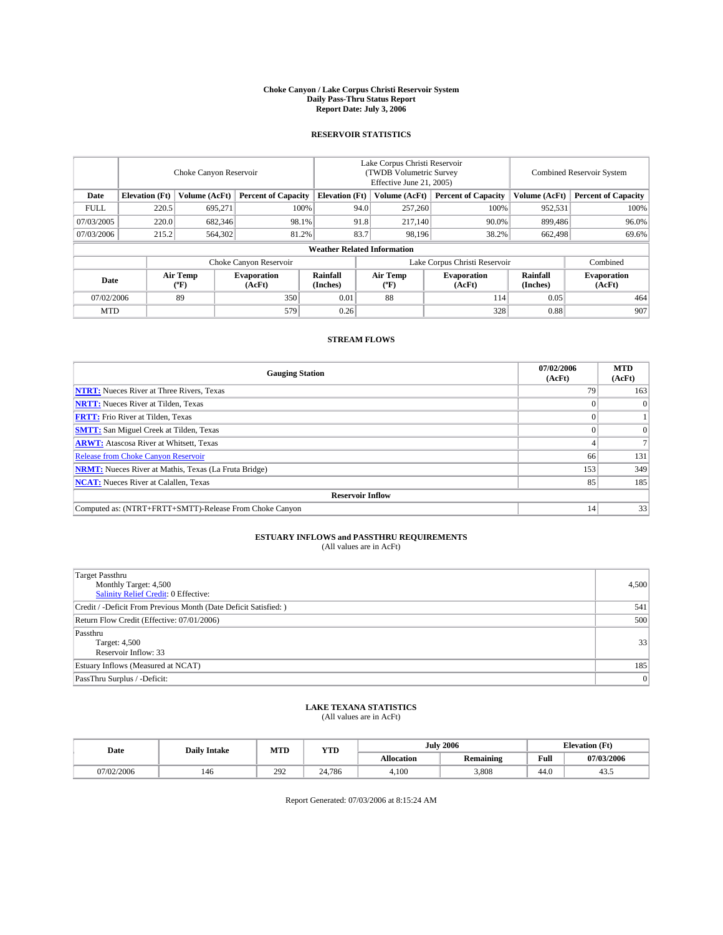#### **Choke Canyon / Lake Corpus Christi Reservoir System Daily Pass-Thru Status Report Report Date: July 3, 2006**

## **RESERVOIR STATISTICS**

|             | Choke Canyon Reservoir             |                  |                              |                       | Lake Corpus Christi Reservoir<br>(TWDB Volumetric Survey<br>Effective June 21, 2005) |                  |                               |                      | <b>Combined Reservoir System</b> |  |  |  |
|-------------|------------------------------------|------------------|------------------------------|-----------------------|--------------------------------------------------------------------------------------|------------------|-------------------------------|----------------------|----------------------------------|--|--|--|
| Date        | <b>Elevation</b> (Ft)              | Volume (AcFt)    | <b>Percent of Capacity</b>   | <b>Elevation</b> (Ft) |                                                                                      | Volume (AcFt)    | <b>Percent of Capacity</b>    | Volume (AcFt)        | <b>Percent of Capacity</b>       |  |  |  |
| <b>FULL</b> | 220.5                              | 695.271          |                              | 100%                  | 94.0                                                                                 | 257,260          | 100%                          | 952,531              | 100%                             |  |  |  |
| 07/03/2005  | 220.0                              | 682,346          | 98.1%                        |                       | 91.8                                                                                 | 217,140          | 90.0%                         | 899,486              | 96.0%                            |  |  |  |
| 07/03/2006  | 215.2                              | 564,302          | 81.2%                        |                       | 83.7                                                                                 | 98.196           | 38.2%                         | 662,498              | 69.6%                            |  |  |  |
|             | <b>Weather Related Information</b> |                  |                              |                       |                                                                                      |                  |                               |                      |                                  |  |  |  |
|             |                                    |                  | Choke Canyon Reservoir       |                       |                                                                                      |                  | Lake Corpus Christi Reservoir |                      | Combined                         |  |  |  |
| Date        |                                    | Air Temp<br>(°F) | <b>Evaporation</b><br>(AcFt) | Rainfall<br>(Inches)  |                                                                                      | Air Temp<br>("F) | <b>Evaporation</b><br>(AcFt)  | Rainfall<br>(Inches) | <b>Evaporation</b><br>(AcFt)     |  |  |  |
| 07/02/2006  |                                    | 89               | 350                          | 0.01                  |                                                                                      | 88               | 114                           | 0.05                 | 464                              |  |  |  |
| <b>MTD</b>  |                                    |                  | 579                          | 0.26                  |                                                                                      |                  | 328                           | 0.88                 | 907                              |  |  |  |

## **STREAM FLOWS**

| <b>Gauging Station</b>                                       | 07/02/2006<br>(AcFt) | <b>MTD</b><br>(AcFt) |
|--------------------------------------------------------------|----------------------|----------------------|
| <b>NTRT:</b> Nueces River at Three Rivers, Texas             | 79                   | 163                  |
| <b>NRTT:</b> Nueces River at Tilden, Texas                   |                      | $\Omega$             |
| <b>FRTT:</b> Frio River at Tilden, Texas                     |                      |                      |
| <b>SMTT:</b> San Miguel Creek at Tilden, Texas               |                      | $\overline{0}$       |
| <b>ARWT:</b> Atascosa River at Whitsett, Texas               |                      |                      |
| <b>Release from Choke Canyon Reservoir</b>                   | 66                   | 131                  |
| <b>NRMT:</b> Nueces River at Mathis, Texas (La Fruta Bridge) | 153                  | 349                  |
| <b>NCAT:</b> Nueces River at Calallen, Texas                 | 85                   | 185                  |
| <b>Reservoir Inflow</b>                                      |                      |                      |
| Computed as: (NTRT+FRTT+SMTT)-Release From Choke Canyon      | 14                   | 33                   |

## **ESTUARY INFLOWS and PASSTHRU REQUIREMENTS**<br>(All values are in AcFt)

| <b>Target Passthru</b><br>Monthly Target: 4,500<br>Salinity Relief Credit: 0 Effective: | 4,500 |
|-----------------------------------------------------------------------------------------|-------|
| Credit / -Deficit From Previous Month (Date Deficit Satisfied: )                        | 541   |
| Return Flow Credit (Effective: 07/01/2006)                                              | 500   |
| Passthru<br>Target: 4,500<br>Reservoir Inflow: 33                                       | 33    |
| Estuary Inflows (Measured at NCAT)                                                      | 185   |
| PassThru Surplus / -Deficit:                                                            | 0     |

# **LAKE TEXANA STATISTICS** (All values are in AcFt)

|  | Date       | <b>Daily Intake</b> | MT T<br>IVI I L | <b>YTD</b> | July              | 2006             |      | <b>Elevation (Ft)</b> |
|--|------------|---------------------|-----------------|------------|-------------------|------------------|------|-----------------------|
|  |            |                     |                 |            | <b>Allocation</b> | <b>Remaining</b> | Full | 07/03/2006            |
|  | 07/02/2006 | 140                 | 292             | 24,786     | 4.100             | 3.808            | 44.0 | $+5.5$                |

Report Generated: 07/03/2006 at 8:15:24 AM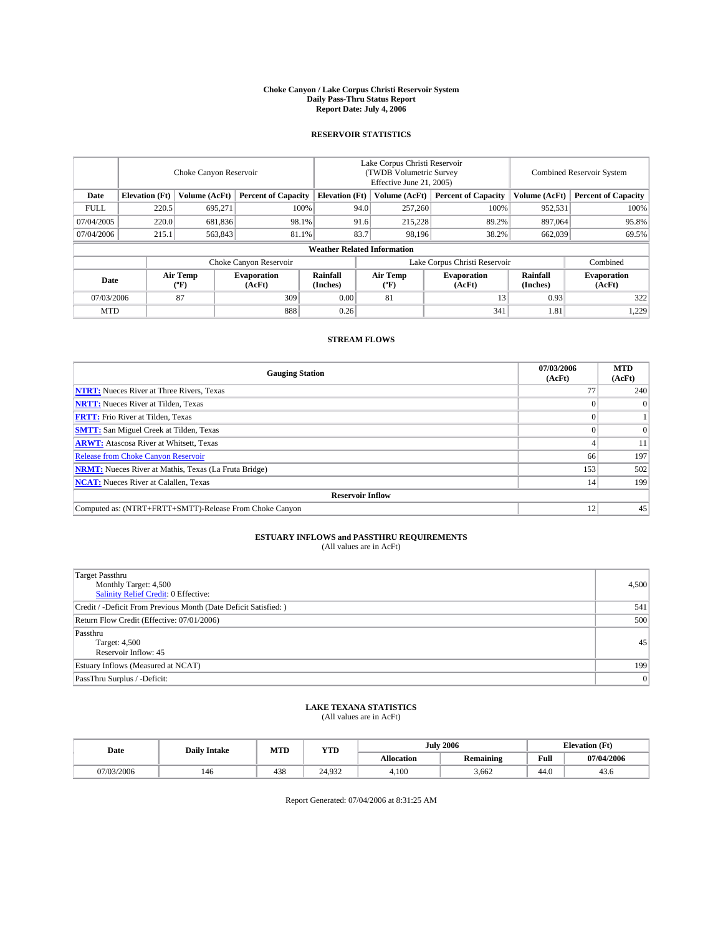#### **Choke Canyon / Lake Corpus Christi Reservoir System Daily Pass-Thru Status Report Report Date: July 4, 2006**

## **RESERVOIR STATISTICS**

|                                                                              | Choke Canyon Reservoir |                       |                              |                                    | Lake Corpus Christi Reservoir<br>(TWDB Volumetric Survey<br>Effective June 21, 2005) |                  |                               |                      | Combined Reservoir System    |  |  |
|------------------------------------------------------------------------------|------------------------|-----------------------|------------------------------|------------------------------------|--------------------------------------------------------------------------------------|------------------|-------------------------------|----------------------|------------------------------|--|--|
| <b>Elevation</b> (Ft)<br><b>Percent of Capacity</b><br>Date<br>Volume (AcFt) |                        | <b>Elevation</b> (Ft) |                              | Volume (AcFt)                      | <b>Percent of Capacity</b>                                                           | Volume (AcFt)    | <b>Percent of Capacity</b>    |                      |                              |  |  |
| <b>FULL</b>                                                                  | 220.5                  | 695,271               | 100%                         |                                    | 94.0                                                                                 | 257,260          | 100%                          | 952,531              | 100%                         |  |  |
| 07/04/2005                                                                   | 220.0                  | 681,836               | 98.1%                        |                                    | 91.6                                                                                 | 215,228          | 89.2%                         | 897,064              | 95.8%                        |  |  |
| 07/04/2006                                                                   | 215.1                  | 563,843               | 81.1%                        |                                    | 83.7                                                                                 | 98,196           | 38.2%                         | 662,039              | 69.5%                        |  |  |
|                                                                              |                        |                       |                              | <b>Weather Related Information</b> |                                                                                      |                  |                               |                      |                              |  |  |
|                                                                              |                        |                       | Choke Canyon Reservoir       |                                    |                                                                                      |                  | Lake Corpus Christi Reservoir |                      | Combined                     |  |  |
| Date                                                                         |                        | Air Temp<br>(°F)      | <b>Evaporation</b><br>(AcFt) | Rainfall<br>(Inches)               |                                                                                      | Air Temp<br>("F) | <b>Evaporation</b><br>(AcFt)  | Rainfall<br>(Inches) | <b>Evaporation</b><br>(AcFt) |  |  |
| 87<br>309<br>07/03/2006                                                      |                        | 0.00                  |                              | 81                                 | 13                                                                                   | 0.93             | 322                           |                      |                              |  |  |
| <b>MTD</b>                                                                   |                        |                       | 888                          | 0.26                               |                                                                                      |                  | 341                           | 1.81                 | 1,229                        |  |  |

## **STREAM FLOWS**

| <b>Gauging Station</b>                                       | 07/03/2006<br>(AcFt) | <b>MTD</b><br>(AcFt) |
|--------------------------------------------------------------|----------------------|----------------------|
| <b>NTRT:</b> Nueces River at Three Rivers, Texas             |                      | 240                  |
| <b>NRTT:</b> Nueces River at Tilden, Texas                   |                      | $\Omega$             |
| <b>FRTT:</b> Frio River at Tilden, Texas                     |                      |                      |
| <b>SMTT:</b> San Miguel Creek at Tilden, Texas               |                      | $\overline{0}$       |
| <b>ARWT:</b> Atascosa River at Whitsett, Texas               |                      | 11                   |
| <b>Release from Choke Canyon Reservoir</b>                   | 66                   | 197                  |
| <b>NRMT:</b> Nueces River at Mathis, Texas (La Fruta Bridge) | 153                  | 502                  |
| <b>NCAT:</b> Nueces River at Calallen, Texas                 | 14                   | 199                  |
| <b>Reservoir Inflow</b>                                      |                      |                      |
| Computed as: (NTRT+FRTT+SMTT)-Release From Choke Canyon      | 12                   | 45                   |

# **ESTUARY INFLOWS and PASSTHRU REQUIREMENTS**<br>(All values are in AcFt)

| <b>Target Passthru</b><br>Monthly Target: 4,500<br>Salinity Relief Credit: 0 Effective: | 4,500 |
|-----------------------------------------------------------------------------------------|-------|
| Credit / -Deficit From Previous Month (Date Deficit Satisfied: )                        | 541   |
| Return Flow Credit (Effective: 07/01/2006)                                              | 500   |
| Passthru<br>Target: 4,500<br>Reservoir Inflow: 45                                       | 45    |
| Estuary Inflows (Measured at NCAT)                                                      | 199   |
| PassThru Surplus / -Deficit:                                                            | 0     |

# **LAKE TEXANA STATISTICS** (All values are in AcFt)

|  | Date       | <b>Daily Intake</b> | MT T<br>IVI I L | <b>YTD</b>    | 2006<br>July      |                  |      | <b>Elevation (Ft)</b> |
|--|------------|---------------------|-----------------|---------------|-------------------|------------------|------|-----------------------|
|  |            |                     |                 |               | <b>Allocation</b> | <b>Remaining</b> | Full | 07/04/2006            |
|  | 07/03/2006 | 140                 | 438             | 032<br>24.932 | 4.100             | 3.662            | 44.0 | 45.0                  |

Report Generated: 07/04/2006 at 8:31:25 AM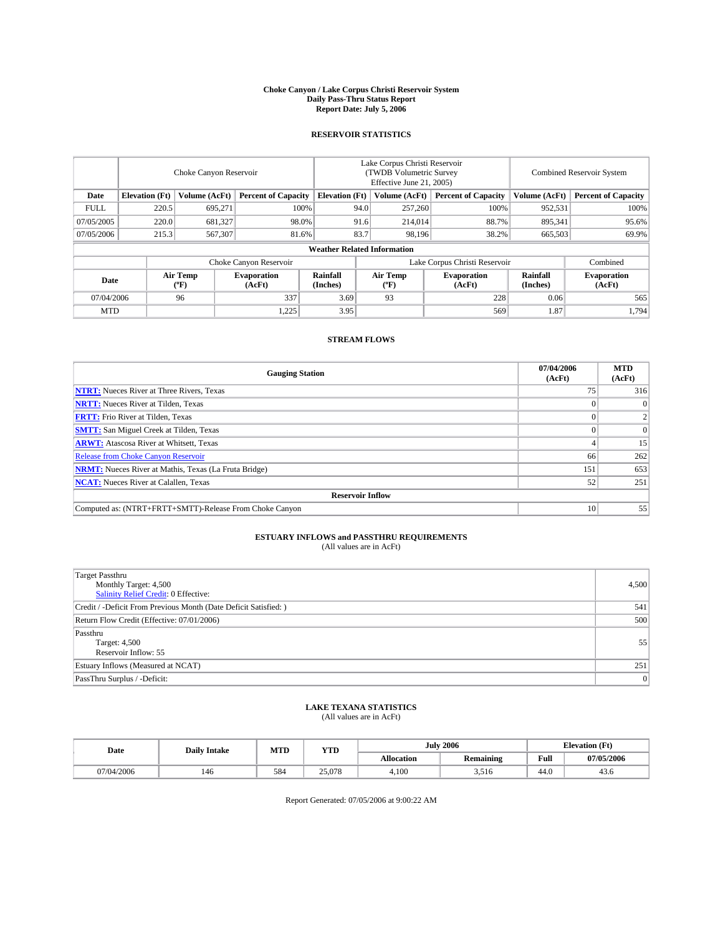#### **Choke Canyon / Lake Corpus Christi Reservoir System Daily Pass-Thru Status Report Report Date: July 5, 2006**

## **RESERVOIR STATISTICS**

|             | Choke Canyon Reservoir                                               |                  |                              |                      | Lake Corpus Christi Reservoir<br>(TWDB Volumetric Survey<br>Effective June 21, 2005) |                            |                               |                            | <b>Combined Reservoir System</b> |  |  |  |
|-------------|----------------------------------------------------------------------|------------------|------------------------------|----------------------|--------------------------------------------------------------------------------------|----------------------------|-------------------------------|----------------------------|----------------------------------|--|--|--|
| Date        | <b>Elevation</b> (Ft)<br>Volume (AcFt)<br><b>Percent of Capacity</b> |                  | <b>Elevation</b> (Ft)        |                      | Volume (AcFt)                                                                        | <b>Percent of Capacity</b> | Volume (AcFt)                 | <b>Percent of Capacity</b> |                                  |  |  |  |
| <b>FULL</b> | 220.5                                                                | 695.271          |                              | 100%                 | 94.0                                                                                 | 257,260                    | 100%                          | 952,531                    | 100%                             |  |  |  |
| 07/05/2005  | 220.0                                                                | 681,327          |                              | 98.0%                | 91.6                                                                                 | 214,014                    | 88.7%                         | 895,341                    | 95.6%                            |  |  |  |
| 07/05/2006  | 215.3                                                                | 567,307          |                              | 81.6%                | 83.7                                                                                 | 98.196                     | 38.2%                         | 665,503                    | 69.9%                            |  |  |  |
|             | <b>Weather Related Information</b>                                   |                  |                              |                      |                                                                                      |                            |                               |                            |                                  |  |  |  |
|             |                                                                      |                  | Choke Canyon Reservoir       |                      |                                                                                      |                            | Lake Corpus Christi Reservoir |                            | Combined                         |  |  |  |
| Date        |                                                                      | Air Temp<br>(°F) | <b>Evaporation</b><br>(AcFt) | Rainfall<br>(Inches) |                                                                                      | Air Temp<br>("F)           | <b>Evaporation</b><br>(AcFt)  | Rainfall<br>(Inches)       | <b>Evaporation</b><br>(AcFt)     |  |  |  |
| 07/04/2006  |                                                                      | 96               | 337                          | 3.69                 |                                                                                      | 93                         | 228                           | 0.06                       | 565                              |  |  |  |
| <b>MTD</b>  |                                                                      |                  | 1,225                        | 3.95                 |                                                                                      |                            | 569                           | 1.87                       | 1,794                            |  |  |  |

## **STREAM FLOWS**

| <b>Gauging Station</b>                                       | 07/04/2006<br>(AcFt) | <b>MTD</b><br>(AcFt) |
|--------------------------------------------------------------|----------------------|----------------------|
| <b>NTRT:</b> Nueces River at Three Rivers, Texas             |                      | 316                  |
| <b>NRTT:</b> Nueces River at Tilden, Texas                   |                      | $\Omega$             |
| <b>FRTT:</b> Frio River at Tilden, Texas                     |                      |                      |
| <b>SMTT:</b> San Miguel Creek at Tilden, Texas               |                      | $\Omega$             |
| <b>ARWT:</b> Atascosa River at Whitsett, Texas               |                      | 15                   |
| <b>Release from Choke Canyon Reservoir</b>                   | 66                   | 262                  |
| <b>NRMT:</b> Nueces River at Mathis, Texas (La Fruta Bridge) | 151                  | 653                  |
| <b>NCAT:</b> Nueces River at Calallen, Texas                 | 52                   | 251                  |
| <b>Reservoir Inflow</b>                                      |                      |                      |
| Computed as: (NTRT+FRTT+SMTT)-Release From Choke Canyon      | 10                   | 55                   |

## **ESTUARY INFLOWS and PASSTHRU REQUIREMENTS**<br>(All values are in AcFt)

| <b>Target Passthru</b><br>Monthly Target: 4,500<br>Salinity Relief Credit: 0 Effective: | 4,500 |
|-----------------------------------------------------------------------------------------|-------|
| Credit / -Deficit From Previous Month (Date Deficit Satisfied: )                        | 541   |
| Return Flow Credit (Effective: 07/01/2006)                                              | 500   |
| Passthru<br>Target: 4,500<br>Reservoir Inflow: 55                                       | 55    |
| Estuary Inflows (Measured at NCAT)                                                      | 251   |
| PassThru Surplus / -Deficit:                                                            | 0     |

# **LAKE TEXANA STATISTICS** (All values are in AcFt)

|  | Date       | <b>Daily Intake</b> | MTT<br>IVI I L | <b>YTD</b> | <b>July 2006</b>  |                                |      | <b>Elevation (Ft)</b> |
|--|------------|---------------------|----------------|------------|-------------------|--------------------------------|------|-----------------------|
|  |            |                     |                |            | <b>Allocation</b> | <b>Remaining</b>               | Full | 07/05/2006            |
|  | 07/04/2006 | 140                 | 584            | 25,078     | 4.100             | . <i>.</i> . <i>.</i><br>5.510 | 44.0 | 45.0                  |

Report Generated: 07/05/2006 at 9:00:22 AM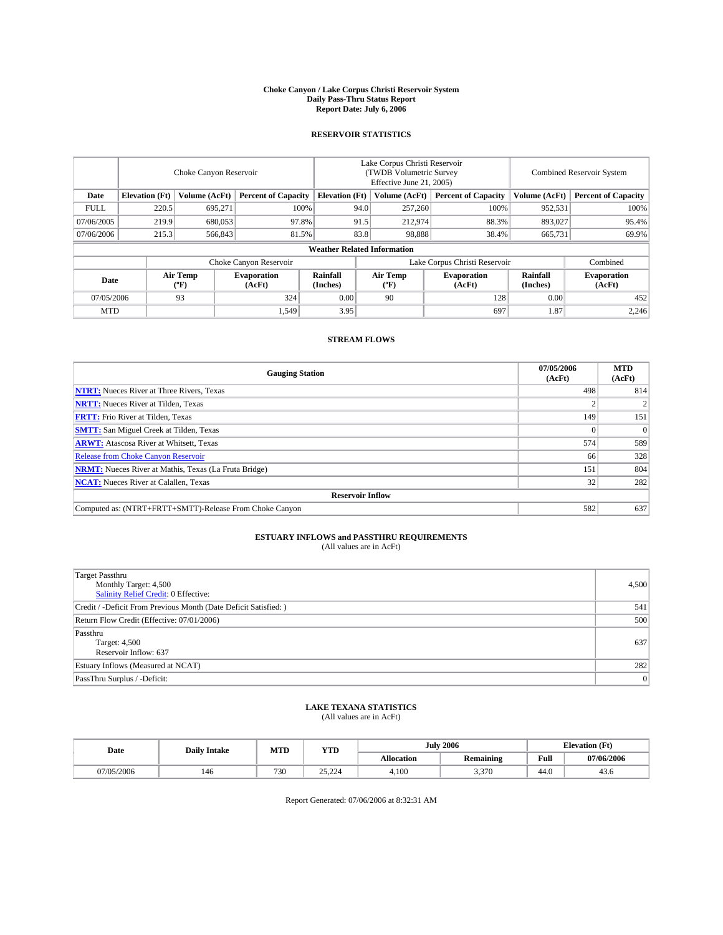#### **Choke Canyon / Lake Corpus Christi Reservoir System Daily Pass-Thru Status Report Report Date: July 6, 2006**

## **RESERVOIR STATISTICS**

|             | Choke Canyon Reservoir                                               |                  |                              |                      | Lake Corpus Christi Reservoir<br>(TWDB Volumetric Survey<br>Effective June 21, 2005) |                            |                               |                            | <b>Combined Reservoir System</b> |  |  |  |
|-------------|----------------------------------------------------------------------|------------------|------------------------------|----------------------|--------------------------------------------------------------------------------------|----------------------------|-------------------------------|----------------------------|----------------------------------|--|--|--|
| Date        | <b>Elevation</b> (Ft)<br>Volume (AcFt)<br><b>Percent of Capacity</b> |                  | <b>Elevation</b> (Ft)        |                      | Volume (AcFt)                                                                        | <b>Percent of Capacity</b> | Volume (AcFt)                 | <b>Percent of Capacity</b> |                                  |  |  |  |
| <b>FULL</b> | 220.5                                                                | 695.271          |                              | 100%                 | 94.0                                                                                 | 257,260                    | 100%                          | 952,531                    | 100%                             |  |  |  |
| 07/06/2005  | 219.9                                                                | 680,053          | 97.8%                        |                      | 91.5                                                                                 | 212,974                    | 88.3%                         | 893,027                    | 95.4%                            |  |  |  |
| 07/06/2006  | 215.3                                                                | 566,843          | 81.5%                        |                      | 83.8                                                                                 | 98.888                     | 38.4%                         | 665,731                    | 69.9%                            |  |  |  |
|             | <b>Weather Related Information</b>                                   |                  |                              |                      |                                                                                      |                            |                               |                            |                                  |  |  |  |
|             |                                                                      |                  | Choke Canyon Reservoir       |                      |                                                                                      |                            | Lake Corpus Christi Reservoir |                            | Combined                         |  |  |  |
| Date        |                                                                      | Air Temp<br>(°F) | <b>Evaporation</b><br>(AcFt) | Rainfall<br>(Inches) |                                                                                      | Air Temp<br>("F)           | <b>Evaporation</b><br>(AcFt)  | Rainfall<br>(Inches)       | <b>Evaporation</b><br>(AcFt)     |  |  |  |
| 07/05/2006  |                                                                      | 93               | 324                          | 0.00                 |                                                                                      | 90                         | 128                           | 0.00                       | 452                              |  |  |  |
| <b>MTD</b>  |                                                                      |                  | 1,549                        | 3.95                 |                                                                                      |                            | 697                           | 1.87                       | 2,246                            |  |  |  |

## **STREAM FLOWS**

| <b>Gauging Station</b>                                       | 07/05/2006<br>(AcFt) | <b>MTD</b><br>(AcFt) |
|--------------------------------------------------------------|----------------------|----------------------|
| <b>NTRT:</b> Nueces River at Three Rivers, Texas             | 498                  | 814                  |
| <b>NRTT:</b> Nueces River at Tilden, Texas                   |                      | 2                    |
| <b>FRTT:</b> Frio River at Tilden, Texas                     | 149                  | 151                  |
| <b>SMTT:</b> San Miguel Creek at Tilden, Texas               |                      | $\overline{0}$       |
| <b>ARWT:</b> Atascosa River at Whitsett, Texas               | 574                  | 589                  |
| <b>Release from Choke Canyon Reservoir</b>                   | 66                   | 328                  |
| <b>NRMT:</b> Nueces River at Mathis, Texas (La Fruta Bridge) | 151                  | 804                  |
| <b>NCAT:</b> Nueces River at Calallen, Texas                 | 32                   | 282                  |
| <b>Reservoir Inflow</b>                                      |                      |                      |
| Computed as: (NTRT+FRTT+SMTT)-Release From Choke Canyon      | 582                  | 637                  |

## **ESTUARY INFLOWS and PASSTHRU REQUIREMENTS**<br>(All values are in AcFt)

| <b>Target Passthru</b><br>Monthly Target: 4,500<br>Salinity Relief Credit: 0 Effective: | 4,500 |
|-----------------------------------------------------------------------------------------|-------|
| Credit / -Deficit From Previous Month (Date Deficit Satisfied: )                        | 541   |
| Return Flow Credit (Effective: 07/01/2006)                                              | 500   |
| Passthru<br>Target: 4,500<br>Reservoir Inflow: 637                                      | 637   |
| Estuary Inflows (Measured at NCAT)                                                      | 282   |
| PassThru Surplus / -Deficit:                                                            | 0     |

# **LAKE TEXANA STATISTICS** (All values are in AcFt)

|  | Date       | <b>Daily Intake</b> | MT T<br>IVI I L | <b>YTD</b>                        |                   | 2006<br>July     |      | <b>Elevation (Ft)</b> |
|--|------------|---------------------|-----------------|-----------------------------------|-------------------|------------------|------|-----------------------|
|  |            |                     |                 |                                   | <b>Allocation</b> | <b>Remaining</b> | Full | 07/06/2006            |
|  | 07/05/2006 | 140                 | 730             | $\cap \subset$<br>$\sim$<br>----- | 4.100             | 3.370            | 44.0 | 45.0                  |

Report Generated: 07/06/2006 at 8:32:31 AM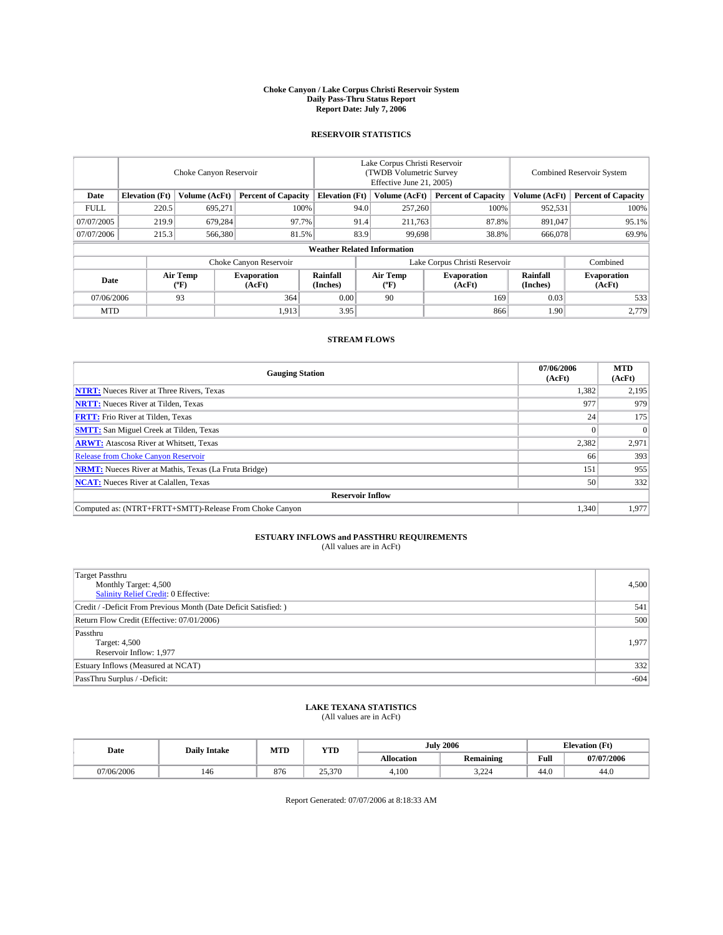#### **Choke Canyon / Lake Corpus Christi Reservoir System Daily Pass-Thru Status Report Report Date: July 7, 2006**

## **RESERVOIR STATISTICS**

|             | Choke Canyon Reservoir                                               |                  |                              |                                    | Lake Corpus Christi Reservoir<br>(TWDB Volumetric Survey<br>Effective June 21, 2005) |                            |                               |                            | Combined Reservoir System    |  |  |
|-------------|----------------------------------------------------------------------|------------------|------------------------------|------------------------------------|--------------------------------------------------------------------------------------|----------------------------|-------------------------------|----------------------------|------------------------------|--|--|
| Date        | <b>Elevation</b> (Ft)<br>Volume (AcFt)<br><b>Percent of Capacity</b> |                  | <b>Elevation</b> (Ft)        |                                    | Volume (AcFt)                                                                        | <b>Percent of Capacity</b> | Volume (AcFt)                 | <b>Percent of Capacity</b> |                              |  |  |
| <b>FULL</b> | 220.5                                                                | 695.271          | 100%                         |                                    | 94.0                                                                                 | 257,260                    | 100%                          | 952,531                    | 100%                         |  |  |
| 07/07/2005  | 219.9                                                                | 679.284          | 97.7%                        |                                    | 91.4                                                                                 | 211,763                    | 87.8%                         | 891,047                    | 95.1%                        |  |  |
| 07/07/2006  | 215.3                                                                | 566,380          | 81.5%                        |                                    | 83.9                                                                                 | 99,698                     | 38.8%                         | 666,078                    | 69.9%                        |  |  |
|             |                                                                      |                  |                              | <b>Weather Related Information</b> |                                                                                      |                            |                               |                            |                              |  |  |
|             |                                                                      |                  | Choke Canyon Reservoir       |                                    |                                                                                      |                            | Lake Corpus Christi Reservoir |                            | Combined                     |  |  |
| Date        |                                                                      | Air Temp<br>(°F) | <b>Evaporation</b><br>(AcFt) | Rainfall<br>(Inches)               |                                                                                      | Air Temp<br>("F)           | <b>Evaporation</b><br>(AcFt)  | Rainfall<br>(Inches)       | <b>Evaporation</b><br>(AcFt) |  |  |
| 07/06/2006  |                                                                      | 93               | 364                          | 0.00                               |                                                                                      | 90                         | 169                           | 0.03                       | 533                          |  |  |
| <b>MTD</b>  |                                                                      |                  | 1,913                        | 3.95                               |                                                                                      |                            | 866                           | 1.90                       | 2,779                        |  |  |

## **STREAM FLOWS**

| <b>Gauging Station</b>                                       | 07/06/2006<br>(AcFt) | <b>MTD</b><br>(AcFt) |
|--------------------------------------------------------------|----------------------|----------------------|
| <b>NTRT:</b> Nueces River at Three Rivers, Texas             | 1,382                | 2,195                |
| <b>NRTT:</b> Nueces River at Tilden, Texas                   | 977                  | 979                  |
| <b>FRTT:</b> Frio River at Tilden, Texas                     | 24                   | 175                  |
| <b>SMTT:</b> San Miguel Creek at Tilden, Texas               |                      | $\Omega$             |
| <b>ARWT:</b> Atascosa River at Whitsett, Texas               | 2,382                | 2,971                |
| <b>Release from Choke Canyon Reservoir</b>                   | 66                   | 393                  |
| <b>NRMT:</b> Nueces River at Mathis, Texas (La Fruta Bridge) | 151                  | 955                  |
| <b>NCAT:</b> Nueces River at Calallen, Texas                 | 50                   | 332                  |
| <b>Reservoir Inflow</b>                                      |                      |                      |
| Computed as: (NTRT+FRTT+SMTT)-Release From Choke Canyon      | 1,340                | 1,977                |

# **ESTUARY INFLOWS and PASSTHRU REQUIREMENTS**<br>(All values are in AcFt)

| <b>Target Passthru</b><br>Monthly Target: 4,500<br>Salinity Relief Credit: 0 Effective: | 4,500  |
|-----------------------------------------------------------------------------------------|--------|
| Credit / -Deficit From Previous Month (Date Deficit Satisfied: )                        | 541    |
| Return Flow Credit (Effective: 07/01/2006)                                              | 500    |
| Passthru<br>Target: 4,500<br>Reservoir Inflow: 1,977                                    | 1,977  |
| Estuary Inflows (Measured at NCAT)                                                      | 332    |
| PassThru Surplus / -Deficit:                                                            | $-604$ |

# **LAKE TEXANA STATISTICS** (All values are in AcFt)

|  | Date       | <b>Daily Intake</b> | MTT<br>IVI I L | <b>YTD</b> | 2006<br>July      |                  |      | <b>Elevation (Ft)</b> |
|--|------------|---------------------|----------------|------------|-------------------|------------------|------|-----------------------|
|  |            |                     |                |            | <b>Allocation</b> | <b>Remaining</b> | Full | 07/07/2006            |
|  | 07/06/2006 | 140                 | 876            | 25,370     | 4.100             | 2.221<br>----    | 44.0 | 44.0                  |

Report Generated: 07/07/2006 at 8:18:33 AM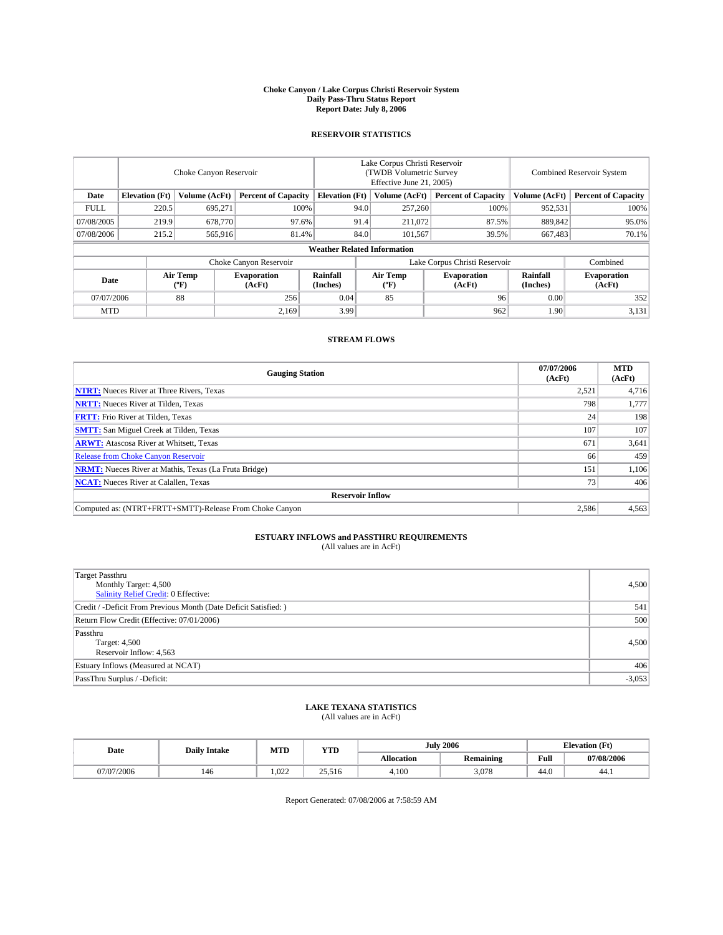#### **Choke Canyon / Lake Corpus Christi Reservoir System Daily Pass-Thru Status Report Report Date: July 8, 2006**

## **RESERVOIR STATISTICS**

|                                                                              | Choke Canyon Reservoir             |                       |                              |                      | Lake Corpus Christi Reservoir<br>(TWDB Volumetric Survey<br>Effective June 21, 2005) |                  |                               |                      | <b>Combined Reservoir System</b> |  |  |  |
|------------------------------------------------------------------------------|------------------------------------|-----------------------|------------------------------|----------------------|--------------------------------------------------------------------------------------|------------------|-------------------------------|----------------------|----------------------------------|--|--|--|
| <b>Elevation</b> (Ft)<br>Volume (AcFt)<br><b>Percent of Capacity</b><br>Date |                                    | <b>Elevation</b> (Ft) |                              | Volume (AcFt)        | <b>Percent of Capacity</b>                                                           | Volume (AcFt)    | <b>Percent of Capacity</b>    |                      |                                  |  |  |  |
| <b>FULL</b>                                                                  | 220.5                              | 695.271               |                              | 100%                 | 94.0                                                                                 | 257,260          | 100%                          | 952,531              | 100%                             |  |  |  |
| 07/08/2005                                                                   | 219.9                              | 678,770               | 97.6%                        |                      | 91.4                                                                                 | 211,072          | 87.5%                         | 889.842              | 95.0%                            |  |  |  |
| 07/08/2006                                                                   | 215.2                              | 565,916               | 81.4%                        |                      | 84.0                                                                                 | 101,567          | 39.5%                         | 667,483              | $70.1\%$                         |  |  |  |
|                                                                              | <b>Weather Related Information</b> |                       |                              |                      |                                                                                      |                  |                               |                      |                                  |  |  |  |
|                                                                              |                                    |                       | Choke Canyon Reservoir       |                      |                                                                                      |                  | Lake Corpus Christi Reservoir |                      | Combined                         |  |  |  |
| Date                                                                         |                                    | Air Temp<br>(°F)      | <b>Evaporation</b><br>(AcFt) | Rainfall<br>(Inches) |                                                                                      | Air Temp<br>("F) | <b>Evaporation</b><br>(AcFt)  | Rainfall<br>(Inches) | <b>Evaporation</b><br>(AcFt)     |  |  |  |
| 07/07/2006                                                                   |                                    | 88                    | 256                          | 0.04                 |                                                                                      | 85               | 96                            | 0.00                 | 352                              |  |  |  |
| <b>MTD</b>                                                                   |                                    |                       | 2,169                        | 3.99                 |                                                                                      |                  | 962                           | 1.90                 | 3,131                            |  |  |  |

## **STREAM FLOWS**

| <b>Gauging Station</b>                                       | 07/07/2006<br>(AcFt) | <b>MTD</b><br>(AcFt) |
|--------------------------------------------------------------|----------------------|----------------------|
| <b>NTRT:</b> Nueces River at Three Rivers, Texas             | 2,521                | 4,716                |
| <b>NRTT:</b> Nueces River at Tilden, Texas                   | 798                  | 1,777                |
| <b>FRTT:</b> Frio River at Tilden, Texas                     | 24                   | 198                  |
| <b>SMTT:</b> San Miguel Creek at Tilden, Texas               | 107                  | 107                  |
| <b>ARWT:</b> Atascosa River at Whitsett, Texas               | 671                  | 3,641                |
| <b>Release from Choke Canyon Reservoir</b>                   | 66                   | 459                  |
| <b>NRMT:</b> Nueces River at Mathis, Texas (La Fruta Bridge) | 151                  | 1,106                |
| <b>NCAT:</b> Nueces River at Calallen, Texas                 | 73                   | 406                  |
| <b>Reservoir Inflow</b>                                      |                      |                      |
| Computed as: (NTRT+FRTT+SMTT)-Release From Choke Canyon      | 2,586                | 4,563                |

# **ESTUARY INFLOWS and PASSTHRU REQUIREMENTS**<br>(All values are in AcFt)

| <b>Target Passthru</b><br>Monthly Target: 4,500<br>Salinity Relief Credit: 0 Effective: | 4,500    |
|-----------------------------------------------------------------------------------------|----------|
| Credit / -Deficit From Previous Month (Date Deficit Satisfied: )                        | 541      |
| Return Flow Credit (Effective: 07/01/2006)                                              | 500      |
| Passthru<br>Target: 4,500<br>Reservoir Inflow: 4,563                                    | 4,500    |
| Estuary Inflows (Measured at NCAT)                                                      | 406      |
| PassThru Surplus / -Deficit:                                                            | $-3,053$ |

# **LAKE TEXANA STATISTICS** (All values are in AcFt)

|  | Date       | <b>Daily Intake</b> | MTT<br>IVI I L | <b>YTD</b>      |                   | 2006<br>July     |      | <b>Elevation (Ft)</b> |
|--|------------|---------------------|----------------|-----------------|-------------------|------------------|------|-----------------------|
|  |            |                     |                |                 | <b>Allocation</b> | <b>Remaining</b> | Full | 07/08/2006            |
|  | 07/07/2006 | 140                 | .022           | 25516<br>29.910 | 4.100             | 3.078            | 44.0 | 44.1                  |

Report Generated: 07/08/2006 at 7:58:59 AM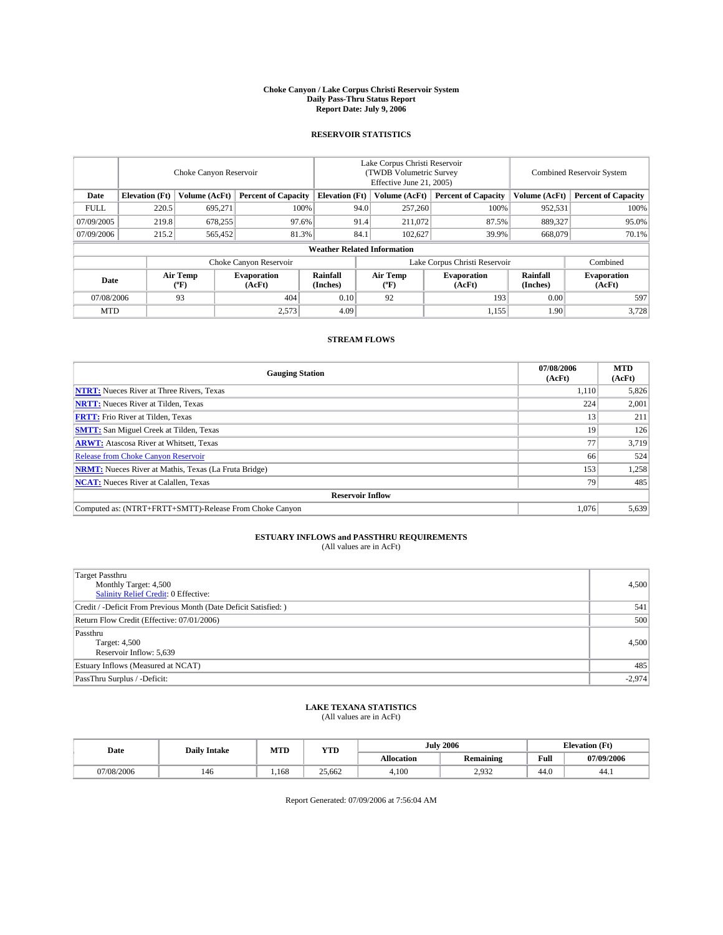#### **Choke Canyon / Lake Corpus Christi Reservoir System Daily Pass-Thru Status Report Report Date: July 9, 2006**

## **RESERVOIR STATISTICS**

|             | Choke Canyon Reservoir                                               |                  |                              |                      | Lake Corpus Christi Reservoir<br>(TWDB Volumetric Survey<br>Effective June 21, 2005) |                            |                               |                            | <b>Combined Reservoir System</b> |  |  |  |
|-------------|----------------------------------------------------------------------|------------------|------------------------------|----------------------|--------------------------------------------------------------------------------------|----------------------------|-------------------------------|----------------------------|----------------------------------|--|--|--|
| Date        | <b>Elevation</b> (Ft)<br>Volume (AcFt)<br><b>Percent of Capacity</b> |                  | <b>Elevation</b> (Ft)        |                      | Volume (AcFt)                                                                        | <b>Percent of Capacity</b> | Volume (AcFt)                 | <b>Percent of Capacity</b> |                                  |  |  |  |
| <b>FULL</b> | 220.5                                                                | 695.271          | 100%                         |                      | 94.0                                                                                 | 257,260                    | 100%                          | 952,531                    | 100%                             |  |  |  |
| 07/09/2005  | 219.8                                                                | 678,255          | 97.6%                        |                      | 91.4                                                                                 | 211,072                    | 87.5%                         | 889,327                    | 95.0%                            |  |  |  |
| 07/09/2006  | 215.2                                                                | 565,452          | 81.3%                        |                      | 84.1                                                                                 | 102,627                    | 39.9%                         | 668,079                    | $70.1\%$                         |  |  |  |
|             | <b>Weather Related Information</b>                                   |                  |                              |                      |                                                                                      |                            |                               |                            |                                  |  |  |  |
|             |                                                                      |                  | Choke Canyon Reservoir       |                      |                                                                                      |                            | Lake Corpus Christi Reservoir |                            | Combined                         |  |  |  |
| Date        |                                                                      | Air Temp<br>(°F) | <b>Evaporation</b><br>(AcFt) | Rainfall<br>(Inches) |                                                                                      | Air Temp<br>("F)           | <b>Evaporation</b><br>(AcFt)  | Rainfall<br>(Inches)       | <b>Evaporation</b><br>(AcFt)     |  |  |  |
| 07/08/2006  |                                                                      | 93               | 404                          | 0.10                 |                                                                                      | 92                         | 193                           | 0.00                       | 597                              |  |  |  |
| <b>MTD</b>  |                                                                      |                  | 2,573                        | 4.09                 |                                                                                      |                            | 1,155                         | 1.90                       | 3,728                            |  |  |  |

## **STREAM FLOWS**

| <b>Gauging Station</b>                                       | 07/08/2006<br>(AcFt) | <b>MTD</b><br>(AcFt) |
|--------------------------------------------------------------|----------------------|----------------------|
| <b>NTRT:</b> Nueces River at Three Rivers, Texas             | 1,110                | 5,826                |
| <b>NRTT:</b> Nueces River at Tilden, Texas                   | 224                  | 2,001                |
| <b>FRTT:</b> Frio River at Tilden, Texas                     | 13                   | 211                  |
| <b>SMTT:</b> San Miguel Creek at Tilden, Texas               | 19                   | 126                  |
| <b>ARWT:</b> Atascosa River at Whitsett, Texas               |                      | 3,719                |
| <b>Release from Choke Canyon Reservoir</b>                   | 66                   | 524                  |
| <b>NRMT:</b> Nueces River at Mathis, Texas (La Fruta Bridge) | 153                  | 1,258                |
| <b>NCAT:</b> Nueces River at Calallen, Texas                 | 79                   | 485                  |
| <b>Reservoir Inflow</b>                                      |                      |                      |
| Computed as: (NTRT+FRTT+SMTT)-Release From Choke Canyon      | 1,076                | 5,639                |

# **ESTUARY INFLOWS and PASSTHRU REQUIREMENTS**<br>(All values are in AcFt)

| Target Passthru<br>Monthly Target: 4,500<br>Salinity Relief Credit: 0 Effective: | 4,500    |
|----------------------------------------------------------------------------------|----------|
| Credit / -Deficit From Previous Month (Date Deficit Satisfied: )                 | 541      |
| Return Flow Credit (Effective: 07/01/2006)                                       | 500      |
| Passthru<br>Target: 4,500<br>Reservoir Inflow: 5,639                             | 4.500    |
| Estuary Inflows (Measured at NCAT)                                               | 485      |
| PassThru Surplus / -Deficit:                                                     | $-2,974$ |

# **LAKE TEXANA STATISTICS** (All values are in AcFt)

|  | Date       | <b>Daily Intake</b> | MTT<br>IVI I L | <b>YTD</b> | July              | 2006             |      | <b>Elevation (Ft)</b> |
|--|------------|---------------------|----------------|------------|-------------------|------------------|------|-----------------------|
|  |            |                     |                |            | <b>Allocation</b> | <b>Remaining</b> | Full | 07/09/2006            |
|  | 07/08/2006 | 140                 | .168           | 25.662     | 4.100             | 2.032<br>ے درجے  | 44.0 | 44.1                  |

Report Generated: 07/09/2006 at 7:56:04 AM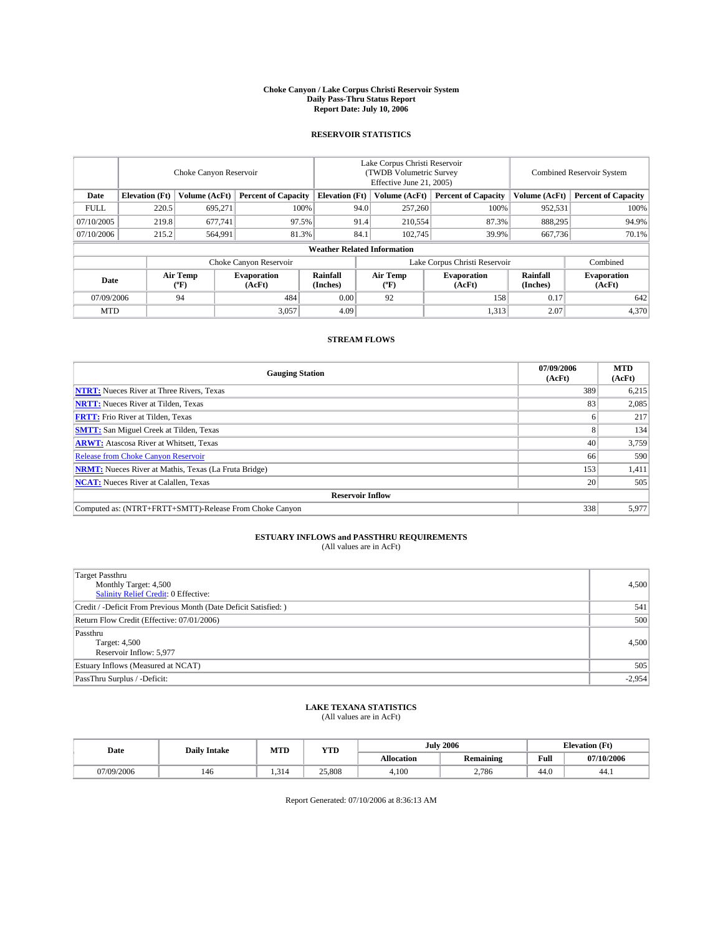#### **Choke Canyon / Lake Corpus Christi Reservoir System Daily Pass-Thru Status Report Report Date: July 10, 2006**

## **RESERVOIR STATISTICS**

|                                                                              | Choke Canyon Reservoir             |                       |                              |                      | Lake Corpus Christi Reservoir<br>(TWDB Volumetric Survey<br>Effective June 21, 2005) |                  |                               |                      | <b>Combined Reservoir System</b> |  |  |  |
|------------------------------------------------------------------------------|------------------------------------|-----------------------|------------------------------|----------------------|--------------------------------------------------------------------------------------|------------------|-------------------------------|----------------------|----------------------------------|--|--|--|
| <b>Elevation</b> (Ft)<br>Volume (AcFt)<br><b>Percent of Capacity</b><br>Date |                                    | <b>Elevation</b> (Ft) |                              | Volume (AcFt)        | <b>Percent of Capacity</b>                                                           | Volume (AcFt)    | <b>Percent of Capacity</b>    |                      |                                  |  |  |  |
| <b>FULL</b>                                                                  | 220.5                              | 695.271               |                              | 100%                 | 94.0                                                                                 | 257,260          | 100%                          | 952,531              | 100%                             |  |  |  |
| 07/10/2005                                                                   | 219.8                              | 677.741               | 97.5%                        |                      | 91.4                                                                                 | 210,554          | 87.3%                         | 888.295              | 94.9%                            |  |  |  |
| 07/10/2006                                                                   | 215.2                              | 564,991               | 81.3%                        |                      | 84.1                                                                                 | 102.745          | 39.9%                         | 667,736              | 70.1%                            |  |  |  |
|                                                                              | <b>Weather Related Information</b> |                       |                              |                      |                                                                                      |                  |                               |                      |                                  |  |  |  |
|                                                                              |                                    |                       | Choke Canyon Reservoir       |                      |                                                                                      |                  | Lake Corpus Christi Reservoir |                      | Combined                         |  |  |  |
| Date                                                                         |                                    | Air Temp<br>(°F)      | <b>Evaporation</b><br>(AcFt) | Rainfall<br>(Inches) |                                                                                      | Air Temp<br>("F) | <b>Evaporation</b><br>(AcFt)  | Rainfall<br>(Inches) | <b>Evaporation</b><br>(AcFt)     |  |  |  |
| 07/09/2006                                                                   |                                    | 94                    | 484                          | 0.00                 |                                                                                      | 92               | 158                           | 0.17                 | 642                              |  |  |  |
| <b>MTD</b>                                                                   |                                    |                       | 3,057                        | 4.09                 |                                                                                      |                  | 1,313                         | 2.07                 | 4,370                            |  |  |  |

## **STREAM FLOWS**

| <b>Gauging Station</b>                                       | 07/09/2006<br>(AcFt) | <b>MTD</b><br>(AcFt) |
|--------------------------------------------------------------|----------------------|----------------------|
| <b>NTRT:</b> Nueces River at Three Rivers, Texas             | 389                  | 6,215                |
| <b>NRTT:</b> Nueces River at Tilden, Texas                   | 83                   | 2,085                |
| <b>FRTT:</b> Frio River at Tilden, Texas                     |                      | 217                  |
| <b>SMTT:</b> San Miguel Creek at Tilden, Texas               |                      | 134                  |
| <b>ARWT:</b> Atascosa River at Whitsett, Texas               | 40                   | 3,759                |
| <b>Release from Choke Canyon Reservoir</b>                   | 66                   | 590                  |
| <b>NRMT:</b> Nueces River at Mathis, Texas (La Fruta Bridge) | 153                  | 1,411                |
| <b>NCAT:</b> Nueces River at Calallen, Texas                 | 20                   | 505                  |
| <b>Reservoir Inflow</b>                                      |                      |                      |
| Computed as: (NTRT+FRTT+SMTT)-Release From Choke Canyon      | 338                  | 5,977                |

# **ESTUARY INFLOWS and PASSTHRU REQUIREMENTS**<br>(All values are in AcFt)

| Target Passthru<br>Monthly Target: 4,500<br>Salinity Relief Credit: 0 Effective: | 4,500    |
|----------------------------------------------------------------------------------|----------|
| Credit / -Deficit From Previous Month (Date Deficit Satisfied: )                 | 541      |
| Return Flow Credit (Effective: 07/01/2006)                                       | 500      |
| Passthru<br>Target: 4,500<br>Reservoir Inflow: 5,977                             | 4.500    |
| Estuary Inflows (Measured at NCAT)                                               | 505      |
| PassThru Surplus / -Deficit:                                                     | $-2,954$ |

# **LAKE TEXANA STATISTICS** (All values are in AcFt)

|  | Date       | <b>Daily Intake</b> | MTT<br>IVI I L | <b>YTD</b> | 2006<br>July      |                  |      | <b>Elevation (Ft)</b> |
|--|------------|---------------------|----------------|------------|-------------------|------------------|------|-----------------------|
|  |            |                     |                |            | <b>Allocation</b> | <b>Remaining</b> | Full | 07/10/2006            |
|  | 07/09/2006 | 140                 | 314            | 25,808     | 4.100             | 2.786            | 44.0 | 44.1                  |

Report Generated: 07/10/2006 at 8:36:13 AM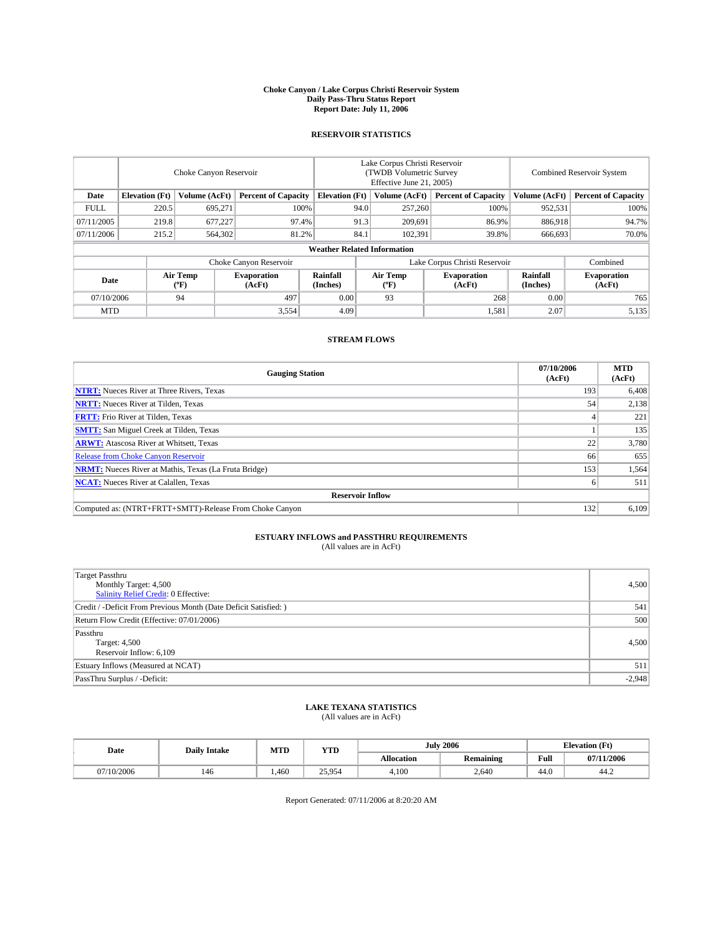#### **Choke Canyon / Lake Corpus Christi Reservoir System Daily Pass-Thru Status Report Report Date: July 11, 2006**

## **RESERVOIR STATISTICS**

|             | Choke Canyon Reservoir                                               |                  |                              |                                    | Lake Corpus Christi Reservoir<br>(TWDB Volumetric Survey<br>Effective June 21, 2005) |                            |                               |                            | Combined Reservoir System    |  |  |
|-------------|----------------------------------------------------------------------|------------------|------------------------------|------------------------------------|--------------------------------------------------------------------------------------|----------------------------|-------------------------------|----------------------------|------------------------------|--|--|
| Date        | <b>Elevation</b> (Ft)<br>Volume (AcFt)<br><b>Percent of Capacity</b> |                  | <b>Elevation</b> (Ft)        |                                    | Volume (AcFt)                                                                        | <b>Percent of Capacity</b> | Volume (AcFt)                 | <b>Percent of Capacity</b> |                              |  |  |
| <b>FULL</b> | 220.5                                                                | 695.271          | 100%                         |                                    | 94.0                                                                                 | 257,260                    | 100%                          | 952,531                    | 100%                         |  |  |
| 07/11/2005  | 219.8                                                                | 677,227          | 97.4%                        |                                    | 91.3                                                                                 | 209,691                    | 86.9%                         | 886.918                    | 94.7%                        |  |  |
| 07/11/2006  | 215.2                                                                | 564,302          | 81.2%                        |                                    | 84.1                                                                                 | 102,391                    | 39.8%                         | 666,693                    | 70.0%                        |  |  |
|             |                                                                      |                  |                              | <b>Weather Related Information</b> |                                                                                      |                            |                               |                            |                              |  |  |
|             |                                                                      |                  | Choke Canyon Reservoir       |                                    |                                                                                      |                            | Lake Corpus Christi Reservoir |                            | Combined                     |  |  |
| Date        |                                                                      | Air Temp<br>(°F) | <b>Evaporation</b><br>(AcFt) | Rainfall<br>(Inches)               |                                                                                      | Air Temp<br>("F)           | <b>Evaporation</b><br>(AcFt)  | Rainfall<br>(Inches)       | <b>Evaporation</b><br>(AcFt) |  |  |
| 07/10/2006  |                                                                      | 94               | 497                          | 0.00                               |                                                                                      | 93                         | 268                           | 0.00                       | 765                          |  |  |
| <b>MTD</b>  |                                                                      |                  | 3,554                        | 4.09                               |                                                                                      |                            | 1,581                         | 2.07                       | 5,135                        |  |  |

## **STREAM FLOWS**

| <b>Gauging Station</b>                                       | 07/10/2006<br>(AcFt) | <b>MTD</b><br>(AcFt) |
|--------------------------------------------------------------|----------------------|----------------------|
| <b>NTRT:</b> Nueces River at Three Rivers, Texas             | 193                  | 6,408                |
| <b>NRTT:</b> Nueces River at Tilden, Texas                   | 54                   | 2,138                |
| <b>FRTT:</b> Frio River at Tilden, Texas                     |                      | 221                  |
| <b>SMTT:</b> San Miguel Creek at Tilden, Texas               |                      | 135                  |
| <b>ARWT:</b> Atascosa River at Whitsett, Texas               | 22                   | 3,780                |
| <b>Release from Choke Canyon Reservoir</b>                   | 66                   | 655                  |
| <b>NRMT:</b> Nueces River at Mathis, Texas (La Fruta Bridge) | 153                  | 1,564                |
| <b>NCAT:</b> Nueces River at Calallen, Texas                 |                      | 511                  |
| <b>Reservoir Inflow</b>                                      |                      |                      |
| Computed as: (NTRT+FRTT+SMTT)-Release From Choke Canyon      | 132                  | 6,109                |

# **ESTUARY INFLOWS and PASSTHRU REQUIREMENTS**<br>(All values are in AcFt)

| <b>Target Passthru</b><br>Monthly Target: 4,500<br>Salinity Relief Credit: 0 Effective: | 4,500    |
|-----------------------------------------------------------------------------------------|----------|
| Credit / -Deficit From Previous Month (Date Deficit Satisfied: )                        | 541      |
| Return Flow Credit (Effective: 07/01/2006)                                              | 500      |
| Passthru<br>Target: 4,500<br>Reservoir Inflow: 6,109                                    | 4.500    |
| Estuary Inflows (Measured at NCAT)                                                      | 511      |
| PassThru Surplus / -Deficit:                                                            | $-2,948$ |

# **LAKE TEXANA STATISTICS** (All values are in AcFt)

|  | Date       | <b>Daily Intake</b> | MTT<br>IVI I L | <b>YTD</b> |                   | 2006<br>July     |      | <b>Elevation (Ft)</b> |
|--|------------|---------------------|----------------|------------|-------------------|------------------|------|-----------------------|
|  |            |                     |                |            | <b>Allocation</b> | <b>Remaining</b> | Full | 07/11/2006            |
|  | 07/10/2006 | 140                 | .460           | 25.954     | 4.100             | 2.640            | 44.0 | 44.Z                  |

Report Generated: 07/11/2006 at 8:20:20 AM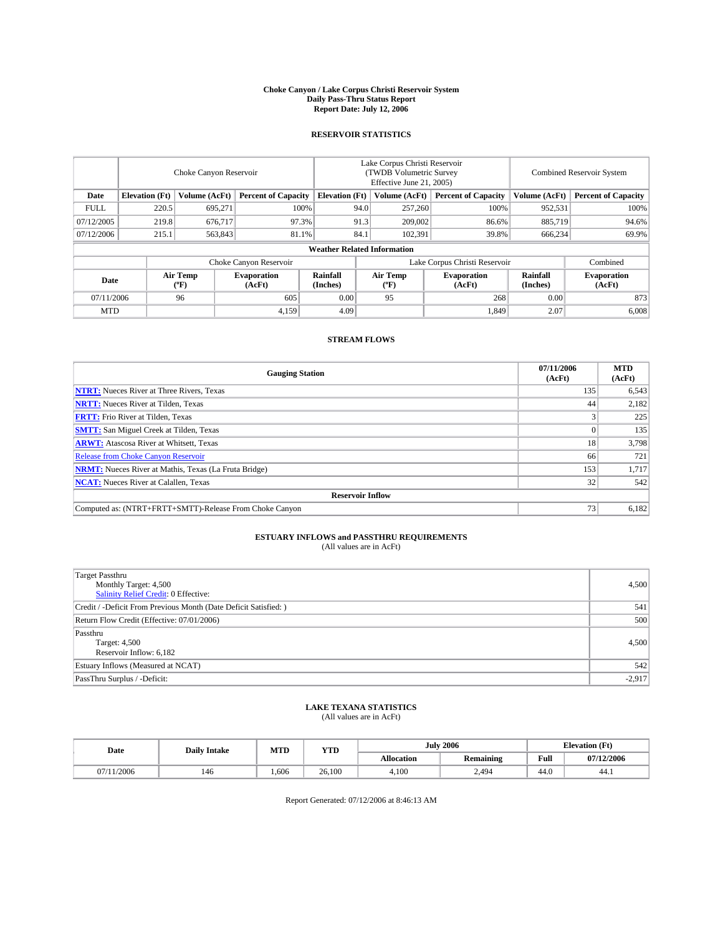#### **Choke Canyon / Lake Corpus Christi Reservoir System Daily Pass-Thru Status Report Report Date: July 12, 2006**

## **RESERVOIR STATISTICS**

|                                                                              | Choke Canyon Reservoir |                       |                              |                                    | Lake Corpus Christi Reservoir<br>(TWDB Volumetric Survey<br>Effective June 21, 2005) |                  |                               |                      | Combined Reservoir System    |  |  |
|------------------------------------------------------------------------------|------------------------|-----------------------|------------------------------|------------------------------------|--------------------------------------------------------------------------------------|------------------|-------------------------------|----------------------|------------------------------|--|--|
| Date<br><b>Elevation</b> (Ft)<br>Volume (AcFt)<br><b>Percent of Capacity</b> |                        | <b>Elevation</b> (Ft) |                              | Volume (AcFt)                      | <b>Percent of Capacity</b>                                                           | Volume (AcFt)    | <b>Percent of Capacity</b>    |                      |                              |  |  |
| <b>FULL</b>                                                                  | 220.5                  | 695.271               | 100%                         |                                    | 94.0                                                                                 | 257,260          | 100%                          | 952,531              | 100%                         |  |  |
| 07/12/2005                                                                   | 219.8                  | 676.717               | 97.3%                        |                                    | 91.3                                                                                 | 209,002          | 86.6%                         | 885,719              | 94.6%                        |  |  |
| 07/12/2006                                                                   | 215.1                  | 563,843               | 81.1%                        |                                    | 84.1                                                                                 | 102,391          | 39.8%                         | 666,234              | 69.9%                        |  |  |
|                                                                              |                        |                       |                              | <b>Weather Related Information</b> |                                                                                      |                  |                               |                      |                              |  |  |
|                                                                              |                        |                       | Choke Canyon Reservoir       |                                    |                                                                                      |                  | Lake Corpus Christi Reservoir |                      | Combined                     |  |  |
| Date                                                                         |                        | Air Temp<br>(°F)      | <b>Evaporation</b><br>(AcFt) | Rainfall<br>(Inches)               |                                                                                      | Air Temp<br>("F) | <b>Evaporation</b><br>(AcFt)  | Rainfall<br>(Inches) | <b>Evaporation</b><br>(AcFt) |  |  |
| 07/11/2006                                                                   |                        | 96                    | 605                          | 0.00                               |                                                                                      | 95               | 268                           | 0.00                 | 873                          |  |  |
| <b>MTD</b>                                                                   |                        |                       | 4,159                        | 4.09                               |                                                                                      |                  | 1,849                         | 2.07                 | 6,008                        |  |  |

## **STREAM FLOWS**

| <b>Gauging Station</b>                                       | 07/11/2006<br>(AcFt) | <b>MTD</b><br>(AcFt) |
|--------------------------------------------------------------|----------------------|----------------------|
| <b>NTRT:</b> Nueces River at Three Rivers, Texas             | 135                  | 6,543                |
| <b>NRTT:</b> Nueces River at Tilden, Texas                   | 44                   | 2,182                |
| <b>FRTT:</b> Frio River at Tilden, Texas                     |                      | 225                  |
| <b>SMTT:</b> San Miguel Creek at Tilden, Texas               |                      | 135                  |
| <b>ARWT:</b> Atascosa River at Whitsett, Texas               | 18                   | 3,798                |
| <b>Release from Choke Canyon Reservoir</b>                   | 66                   | 721                  |
| <b>NRMT:</b> Nueces River at Mathis, Texas (La Fruta Bridge) | 153                  | 1,717                |
| <b>NCAT:</b> Nueces River at Calallen, Texas                 | 32 <sub>1</sub>      | 542                  |
| <b>Reservoir Inflow</b>                                      |                      |                      |
| Computed as: (NTRT+FRTT+SMTT)-Release From Choke Canyon      | 73.                  | 6,182                |

# **ESTUARY INFLOWS and PASSTHRU REQUIREMENTS**<br>(All values are in AcFt)

| Target Passthru<br>Monthly Target: 4,500<br>Salinity Relief Credit: 0 Effective: | 4,500    |
|----------------------------------------------------------------------------------|----------|
| Credit / -Deficit From Previous Month (Date Deficit Satisfied: )                 | 541      |
| Return Flow Credit (Effective: 07/01/2006)                                       | 500      |
| Passthru<br>Target: 4,500<br>Reservoir Inflow: 6,182                             | 4.500    |
| Estuary Inflows (Measured at NCAT)                                               | 542      |
| PassThru Surplus / -Deficit:                                                     | $-2,917$ |

# **LAKE TEXANA STATISTICS** (All values are in AcFt)

|  | Date       | <b>Daily Intake</b> | MTT<br>IVI I L | <b>YTD</b> | July       | 2006             |      | <b>Elevation (Ft)</b> |
|--|------------|---------------------|----------------|------------|------------|------------------|------|-----------------------|
|  |            |                     |                |            | Allocation | <b>Remaining</b> | Full | 07/12/2006            |
|  | 07/11/2006 | 140                 | .606           | 26,100     | 4.100      | 2.494            | 44.0 | 44.1                  |

Report Generated: 07/12/2006 at 8:46:13 AM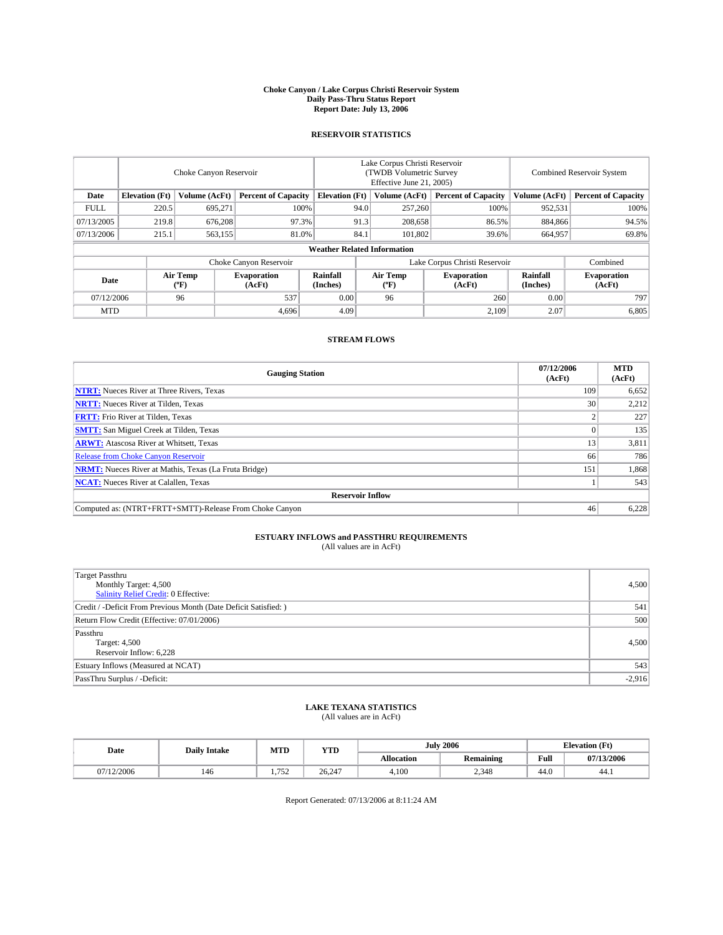#### **Choke Canyon / Lake Corpus Christi Reservoir System Daily Pass-Thru Status Report Report Date: July 13, 2006**

## **RESERVOIR STATISTICS**

|                                                                              | Choke Canyon Reservoir |                       |                              |                                    | Lake Corpus Christi Reservoir<br>(TWDB Volumetric Survey<br>Effective June 21, 2005) |                  |                               |                      | <b>Combined Reservoir System</b> |  |  |
|------------------------------------------------------------------------------|------------------------|-----------------------|------------------------------|------------------------------------|--------------------------------------------------------------------------------------|------------------|-------------------------------|----------------------|----------------------------------|--|--|
| <b>Elevation</b> (Ft)<br>Volume (AcFt)<br><b>Percent of Capacity</b><br>Date |                        | <b>Elevation</b> (Ft) |                              | Volume (AcFt)                      | <b>Percent of Capacity</b>                                                           | Volume (AcFt)    | <b>Percent of Capacity</b>    |                      |                                  |  |  |
| <b>FULL</b>                                                                  | 220.5                  | 695.271               |                              | 100%                               | 94.0                                                                                 | 257,260          | 100%                          | 952,531              | 100%                             |  |  |
| 07/13/2005                                                                   | 219.8                  | 676,208               | 97.3%                        |                                    | 91.3                                                                                 | 208,658          | 86.5%                         | 884,866              | 94.5%                            |  |  |
| 07/13/2006                                                                   | 215.1                  | 563,155               | 81.0%                        |                                    | 84.1                                                                                 | 101.802          | 39.6%                         | 664,957              | 69.8%                            |  |  |
|                                                                              |                        |                       |                              | <b>Weather Related Information</b> |                                                                                      |                  |                               |                      |                                  |  |  |
|                                                                              |                        |                       | Choke Canyon Reservoir       |                                    |                                                                                      |                  | Lake Corpus Christi Reservoir |                      | Combined                         |  |  |
| Date                                                                         |                        | Air Temp<br>(°F)      | <b>Evaporation</b><br>(AcFt) | <b>Rainfall</b><br>(Inches)        |                                                                                      | Air Temp<br>("F) | <b>Evaporation</b><br>(AcFt)  | Rainfall<br>(Inches) | <b>Evaporation</b><br>(AcFt)     |  |  |
| 07/12/2006                                                                   |                        | 96                    | 537                          | 0.00                               |                                                                                      | 96               | 260                           | 0.00                 | 797                              |  |  |
| <b>MTD</b>                                                                   |                        |                       | 4,696                        | 4.09                               |                                                                                      |                  | 2,109                         | 2.07                 | 6,805                            |  |  |

## **STREAM FLOWS**

| <b>Gauging Station</b>                                       | 07/12/2006<br>(AcFt) | <b>MTD</b><br>(AcFt) |
|--------------------------------------------------------------|----------------------|----------------------|
| <b>NTRT:</b> Nueces River at Three Rivers, Texas             | 109                  | 6,652                |
| <b>NRTT:</b> Nueces River at Tilden, Texas                   | 30                   | 2,212                |
| <b>FRTT:</b> Frio River at Tilden, Texas                     |                      | 227                  |
| <b>SMTT:</b> San Miguel Creek at Tilden, Texas               |                      | 135                  |
| <b>ARWT:</b> Atascosa River at Whitsett, Texas               | 13                   | 3,811                |
| <b>Release from Choke Canyon Reservoir</b>                   | 66                   | 786                  |
| <b>NRMT:</b> Nueces River at Mathis, Texas (La Fruta Bridge) | 151                  | 1,868                |
| <b>NCAT:</b> Nueces River at Calallen, Texas                 |                      | 543                  |
| <b>Reservoir Inflow</b>                                      |                      |                      |
| Computed as: (NTRT+FRTT+SMTT)-Release From Choke Canyon      | 46                   | 6,228                |

# **ESTUARY INFLOWS and PASSTHRU REQUIREMENTS**<br>(All values are in AcFt)

| <b>Target Passthru</b><br>Monthly Target: 4,500<br>Salinity Relief Credit: 0 Effective: | 4,500    |
|-----------------------------------------------------------------------------------------|----------|
| Credit / -Deficit From Previous Month (Date Deficit Satisfied: )                        | 541      |
| Return Flow Credit (Effective: 07/01/2006)                                              | 500      |
| Passthru<br>Target: 4,500<br>Reservoir Inflow: 6,228                                    | 4,500    |
| Estuary Inflows (Measured at NCAT)                                                      | 543      |
| PassThru Surplus / -Deficit:                                                            | $-2,916$ |

### **LAKE TEXANA STATISTICS** (All values are in AcFt)

|  | Date       | <b>Daily Intake</b> | M TTT<br>IVI I L    | <b>YTD</b> |                   | 2006<br>July     |      | <b>Elevation (Ft)</b> |
|--|------------|---------------------|---------------------|------------|-------------------|------------------|------|-----------------------|
|  |            |                     |                     |            | <b>Allocation</b> | <b>Remaining</b> | Full | 07/13/2006            |
|  | 07/12/2006 | 140                 | 750<br>. . <i>.</i> | 26.247     | 4.100             | 2.348            | 44.0 | 44.1                  |

Report Generated: 07/13/2006 at 8:11:24 AM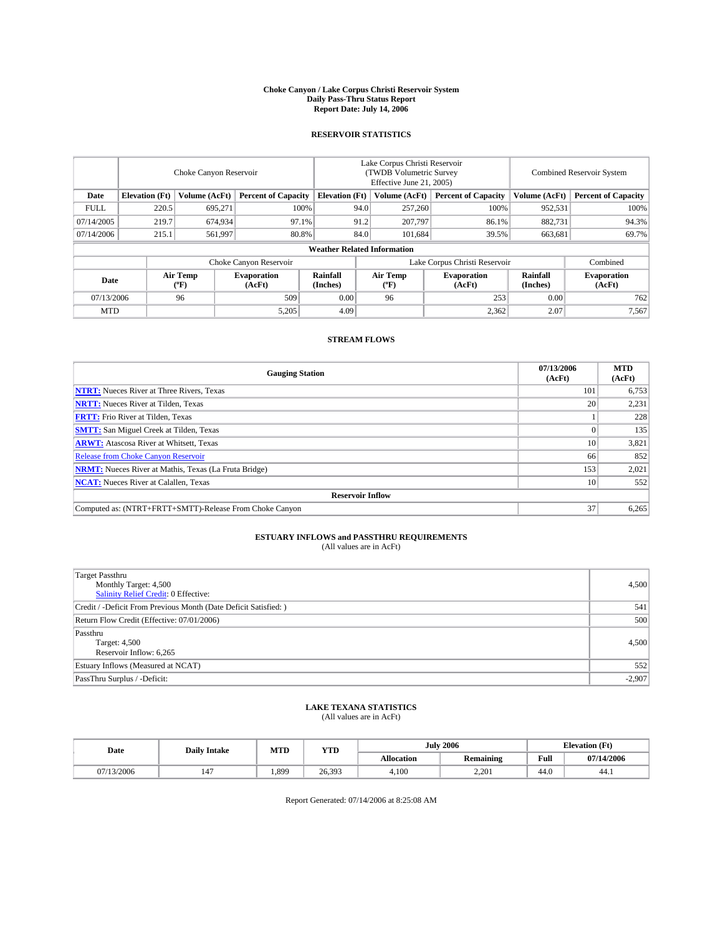#### **Choke Canyon / Lake Corpus Christi Reservoir System Daily Pass-Thru Status Report Report Date: July 14, 2006**

## **RESERVOIR STATISTICS**

|                                                                              | Choke Canyon Reservoir |                       |                              |                                    | Lake Corpus Christi Reservoir<br>(TWDB Volumetric Survey<br>Effective June 21, 2005) |                  |                               |                      | <b>Combined Reservoir System</b> |  |  |
|------------------------------------------------------------------------------|------------------------|-----------------------|------------------------------|------------------------------------|--------------------------------------------------------------------------------------|------------------|-------------------------------|----------------------|----------------------------------|--|--|
| <b>Elevation</b> (Ft)<br>Volume (AcFt)<br><b>Percent of Capacity</b><br>Date |                        | <b>Elevation</b> (Ft) |                              | Volume (AcFt)                      | <b>Percent of Capacity</b>                                                           | Volume (AcFt)    | <b>Percent of Capacity</b>    |                      |                                  |  |  |
| <b>FULL</b>                                                                  | 220.5                  | 695.271               | 100%                         |                                    | 94.0                                                                                 | 257,260          | 100%                          | 952,531              | 100%                             |  |  |
| 07/14/2005                                                                   | 219.7                  | 674,934               | 97.1%                        |                                    | 91.2                                                                                 | 207,797          | 86.1%                         | 882,731              | 94.3%                            |  |  |
| 07/14/2006                                                                   | 215.1                  | 561,997               | 80.8%                        |                                    | 84.0                                                                                 | 101.684          | 39.5%                         | 663,681              | 69.7%                            |  |  |
|                                                                              |                        |                       |                              | <b>Weather Related Information</b> |                                                                                      |                  |                               |                      |                                  |  |  |
|                                                                              |                        |                       | Choke Canyon Reservoir       |                                    |                                                                                      |                  | Lake Corpus Christi Reservoir |                      | Combined                         |  |  |
| Date                                                                         |                        | Air Temp<br>(°F)      | <b>Evaporation</b><br>(AcFt) | <b>Rainfall</b><br>(Inches)        |                                                                                      | Air Temp<br>("F) | <b>Evaporation</b><br>(AcFt)  | Rainfall<br>(Inches) | <b>Evaporation</b><br>(AcFt)     |  |  |
| 07/13/2006                                                                   |                        | 96                    | 509                          | 0.00                               |                                                                                      | 96               | 253                           | 0.00                 | 762                              |  |  |
| <b>MTD</b>                                                                   |                        |                       | 5,205                        | 4.09                               |                                                                                      |                  | 2,362                         | 2.07                 | 7,567                            |  |  |

## **STREAM FLOWS**

| <b>Gauging Station</b>                                       | 07/13/2006<br>(AcFt) | <b>MTD</b><br>(AcFt) |
|--------------------------------------------------------------|----------------------|----------------------|
| <b>NTRT:</b> Nueces River at Three Rivers, Texas             | 101                  | 6,753                |
| <b>NRTT:</b> Nueces River at Tilden, Texas                   | 20                   | 2,231                |
| <b>FRTT:</b> Frio River at Tilden, Texas                     |                      | 228                  |
| <b>SMTT:</b> San Miguel Creek at Tilden, Texas               |                      | 135                  |
| <b>ARWT:</b> Atascosa River at Whitsett, Texas               | 10                   | 3,821                |
| <b>Release from Choke Canyon Reservoir</b>                   | 66                   | 852                  |
| <b>NRMT:</b> Nueces River at Mathis, Texas (La Fruta Bridge) | 153                  | 2,021                |
| <b>NCAT:</b> Nueces River at Calallen, Texas                 | 10                   | 552                  |
| <b>Reservoir Inflow</b>                                      |                      |                      |
| Computed as: (NTRT+FRTT+SMTT)-Release From Choke Canyon      | 37                   | 6,265                |

# **ESTUARY INFLOWS and PASSTHRU REQUIREMENTS**<br>(All values are in AcFt)

| <b>Target Passthru</b><br>Monthly Target: 4,500<br>Salinity Relief Credit: 0 Effective: | 4,500    |
|-----------------------------------------------------------------------------------------|----------|
| Credit / -Deficit From Previous Month (Date Deficit Satisfied: )                        | 541      |
| Return Flow Credit (Effective: 07/01/2006)                                              | 500      |
| Passthru<br>Target: 4,500<br>Reservoir Inflow: 6,265                                    | 4.500    |
| Estuary Inflows (Measured at NCAT)                                                      | 552      |
| PassThru Surplus / -Deficit:                                                            | $-2,907$ |

# **LAKE TEXANA STATISTICS** (All values are in AcFt)

|  | Date       | <b>Daily Intake</b> | M TTT<br>IVI I L | <b>YTD</b> |            | 2006<br>July     |      | <b>Elevation (Ft)</b> |
|--|------------|---------------------|------------------|------------|------------|------------------|------|-----------------------|
|  |            |                     |                  |            | Allocation | <b>Remaining</b> | Full | 07/14/2006            |
|  | 07/13/2006 |                     | .899             | 26.393     | 4.100      | 2.201            | 44.0 | 44.1                  |

Report Generated: 07/14/2006 at 8:25:08 AM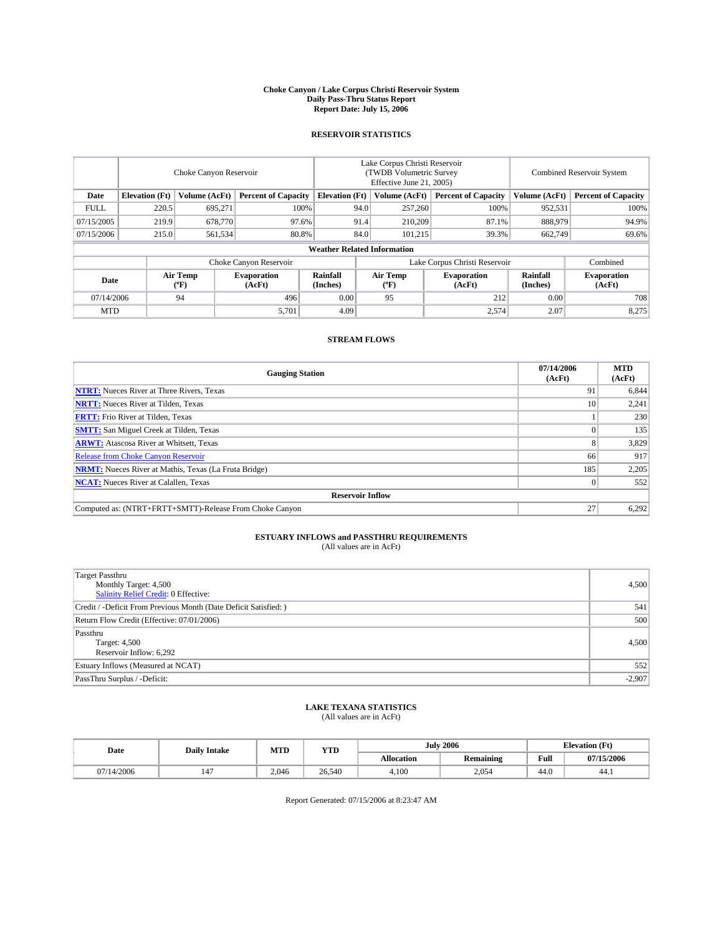#### **Choke Canyon / Lake Corpus Christi Reservoir System Daily Pass-Thru Status Report Report Date: July 15, 2006**

## **RESERVOIR STATISTICS**

|                                                                              | Choke Canyon Reservoir             |                       |                              |                      | Lake Corpus Christi Reservoir<br>(TWDB Volumetric Survey<br>Effective June 21, 2005) |                  |                               |                      | <b>Combined Reservoir System</b> |  |  |  |
|------------------------------------------------------------------------------|------------------------------------|-----------------------|------------------------------|----------------------|--------------------------------------------------------------------------------------|------------------|-------------------------------|----------------------|----------------------------------|--|--|--|
| <b>Elevation</b> (Ft)<br>Volume (AcFt)<br><b>Percent of Capacity</b><br>Date |                                    | <b>Elevation</b> (Ft) |                              | Volume (AcFt)        | <b>Percent of Capacity</b>                                                           | Volume (AcFt)    | <b>Percent of Capacity</b>    |                      |                                  |  |  |  |
| <b>FULL</b>                                                                  | 220.5                              | 695.271               |                              | 100%                 | 94.0                                                                                 | 257,260          | 100%                          | 952,531              | 100%                             |  |  |  |
| 07/15/2005                                                                   | 219.9                              | 678,770               |                              | 97.6%                | 91.4                                                                                 | 210,209          | 87.1%                         | 888,979              | 94.9%                            |  |  |  |
| 07/15/2006                                                                   | 215.0                              | 561,534               |                              | 80.8%                | 84.0                                                                                 | 101,215          | 39.3%                         | 662,749              | 69.6%                            |  |  |  |
|                                                                              | <b>Weather Related Information</b> |                       |                              |                      |                                                                                      |                  |                               |                      |                                  |  |  |  |
|                                                                              |                                    |                       | Choke Canyon Reservoir       |                      |                                                                                      |                  | Lake Corpus Christi Reservoir |                      | Combined                         |  |  |  |
| Date                                                                         |                                    | Air Temp<br>(°F)      | <b>Evaporation</b><br>(AcFt) | Rainfall<br>(Inches) |                                                                                      | Air Temp<br>("F) | <b>Evaporation</b><br>(AcFt)  | Rainfall<br>(Inches) | <b>Evaporation</b><br>(AcFt)     |  |  |  |
| 07/14/2006                                                                   |                                    | 94                    | 496                          | 0.00                 |                                                                                      | 95               | 212                           | 0.00                 | 708                              |  |  |  |
| <b>MTD</b>                                                                   |                                    |                       | 5,701                        | 4.09                 |                                                                                      |                  | 2,574                         | 2.07                 | 8,275                            |  |  |  |

## **STREAM FLOWS**

| <b>Gauging Station</b>                                       | 07/14/2006<br>(AcFt) | <b>MTD</b><br>(AcFt) |
|--------------------------------------------------------------|----------------------|----------------------|
| <b>NTRT:</b> Nueces River at Three Rivers, Texas             | 91                   | 6,844                |
| <b>NRTT:</b> Nueces River at Tilden, Texas                   | 10                   | 2,241                |
| <b>FRTT:</b> Frio River at Tilden, Texas                     |                      | 230                  |
| <b>SMTT:</b> San Miguel Creek at Tilden, Texas               |                      | 135                  |
| <b>ARWT:</b> Atascosa River at Whitsett, Texas               |                      | 3,829                |
| <b>Release from Choke Canyon Reservoir</b>                   | 66                   | 917                  |
| <b>NRMT:</b> Nueces River at Mathis, Texas (La Fruta Bridge) | 185                  | 2,205                |
| <b>NCAT:</b> Nueces River at Calallen, Texas                 |                      | 552                  |
| <b>Reservoir Inflow</b>                                      |                      |                      |
| Computed as: (NTRT+FRTT+SMTT)-Release From Choke Canyon      | 27                   | 6,292                |

# **ESTUARY INFLOWS and PASSTHRU REQUIREMENTS**<br>(All values are in AcFt)

| <b>Target Passthru</b><br>Monthly Target: 4,500<br>Salinity Relief Credit: 0 Effective: | 4,500    |
|-----------------------------------------------------------------------------------------|----------|
| Credit / -Deficit From Previous Month (Date Deficit Satisfied: )                        | 541      |
| Return Flow Credit (Effective: 07/01/2006)                                              | 500      |
| Passthru<br>Target: 4,500<br>Reservoir Inflow: 6,292                                    | 4,500    |
| Estuary Inflows (Measured at NCAT)                                                      | 552      |
| PassThru Surplus / -Deficit:                                                            | $-2,907$ |

# **LAKE TEXANA STATISTICS** (All values are in AcFt)

|  | Date       | <b>Daily Intake</b> | MTT<br>IVI I L | <b>YTD</b> | 2006<br>July |                  |      | <b>Elevation (Ft)</b> |
|--|------------|---------------------|----------------|------------|--------------|------------------|------|-----------------------|
|  |            |                     |                |            | Allocation   | <b>Remaining</b> | Full | 07/15/2006            |
|  | 07/14/2006 | $\overline{1}$      | 2.046          | 26,540     | 4.100        | 2.054            | 44.0 | 44.1                  |

Report Generated: 07/15/2006 at 8:23:47 AM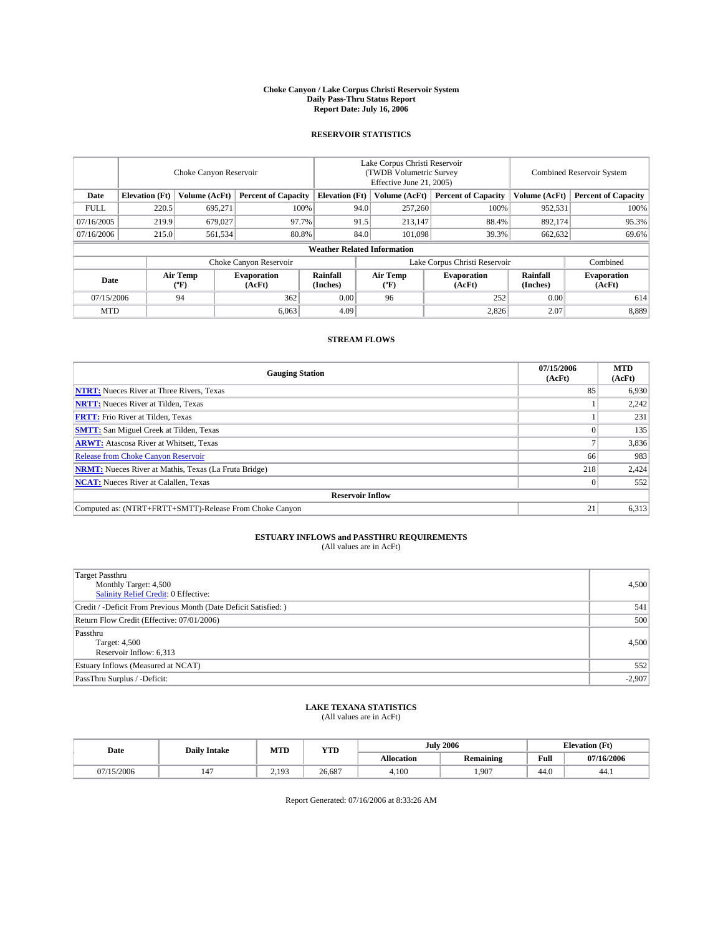#### **Choke Canyon / Lake Corpus Christi Reservoir System Daily Pass-Thru Status Report Report Date: July 16, 2006**

## **RESERVOIR STATISTICS**

|                                                                              | Choke Canyon Reservoir |                       |                              |                                    | Lake Corpus Christi Reservoir<br>(TWDB Volumetric Survey<br>Effective June 21, 2005) |                  |                               |                      | <b>Combined Reservoir System</b> |  |  |
|------------------------------------------------------------------------------|------------------------|-----------------------|------------------------------|------------------------------------|--------------------------------------------------------------------------------------|------------------|-------------------------------|----------------------|----------------------------------|--|--|
| <b>Elevation</b> (Ft)<br>Volume (AcFt)<br><b>Percent of Capacity</b><br>Date |                        | <b>Elevation</b> (Ft) |                              | Volume (AcFt)                      | <b>Percent of Capacity</b>                                                           | Volume (AcFt)    | <b>Percent of Capacity</b>    |                      |                                  |  |  |
| <b>FULL</b>                                                                  | 220.5                  | 695.271               |                              | 100%                               | 94.0                                                                                 | 257,260          | 100%                          | 952,531              | 100%                             |  |  |
| 07/16/2005                                                                   | 219.9                  | 679,027               |                              | 97.7%                              | 91.5                                                                                 | 213,147          | 88.4%                         | 892.174              | 95.3%                            |  |  |
| 07/16/2006                                                                   | 215.0                  | 561,534               |                              | 80.8%                              | 84.0                                                                                 | 101.098          | 39.3%                         | 662,632              | 69.6%                            |  |  |
|                                                                              |                        |                       |                              | <b>Weather Related Information</b> |                                                                                      |                  |                               |                      |                                  |  |  |
|                                                                              |                        |                       | Choke Canyon Reservoir       |                                    |                                                                                      |                  | Lake Corpus Christi Reservoir |                      | Combined                         |  |  |
| Date                                                                         |                        | Air Temp<br>(°F)      | <b>Evaporation</b><br>(AcFt) | Rainfall<br>(Inches)               |                                                                                      | Air Temp<br>("F) | <b>Evaporation</b><br>(AcFt)  | Rainfall<br>(Inches) | <b>Evaporation</b><br>(AcFt)     |  |  |
| 07/15/2006                                                                   |                        | 94                    | 362                          | 0.00                               |                                                                                      | 96               | 252                           | 0.00                 | 614                              |  |  |
| <b>MTD</b>                                                                   |                        |                       | 6,063                        | 4.09                               |                                                                                      |                  | 2,826                         | 2.07                 | 8,889                            |  |  |

## **STREAM FLOWS**

| <b>Gauging Station</b>                                       | 07/15/2006<br>(AcFt) | <b>MTD</b><br>(AcFt) |
|--------------------------------------------------------------|----------------------|----------------------|
| <b>NTRT:</b> Nueces River at Three Rivers, Texas             | 85                   | 6,930                |
| <b>NRTT:</b> Nueces River at Tilden, Texas                   |                      | 2,242                |
| <b>FRTT:</b> Frio River at Tilden, Texas                     |                      | 231                  |
| <b>SMTT:</b> San Miguel Creek at Tilden, Texas               |                      | 135                  |
| <b>ARWT:</b> Atascosa River at Whitsett, Texas               |                      | 3,836                |
| <b>Release from Choke Canyon Reservoir</b>                   | 66                   | 983                  |
| <b>NRMT:</b> Nueces River at Mathis, Texas (La Fruta Bridge) | 218                  | 2,424                |
| <b>NCAT:</b> Nueces River at Calallen, Texas                 |                      | 552                  |
| <b>Reservoir Inflow</b>                                      |                      |                      |
| Computed as: (NTRT+FRTT+SMTT)-Release From Choke Canyon      | 21                   | 6,313                |

# **ESTUARY INFLOWS and PASSTHRU REQUIREMENTS**<br>(All values are in AcFt)

| <b>Target Passthru</b><br>Monthly Target: 4,500<br>Salinity Relief Credit: 0 Effective: | 4,500    |
|-----------------------------------------------------------------------------------------|----------|
| Credit / -Deficit From Previous Month (Date Deficit Satisfied: )                        | 541      |
| Return Flow Credit (Effective: 07/01/2006)                                              | 500      |
| Passthru<br>Target: 4,500<br>Reservoir Inflow: 6,313                                    | 4.500    |
| Estuary Inflows (Measured at NCAT)                                                      | 552      |
| PassThru Surplus / -Deficit:                                                            | $-2,907$ |

# **LAKE TEXANA STATISTICS** (All values are in AcFt)

| Date       | <b>Daily Intake</b> | MTT<br><b>YTD</b><br>IVI I L |        |                   |                  | July | 2006       | <b>Elevation (Ft)</b> |  |
|------------|---------------------|------------------------------|--------|-------------------|------------------|------|------------|-----------------------|--|
|            |                     |                              |        | <b>Allocation</b> | <b>Remaining</b> | Full | 07/16/2006 |                       |  |
| 07/15/2006 | $\overline{1}$      | 2.193                        | 26,687 | 4.100             | 1.907            | 44.0 | 44.1       |                       |  |

Report Generated: 07/16/2006 at 8:33:26 AM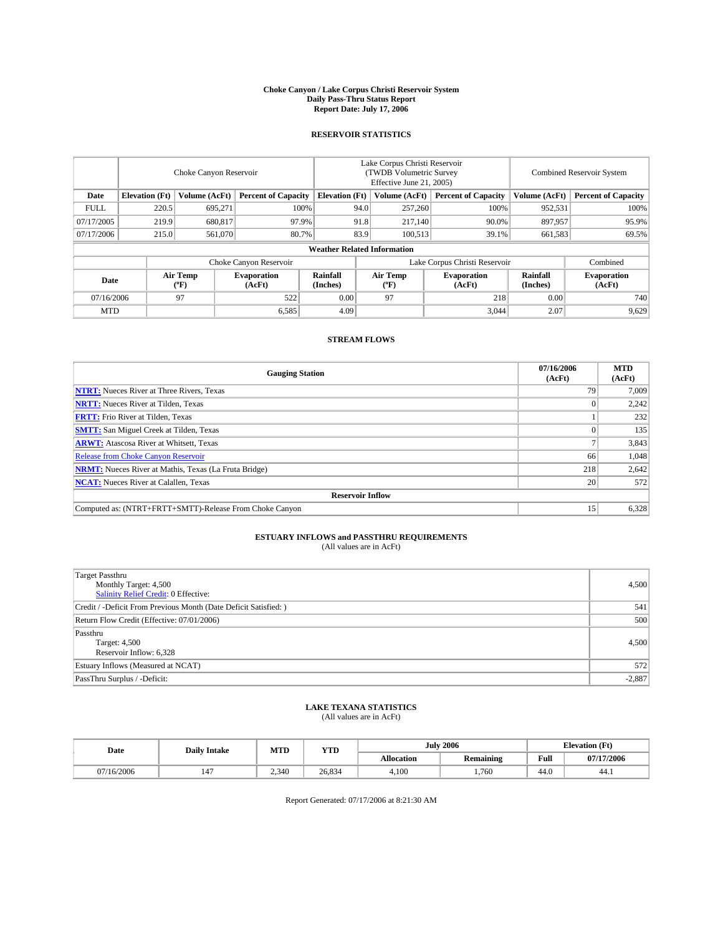#### **Choke Canyon / Lake Corpus Christi Reservoir System Daily Pass-Thru Status Report Report Date: July 17, 2006**

## **RESERVOIR STATISTICS**

|                                                                              | Choke Canyon Reservoir             |                       |                              |                      | Lake Corpus Christi Reservoir<br>(TWDB Volumetric Survey<br>Effective June 21, 2005) |                  |                               |                      | <b>Combined Reservoir System</b> |  |  |  |
|------------------------------------------------------------------------------|------------------------------------|-----------------------|------------------------------|----------------------|--------------------------------------------------------------------------------------|------------------|-------------------------------|----------------------|----------------------------------|--|--|--|
| <b>Elevation</b> (Ft)<br>Volume (AcFt)<br><b>Percent of Capacity</b><br>Date |                                    | <b>Elevation</b> (Ft) |                              | Volume (AcFt)        | <b>Percent of Capacity</b>                                                           | Volume (AcFt)    | <b>Percent of Capacity</b>    |                      |                                  |  |  |  |
| <b>FULL</b>                                                                  | 220.5                              | 695.271               |                              | 100%                 | 94.0                                                                                 | 257,260          | 100%                          | 952,531              | 100%                             |  |  |  |
| 07/17/2005                                                                   | 219.9                              | 680,817               | 97.9%                        |                      | 91.8                                                                                 | 217,140          | 90.0%                         | 897.957              | 95.9%                            |  |  |  |
| 07/17/2006                                                                   | 215.0                              | 561,070               | 80.7%                        |                      | 83.9                                                                                 | 100.513          | 39.1%                         | 661,583              | 69.5%                            |  |  |  |
|                                                                              | <b>Weather Related Information</b> |                       |                              |                      |                                                                                      |                  |                               |                      |                                  |  |  |  |
|                                                                              |                                    |                       | Choke Canyon Reservoir       |                      |                                                                                      |                  | Lake Corpus Christi Reservoir |                      | Combined                         |  |  |  |
| Date                                                                         |                                    | Air Temp<br>(°F)      | <b>Evaporation</b><br>(AcFt) | Rainfall<br>(Inches) |                                                                                      | Air Temp<br>("F) | <b>Evaporation</b><br>(AcFt)  | Rainfall<br>(Inches) | <b>Evaporation</b><br>(AcFt)     |  |  |  |
| 07/16/2006                                                                   |                                    | 97                    | 522                          | 0.00                 |                                                                                      | 97               | 218                           | 0.00                 | 740                              |  |  |  |
| <b>MTD</b>                                                                   |                                    |                       | 6,585                        | 4.09                 |                                                                                      |                  | 3,044                         | 2.07                 | 9,629                            |  |  |  |

## **STREAM FLOWS**

| <b>Gauging Station</b>                                       | 07/16/2006<br>(AcFt) | <b>MTD</b><br>(AcFt) |
|--------------------------------------------------------------|----------------------|----------------------|
| <b>NTRT:</b> Nueces River at Three Rivers, Texas             | 79                   | 7,009                |
| <b>NRTT:</b> Nueces River at Tilden, Texas                   |                      | 2,242                |
| <b>FRTT:</b> Frio River at Tilden, Texas                     |                      | 232                  |
| <b>SMTT:</b> San Miguel Creek at Tilden, Texas               |                      | 135                  |
| <b>ARWT:</b> Atascosa River at Whitsett, Texas               |                      | 3,843                |
| <b>Release from Choke Canyon Reservoir</b>                   | 66                   | 1,048                |
| <b>NRMT:</b> Nueces River at Mathis, Texas (La Fruta Bridge) | 218                  | 2,642                |
| <b>NCAT:</b> Nueces River at Calallen, Texas                 | 20                   | 572                  |
| <b>Reservoir Inflow</b>                                      |                      |                      |
| Computed as: (NTRT+FRTT+SMTT)-Release From Choke Canyon      | 15                   | 6,328                |

# **ESTUARY INFLOWS and PASSTHRU REQUIREMENTS**<br>(All values are in AcFt)

| <b>Target Passthru</b><br>Monthly Target: 4,500<br>Salinity Relief Credit: 0 Effective: | 4,500    |
|-----------------------------------------------------------------------------------------|----------|
| Credit / -Deficit From Previous Month (Date Deficit Satisfied: )                        | 541      |
| Return Flow Credit (Effective: 07/01/2006)                                              | 500      |
| Passthru<br>Target: 4,500<br>Reservoir Inflow: 6,328                                    | 4,500    |
| Estuary Inflows (Measured at NCAT)                                                      | 572      |
| PassThru Surplus / -Deficit:                                                            | $-2,887$ |

# **LAKE TEXANA STATISTICS** (All values are in AcFt)

|  | Date       | <b>Daily Intake</b> | MTT<br>IVI I L | <b>YTD</b> |            | <b>July 2006</b> |      | <b>Elevation (Ft)</b> |  |
|--|------------|---------------------|----------------|------------|------------|------------------|------|-----------------------|--|
|  |            |                     |                |            | Allocation | <b>Remaining</b> | Full | 07/17/2006            |  |
|  | 07/16/2006 | $\overline{1}$      | 2.340          | 26,834     | 4.100      | 1.760            | 44.0 | 44.1                  |  |

Report Generated: 07/17/2006 at 8:21:30 AM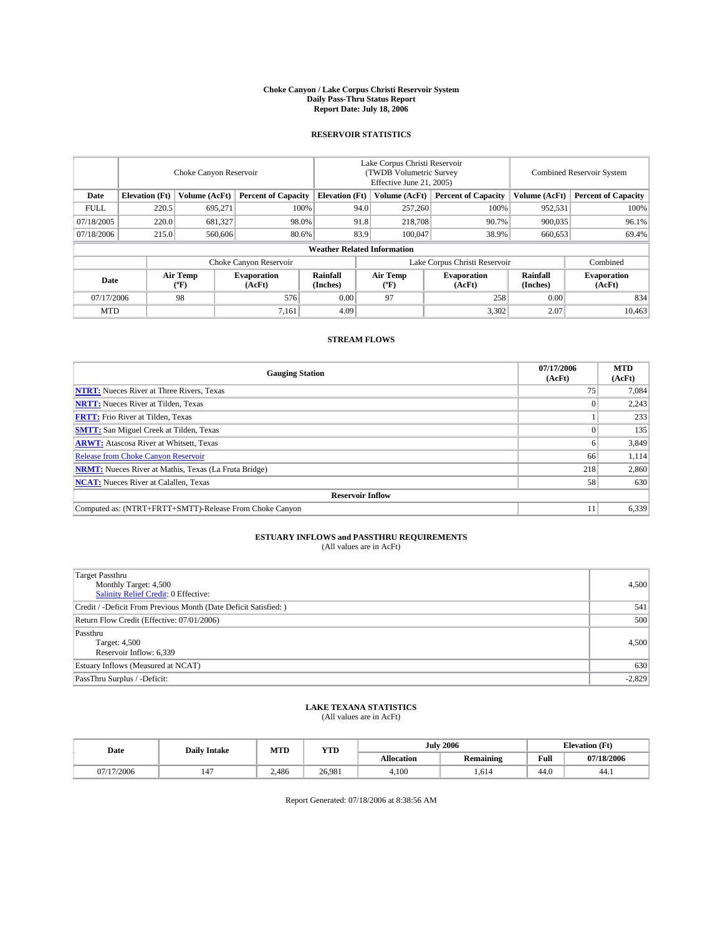#### **Choke Canyon / Lake Corpus Christi Reservoir System Daily Pass-Thru Status Report Report Date: July 18, 2006**

## **RESERVOIR STATISTICS**

|                                                                              | Choke Canyon Reservoir |                       |                              |                                    | Lake Corpus Christi Reservoir<br>(TWDB Volumetric Survey<br>Effective June 21, 2005) |                  |                               |                      | <b>Combined Reservoir System</b> |  |  |
|------------------------------------------------------------------------------|------------------------|-----------------------|------------------------------|------------------------------------|--------------------------------------------------------------------------------------|------------------|-------------------------------|----------------------|----------------------------------|--|--|
| <b>Elevation</b> (Ft)<br>Volume (AcFt)<br><b>Percent of Capacity</b><br>Date |                        | <b>Elevation</b> (Ft) |                              | Volume (AcFt)                      | <b>Percent of Capacity</b>                                                           | Volume (AcFt)    | <b>Percent of Capacity</b>    |                      |                                  |  |  |
| <b>FULL</b>                                                                  | 220.5                  | 695.271               | 100%                         |                                    | 94.0                                                                                 | 257,260          | 100%                          | 952,531              | 100%                             |  |  |
| 07/18/2005                                                                   | 220.0                  | 681,327               | 98.0%                        |                                    | 91.8                                                                                 | 218,708          | 90.7%                         | 900.035              | 96.1%                            |  |  |
| 07/18/2006                                                                   | 215.0                  | 560,606               | 80.6%                        |                                    | 83.9                                                                                 | 100,047          | 38.9%                         | 660,653              | 69.4%                            |  |  |
|                                                                              |                        |                       |                              | <b>Weather Related Information</b> |                                                                                      |                  |                               |                      |                                  |  |  |
|                                                                              |                        |                       | Choke Canyon Reservoir       |                                    |                                                                                      |                  | Lake Corpus Christi Reservoir |                      | Combined                         |  |  |
| Date                                                                         |                        | Air Temp<br>(°F)      | <b>Evaporation</b><br>(AcFt) | <b>Rainfall</b><br>(Inches)        |                                                                                      | Air Temp<br>("F) | <b>Evaporation</b><br>(AcFt)  | Rainfall<br>(Inches) | <b>Evaporation</b><br>(AcFt)     |  |  |
| 07/17/2006                                                                   |                        | 98                    | 576                          | 0.00                               |                                                                                      | 97               | 258                           | 0.00                 | 834                              |  |  |
| <b>MTD</b>                                                                   |                        |                       | 7,161                        | 4.09                               |                                                                                      |                  | 3,302                         | 2.07                 | 10,463                           |  |  |

## **STREAM FLOWS**

| <b>Gauging Station</b>                                       | 07/17/2006<br>(AcFt) | <b>MTD</b><br>(AcFt) |
|--------------------------------------------------------------|----------------------|----------------------|
| <b>NTRT:</b> Nueces River at Three Rivers, Texas             | 75                   | 7,084                |
| <b>NRTT:</b> Nueces River at Tilden, Texas                   |                      | 2,243                |
| <b>FRTT:</b> Frio River at Tilden, Texas                     |                      | 233                  |
| <b>SMTT:</b> San Miguel Creek at Tilden, Texas               |                      | 135                  |
| <b>ARWT:</b> Atascosa River at Whitsett, Texas               |                      | 3,849                |
| <b>Release from Choke Canyon Reservoir</b>                   | 66                   | 1,114                |
| <b>NRMT:</b> Nueces River at Mathis, Texas (La Fruta Bridge) | 218                  | 2,860                |
| <b>NCAT:</b> Nueces River at Calallen, Texas                 | 58                   | 630                  |
| <b>Reservoir Inflow</b>                                      |                      |                      |
| Computed as: (NTRT+FRTT+SMTT)-Release From Choke Canyon      | 11                   | 6,339                |

# **ESTUARY INFLOWS and PASSTHRU REQUIREMENTS**<br>(All values are in AcFt)

| <b>Target Passthru</b><br>Monthly Target: 4,500<br>Salinity Relief Credit: 0 Effective: | 4,500    |
|-----------------------------------------------------------------------------------------|----------|
| Credit / -Deficit From Previous Month (Date Deficit Satisfied: )                        | 541      |
| Return Flow Credit (Effective: 07/01/2006)                                              | 500      |
| Passthru<br>Target: 4,500<br>Reservoir Inflow: 6,339                                    | 4,500    |
| Estuary Inflows (Measured at NCAT)                                                      | 630      |
| PassThru Surplus / -Deficit:                                                            | $-2,829$ |

# **LAKE TEXANA STATISTICS** (All values are in AcFt)

|  | Date            | <b>Daily Intake</b> | MTT<br>IVI I L | <b>YTD</b> | July       | 2006             |      | <b>Elevation (Ft)</b> |
|--|-----------------|---------------------|----------------|------------|------------|------------------|------|-----------------------|
|  |                 |                     |                |            | Allocation | <b>Remaining</b> | Full | 07/18/2006            |
|  | /2006<br>07/17/ | $\overline{1}$      | 2.486          | 26.981     | 4.100      | 1.614            | 44.0 | 44.1                  |

Report Generated: 07/18/2006 at 8:38:56 AM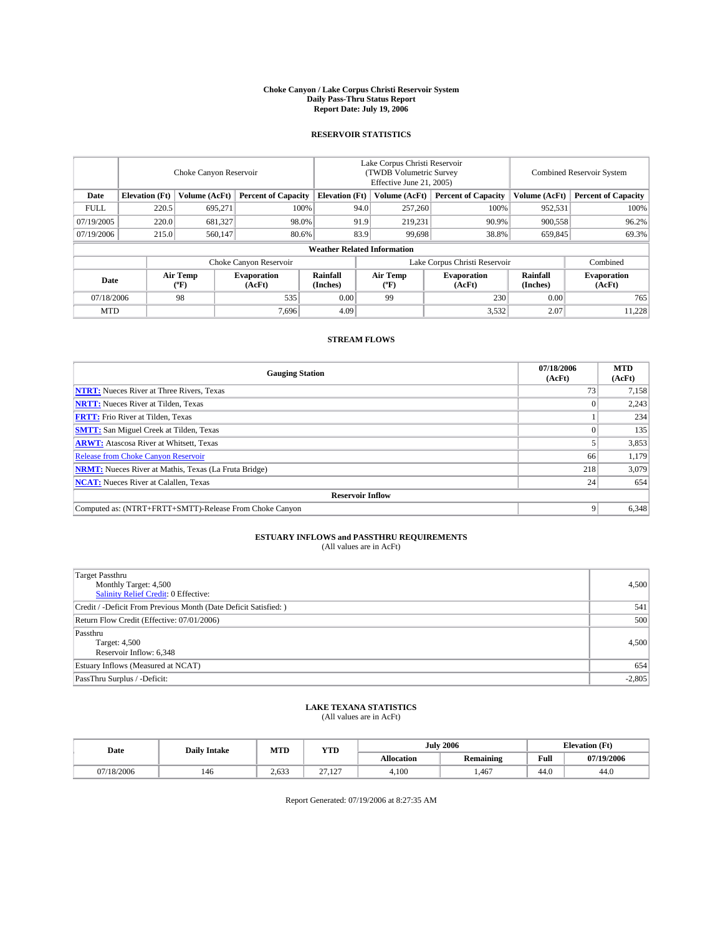#### **Choke Canyon / Lake Corpus Christi Reservoir System Daily Pass-Thru Status Report Report Date: July 19, 2006**

## **RESERVOIR STATISTICS**

|             | Choke Canyon Reservoir |                  |                              |                                    | Lake Corpus Christi Reservoir<br>(TWDB Volumetric Survey<br>Effective June 21, 2005) |                  |                               | <b>Combined Reservoir System</b> |                              |  |
|-------------|------------------------|------------------|------------------------------|------------------------------------|--------------------------------------------------------------------------------------|------------------|-------------------------------|----------------------------------|------------------------------|--|
| Date        | <b>Elevation</b> (Ft)  | Volume (AcFt)    | <b>Percent of Capacity</b>   | <b>Elevation</b> (Ft)              |                                                                                      | Volume (AcFt)    | <b>Percent of Capacity</b>    | Volume (AcFt)                    | <b>Percent of Capacity</b>   |  |
| <b>FULL</b> | 220.5                  | 695.271          |                              | 100%                               | 94.0                                                                                 | 257,260          | 100%                          | 952,531                          | 100%                         |  |
| 07/19/2005  | 220.0                  | 681,327          | 98.0%                        |                                    | 91.9                                                                                 | 219,231          | 90.9%                         | 900.558                          | 96.2%                        |  |
| 07/19/2006  | 215.0                  | 560,147          | 80.6%                        |                                    | 83.9                                                                                 | 99.698           | 38.8%                         | 659,845                          | 69.3%                        |  |
|             |                        |                  |                              | <b>Weather Related Information</b> |                                                                                      |                  |                               |                                  |                              |  |
|             |                        |                  | Choke Canyon Reservoir       |                                    |                                                                                      |                  | Lake Corpus Christi Reservoir |                                  | Combined                     |  |
| Date        |                        | Air Temp<br>(°F) | <b>Evaporation</b><br>(AcFt) | Rainfall<br>(Inches)               |                                                                                      | Air Temp<br>("F) | <b>Evaporation</b><br>(AcFt)  | Rainfall<br>(Inches)             | <b>Evaporation</b><br>(AcFt) |  |
| 07/18/2006  |                        | 98               | 535                          | 0.00                               |                                                                                      | 99               | 230                           | 0.00                             | 765                          |  |
| <b>MTD</b>  |                        |                  | 7,696                        | 4.09                               |                                                                                      |                  | 3,532                         | 2.07                             | 11,228                       |  |

## **STREAM FLOWS**

| <b>Gauging Station</b>                                       | 07/18/2006<br>(AcFt) | <b>MTD</b><br>(AcFt) |
|--------------------------------------------------------------|----------------------|----------------------|
| <b>NTRT:</b> Nueces River at Three Rivers, Texas             | 73                   | 7,158                |
| <b>NRTT:</b> Nueces River at Tilden, Texas                   |                      | 2,243                |
| <b>FRTT:</b> Frio River at Tilden, Texas                     |                      | 234                  |
| <b>SMTT:</b> San Miguel Creek at Tilden, Texas               |                      | 135                  |
| <b>ARWT:</b> Atascosa River at Whitsett, Texas               |                      | 3,853                |
| <b>Release from Choke Canyon Reservoir</b>                   | 66                   | 1,179                |
| <b>NRMT:</b> Nueces River at Mathis, Texas (La Fruta Bridge) | 218                  | 3,079                |
| <b>NCAT:</b> Nueces River at Calallen, Texas                 | 24                   | 654                  |
| <b>Reservoir Inflow</b>                                      |                      |                      |
| Computed as: (NTRT+FRTT+SMTT)-Release From Choke Canyon      |                      | 6,348                |

# **ESTUARY INFLOWS and PASSTHRU REQUIREMENTS**<br>(All values are in AcFt)

| <b>Target Passthru</b><br>Monthly Target: 4,500<br>Salinity Relief Credit: 0 Effective: | 4,500    |
|-----------------------------------------------------------------------------------------|----------|
| Credit / -Deficit From Previous Month (Date Deficit Satisfied: )                        | 541      |
| Return Flow Credit (Effective: 07/01/2006)                                              | 500      |
| Passthru<br>Target: 4,500<br>Reservoir Inflow: 6,348                                    | 4,500    |
| Estuary Inflows (Measured at NCAT)                                                      | 654      |
| PassThru Surplus / -Deficit:                                                            | $-2,805$ |

# **LAKE TEXANA STATISTICS** (All values are in AcFt)

|  | Date       | <b>Daily Intake</b> |       | <b>YTD</b>                 |            | <b>July 2006</b> | $(T_{\rm M})$<br><b>Elevation</b> (Ft) |                |  |
|--|------------|---------------------|-------|----------------------------|------------|------------------|----------------------------------------|----------------|--|
|  |            |                     | MTD   |                            | Allocation | <b>Remaining</b> | Full                                   | 07/19/2006     |  |
|  | 07/18/2006 | 146                 | 2.633 | $\sim$<br>107<br>ن عدد است | 4.100      | .467             | 44.0                                   | $\sim$<br>44.0 |  |

Report Generated: 07/19/2006 at 8:27:35 AM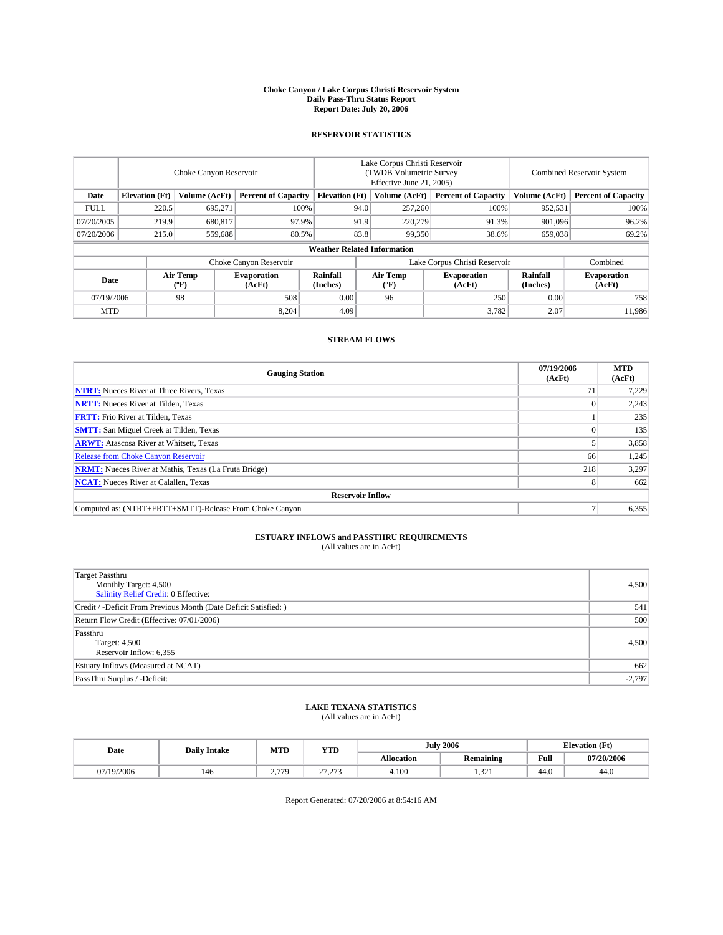#### **Choke Canyon / Lake Corpus Christi Reservoir System Daily Pass-Thru Status Report Report Date: July 20, 2006**

## **RESERVOIR STATISTICS**

|             | Choke Canyon Reservoir             |                  |                              |                       | Lake Corpus Christi Reservoir<br>(TWDB Volumetric Survey<br>Effective June 21, 2005) |                  |                               | <b>Combined Reservoir System</b> |                              |  |  |
|-------------|------------------------------------|------------------|------------------------------|-----------------------|--------------------------------------------------------------------------------------|------------------|-------------------------------|----------------------------------|------------------------------|--|--|
| Date        | <b>Elevation</b> (Ft)              | Volume (AcFt)    | <b>Percent of Capacity</b>   | <b>Elevation</b> (Ft) |                                                                                      | Volume (AcFt)    | <b>Percent of Capacity</b>    | Volume (AcFt)                    | <b>Percent of Capacity</b>   |  |  |
| <b>FULL</b> | 220.5                              | 695.271          |                              | 100%                  | 94.0                                                                                 | 257,260          | 100%                          | 952,531                          | 100%                         |  |  |
| 07/20/2005  | 219.9                              | 680,817          |                              | 97.9%                 | 91.9                                                                                 | 220,279          | 91.3%                         | 901.096                          | 96.2%                        |  |  |
| 07/20/2006  | 215.0                              | 559,688          |                              | 80.5%                 | 83.8                                                                                 |                  | 99.350<br>38.6%               | 659,038                          | 69.2%                        |  |  |
|             | <b>Weather Related Information</b> |                  |                              |                       |                                                                                      |                  |                               |                                  |                              |  |  |
|             |                                    |                  | Choke Canyon Reservoir       |                       |                                                                                      |                  | Lake Corpus Christi Reservoir |                                  | Combined                     |  |  |
| Date        |                                    | Air Temp<br>(°F) | <b>Evaporation</b><br>(AcFt) | Rainfall<br>(Inches)  |                                                                                      | Air Temp<br>("F) | <b>Evaporation</b><br>(AcFt)  | Rainfall<br>(Inches)             | <b>Evaporation</b><br>(AcFt) |  |  |
| 07/19/2006  |                                    | 98               | 508                          | 0.00                  |                                                                                      | 96               | 250                           | 0.00                             | 758                          |  |  |
| <b>MTD</b>  |                                    |                  | 8,204                        | 4.09                  |                                                                                      |                  | 3,782                         | 2.07                             | 11.986                       |  |  |

## **STREAM FLOWS**

| <b>Gauging Station</b>                                       | 07/19/2006<br>(AcFt) | <b>MTD</b><br>(AcFt) |
|--------------------------------------------------------------|----------------------|----------------------|
| <b>NTRT:</b> Nueces River at Three Rivers, Texas             |                      | 7,229                |
| <b>NRTT:</b> Nueces River at Tilden, Texas                   |                      | 2,243                |
| <b>FRTT:</b> Frio River at Tilden, Texas                     |                      | 235                  |
| <b>SMTT:</b> San Miguel Creek at Tilden, Texas               |                      | 135                  |
| <b>ARWT:</b> Atascosa River at Whitsett, Texas               |                      | 3,858                |
| <b>Release from Choke Canyon Reservoir</b>                   | 66                   | 1,245                |
| <b>NRMT:</b> Nueces River at Mathis, Texas (La Fruta Bridge) | 218                  | 3,297                |
| <b>NCAT:</b> Nueces River at Calallen, Texas                 |                      | 662                  |
| <b>Reservoir Inflow</b>                                      |                      |                      |
| Computed as: (NTRT+FRTT+SMTT)-Release From Choke Canyon      |                      | 6,355                |

# **ESTUARY INFLOWS and PASSTHRU REQUIREMENTS**<br>(All values are in AcFt)

| <b>Target Passthru</b><br>Monthly Target: 4,500<br>Salinity Relief Credit: 0 Effective: | 4,500    |
|-----------------------------------------------------------------------------------------|----------|
| Credit / -Deficit From Previous Month (Date Deficit Satisfied: )                        | 541      |
| Return Flow Credit (Effective: 07/01/2006)                                              | 500      |
| Passthru<br>Target: 4,500<br>Reservoir Inflow: 6,355                                    | 4.500    |
| Estuary Inflows (Measured at NCAT)                                                      | 662      |
| PassThru Surplus / -Deficit:                                                            | $-2,797$ |

# **LAKE TEXANA STATISTICS** (All values are in AcFt)

|  | Date       | <b>Daily Intake</b> | MTD<br><b>YTD</b> |                   | <b>July 2006</b> |                  | $(T_{\rm M})$<br><b>Elevation</b> (Ft) |                              |
|--|------------|---------------------|-------------------|-------------------|------------------|------------------|----------------------------------------|------------------------------|
|  |            |                     |                   |                   | Allocation       | <b>Remaining</b> | Full                                   | 07/20/2006                   |
|  | 07/19/2006 | 146                 | 770<br>74<br>--   | 27.272<br>ر ریے د | 4.100            | 221<br>1.JZ 1.   | 44.0                                   | $\ddot{\phantom{1}}$<br>44.0 |

Report Generated: 07/20/2006 at 8:54:16 AM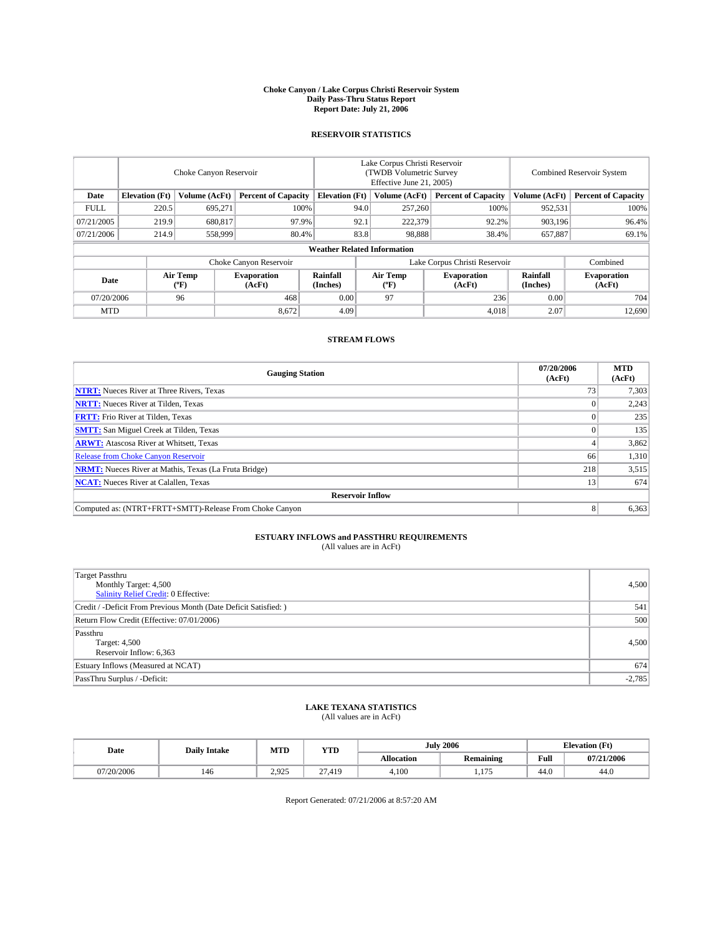#### **Choke Canyon / Lake Corpus Christi Reservoir System Daily Pass-Thru Status Report Report Date: July 21, 2006**

## **RESERVOIR STATISTICS**

|             | Choke Canyon Reservoir |                         |                              |                                    | Lake Corpus Christi Reservoir<br>(TWDB Volumetric Survey<br>Effective June 21, 2005) |                  |                               | Combined Reservoir System |                              |  |
|-------------|------------------------|-------------------------|------------------------------|------------------------------------|--------------------------------------------------------------------------------------|------------------|-------------------------------|---------------------------|------------------------------|--|
| Date        | <b>Elevation</b> (Ft)  | Volume (AcFt)           | <b>Percent of Capacity</b>   | <b>Elevation</b> (Ft)              |                                                                                      | Volume (AcFt)    | <b>Percent of Capacity</b>    | Volume (AcFt)             | <b>Percent of Capacity</b>   |  |
| <b>FULL</b> | 220.5                  | 695,271                 | 100%                         |                                    | 94.0                                                                                 | 257,260          | 100%                          | 952,531                   | 100%                         |  |
| 07/21/2005  | 219.9                  | 680.817                 | 97.9%                        |                                    | 92.1                                                                                 | 222,379          | 92.2%                         | 903.196                   | 96.4%                        |  |
| 07/21/2006  | 214.9                  | 558,999                 | 80.4%                        |                                    | 83.8                                                                                 | 98.888           | 38.4%                         | 657,887                   | 69.1%                        |  |
|             |                        |                         |                              | <b>Weather Related Information</b> |                                                                                      |                  |                               |                           |                              |  |
|             |                        |                         | Choke Canyon Reservoir       |                                    |                                                                                      |                  | Lake Corpus Christi Reservoir |                           | Combined                     |  |
| Date        |                        | <b>Air Temp</b><br>(°F) | <b>Evaporation</b><br>(AcFt) | Rainfall<br>(Inches)               |                                                                                      | Air Temp<br>("F) | <b>Evaporation</b><br>(AcFt)  | Rainfall<br>(Inches)      | <b>Evaporation</b><br>(AcFt) |  |
| 07/20/2006  |                        | 96                      | 468                          | 0.00                               |                                                                                      | 97               | 236                           | 0.00                      | 704                          |  |
| <b>MTD</b>  |                        |                         | 8,672                        | 4.09                               |                                                                                      |                  | 4,018                         | 2.07                      | 12,690                       |  |

## **STREAM FLOWS**

| <b>Gauging Station</b>                                       | 07/20/2006<br>(AcFt) | <b>MTD</b><br>(AcFt) |
|--------------------------------------------------------------|----------------------|----------------------|
| <b>NTRT:</b> Nueces River at Three Rivers, Texas             |                      | 7,303                |
| <b>NRTT:</b> Nueces River at Tilden, Texas                   |                      | 2,243                |
| <b>FRTT:</b> Frio River at Tilden, Texas                     |                      | 235                  |
| <b>SMTT:</b> San Miguel Creek at Tilden, Texas               |                      | 135                  |
| <b>ARWT:</b> Atascosa River at Whitsett, Texas               |                      | 3,862                |
| <b>Release from Choke Canyon Reservoir</b>                   | 66                   | 1,310                |
| <b>NRMT:</b> Nueces River at Mathis, Texas (La Fruta Bridge) | 218                  | 3,515                |
| <b>NCAT:</b> Nueces River at Calallen, Texas                 | 13                   | 674                  |
| <b>Reservoir Inflow</b>                                      |                      |                      |
| Computed as: (NTRT+FRTT+SMTT)-Release From Choke Canyon      | 8                    | 6,363                |

# **ESTUARY INFLOWS and PASSTHRU REQUIREMENTS**<br>(All values are in AcFt)

| Target Passthru<br>Monthly Target: 4,500<br>Salinity Relief Credit: 0 Effective: | 4,500    |
|----------------------------------------------------------------------------------|----------|
| Credit / -Deficit From Previous Month (Date Deficit Satisfied: )                 | 541      |
| Return Flow Credit (Effective: 07/01/2006)                                       | 500      |
| Passthru<br>Target: 4,500<br>Reservoir Inflow: 6,363                             | 4.500    |
| Estuary Inflows (Measured at NCAT)                                               | 674      |
| PassThru Surplus / -Deficit:                                                     | $-2,785$ |

# **LAKE TEXANA STATISTICS** (All values are in AcFt)

| Date       | <b>Daily Intake</b> | MTD<br><b>YTD</b> |                                      |            | <b>July 2006</b>              |      | $(T_{\rm M})$<br><b>Elevation</b> (Ft) |  |
|------------|---------------------|-------------------|--------------------------------------|------------|-------------------------------|------|----------------------------------------|--|
|            |                     |                   |                                      | Allocation | <b>Remaining</b>              | Full | 07/21/2006                             |  |
| 07/20/2006 | 146                 | 2.925             | $\sim$<br>410<br>د ۲۰۱۱.<br>$\sim$ 1 | 4.100      | $\sim$ $\sim$ $\sim$<br>1.IIJ | 44.0 | $\sim$<br>44.0                         |  |

Report Generated: 07/21/2006 at 8:57:20 AM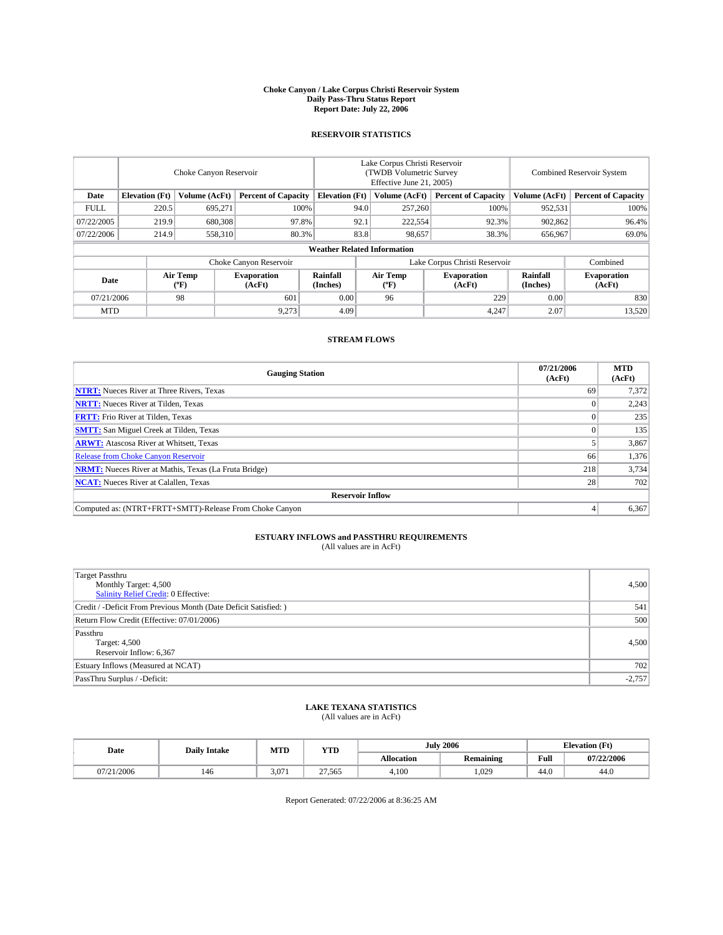#### **Choke Canyon / Lake Corpus Christi Reservoir System Daily Pass-Thru Status Report Report Date: July 22, 2006**

## **RESERVOIR STATISTICS**

|             | Choke Canyon Reservoir |                  |                              |                                    | Lake Corpus Christi Reservoir<br>(TWDB Volumetric Survey<br>Effective June 21, 2005) |                  |                               | <b>Combined Reservoir System</b> |                              |  |
|-------------|------------------------|------------------|------------------------------|------------------------------------|--------------------------------------------------------------------------------------|------------------|-------------------------------|----------------------------------|------------------------------|--|
| Date        | <b>Elevation</b> (Ft)  | Volume (AcFt)    | <b>Percent of Capacity</b>   | <b>Elevation</b> (Ft)              |                                                                                      | Volume (AcFt)    | <b>Percent of Capacity</b>    | Volume (AcFt)                    | <b>Percent of Capacity</b>   |  |
| <b>FULL</b> | 220.5                  | 695.271          |                              | 100%                               | 94.0                                                                                 | 257,260          | 100%                          | 952,531                          | 100%                         |  |
| 07/22/2005  | 219.9                  | 680,308          | 97.8%                        |                                    | 92.1                                                                                 | 222,554          | 92.3%                         | 902,862                          | 96.4%                        |  |
| 07/22/2006  | 214.9                  | 558,310          |                              | 80.3%                              | 83.8                                                                                 | 98,657           | 38.3%                         | 656,967                          | 69.0%                        |  |
|             |                        |                  |                              | <b>Weather Related Information</b> |                                                                                      |                  |                               |                                  |                              |  |
|             |                        |                  | Choke Canyon Reservoir       |                                    |                                                                                      |                  | Lake Corpus Christi Reservoir |                                  | Combined                     |  |
| Date        |                        | Air Temp<br>(°F) | <b>Evaporation</b><br>(AcFt) | Rainfall<br>(Inches)               |                                                                                      | Air Temp<br>("F) | <b>Evaporation</b><br>(AcFt)  | Rainfall<br>(Inches)             | <b>Evaporation</b><br>(AcFt) |  |
| 07/21/2006  |                        | 98               | 601                          | 0.00                               |                                                                                      | 96               | 229                           | 0.00                             | 830                          |  |
| <b>MTD</b>  |                        |                  | 9,273                        | 4.09                               |                                                                                      |                  | 4,247                         | 2.07                             | 13,520                       |  |

## **STREAM FLOWS**

| <b>Gauging Station</b>                                       | 07/21/2006<br>(AcFt) | <b>MTD</b><br>(AcFt) |
|--------------------------------------------------------------|----------------------|----------------------|
| <b>NTRT:</b> Nueces River at Three Rivers, Texas             | 69                   | 7,372                |
| <b>NRTT:</b> Nueces River at Tilden, Texas                   |                      | 2,243                |
| <b>FRTT:</b> Frio River at Tilden, Texas                     |                      | 235                  |
| <b>SMTT:</b> San Miguel Creek at Tilden, Texas               |                      | 135                  |
| <b>ARWT:</b> Atascosa River at Whitsett, Texas               |                      | 3,867                |
| <b>Release from Choke Canyon Reservoir</b>                   | 66                   | 1,376                |
| <b>NRMT:</b> Nueces River at Mathis, Texas (La Fruta Bridge) | 218                  | 3,734                |
| <b>NCAT:</b> Nueces River at Calallen, Texas                 | 28                   | 702                  |
| <b>Reservoir Inflow</b>                                      |                      |                      |
| Computed as: (NTRT+FRTT+SMTT)-Release From Choke Canyon      |                      | 6,367                |

# **ESTUARY INFLOWS and PASSTHRU REQUIREMENTS**<br>(All values are in AcFt)

| Target Passthru<br>Monthly Target: 4,500<br>Salinity Relief Credit: 0 Effective: | 4,500    |
|----------------------------------------------------------------------------------|----------|
| Credit / -Deficit From Previous Month (Date Deficit Satisfied: )                 | 541      |
| Return Flow Credit (Effective: 07/01/2006)                                       | 500      |
| Passthru<br>Target: 4,500<br>Reservoir Inflow: 6,367                             | 4.500    |
| Estuary Inflows (Measured at NCAT)                                               | 702      |
| PassThru Surplus / -Deficit:                                                     | $-2,757$ |

# **LAKE TEXANA STATISTICS** (All values are in AcFt)

| Date               | <b>Daily Intake</b> | MTT<br>IVI I L | <b>YTD</b> | July       | 2006             | <b>Elevation (Ft)</b> |            |
|--------------------|---------------------|----------------|------------|------------|------------------|-----------------------|------------|
|                    |                     |                |            | Allocation | <b>Remaining</b> | Full                  | 07/22/2006 |
| /21/2006<br>07/21/ | 140                 | 3.071          | 27.565     | 4.100      | 1.029            | 44.0                  | 44.0       |

Report Generated: 07/22/2006 at 8:36:25 AM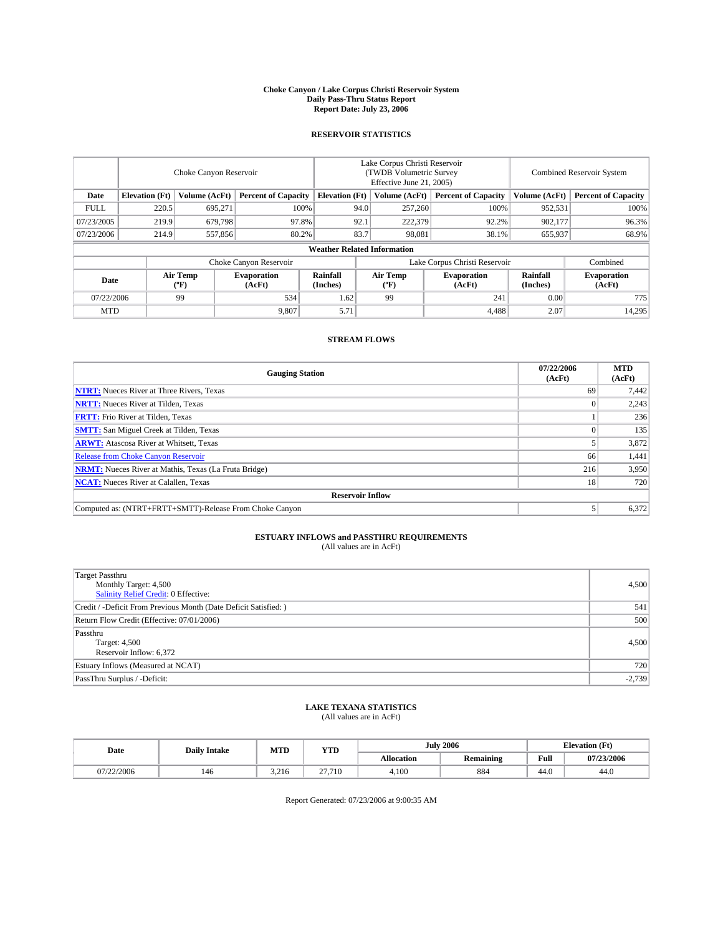#### **Choke Canyon / Lake Corpus Christi Reservoir System Daily Pass-Thru Status Report Report Date: July 23, 2006**

## **RESERVOIR STATISTICS**

|             | Choke Canyon Reservoir |                  |                              |                                    | Lake Corpus Christi Reservoir<br>(TWDB Volumetric Survey<br>Effective June 21, 2005) |                  |                               | <b>Combined Reservoir System</b> |                              |  |
|-------------|------------------------|------------------|------------------------------|------------------------------------|--------------------------------------------------------------------------------------|------------------|-------------------------------|----------------------------------|------------------------------|--|
| Date        | <b>Elevation</b> (Ft)  | Volume (AcFt)    | <b>Percent of Capacity</b>   | <b>Elevation</b> (Ft)              |                                                                                      | Volume (AcFt)    | <b>Percent of Capacity</b>    | Volume (AcFt)                    | <b>Percent of Capacity</b>   |  |
| <b>FULL</b> | 220.5                  | 695.271          |                              | 100%                               | 94.0                                                                                 | 257,260          | 100%                          | 952,531                          | 100%                         |  |
| 07/23/2005  | 219.9                  | 679,798          | 97.8%                        |                                    | 92.1                                                                                 | 222,379          | 92.2%                         | 902,177                          | 96.3%                        |  |
| 07/23/2006  | 214.9                  | 557,856          | 80.2%                        |                                    | 83.7                                                                                 | 98.081           | 38.1%                         | 655,937                          | 68.9%                        |  |
|             |                        |                  |                              | <b>Weather Related Information</b> |                                                                                      |                  |                               |                                  |                              |  |
|             |                        |                  | Choke Canyon Reservoir       |                                    |                                                                                      |                  | Lake Corpus Christi Reservoir |                                  | Combined                     |  |
| Date        |                        | Air Temp<br>(°F) | <b>Evaporation</b><br>(AcFt) | Rainfall<br>(Inches)               |                                                                                      | Air Temp<br>("F) | <b>Evaporation</b><br>(AcFt)  | Rainfall<br>(Inches)             | <b>Evaporation</b><br>(AcFt) |  |
| 07/22/2006  |                        | 99               | 534                          | 1.62                               |                                                                                      | 99               | 241                           | 0.00                             | 775                          |  |
| <b>MTD</b>  |                        |                  | 9,807                        | 5.71                               |                                                                                      |                  | 4,488                         | 2.07                             | 14,295                       |  |

## **STREAM FLOWS**

| <b>Gauging Station</b>                                       | 07/22/2006<br>(AcFt) | <b>MTD</b><br>(AcFt) |
|--------------------------------------------------------------|----------------------|----------------------|
| <b>NTRT:</b> Nueces River at Three Rivers, Texas             | 69                   | 7,442                |
| <b>NRTT:</b> Nueces River at Tilden, Texas                   |                      | 2,243                |
| <b>FRTT:</b> Frio River at Tilden, Texas                     |                      | 236                  |
| <b>SMTT:</b> San Miguel Creek at Tilden, Texas               |                      | 135                  |
| <b>ARWT:</b> Atascosa River at Whitsett, Texas               |                      | 3,872                |
| <b>Release from Choke Canyon Reservoir</b>                   | 66                   | 1,441                |
| <b>NRMT:</b> Nueces River at Mathis, Texas (La Fruta Bridge) | 216                  | 3,950                |
| <b>NCAT:</b> Nueces River at Calallen, Texas                 | 18                   | 720                  |
| <b>Reservoir Inflow</b>                                      |                      |                      |
| Computed as: (NTRT+FRTT+SMTT)-Release From Choke Canyon      |                      | 6,372                |

# **ESTUARY INFLOWS and PASSTHRU REQUIREMENTS**<br>(All values are in AcFt)

| Target Passthru<br>Monthly Target: 4,500<br>Salinity Relief Credit: 0 Effective: | 4,500    |
|----------------------------------------------------------------------------------|----------|
| Credit / -Deficit From Previous Month (Date Deficit Satisfied: )                 | 541      |
| Return Flow Credit (Effective: 07/01/2006)                                       | 500      |
| Passthru<br>Target: 4,500<br>Reservoir Inflow: 6,372                             | 4.500    |
| Estuary Inflows (Measured at NCAT)                                               | 720      |
| PassThru Surplus / -Deficit:                                                     | $-2,739$ |

# **LAKE TEXANA STATISTICS** (All values are in AcFt)

| Date       | <b>Daily Intake</b> | MTD            | <b>YTD</b> |            | <b>July 2006</b> | <b>Elevation</b> (Ft) |            |
|------------|---------------------|----------------|------------|------------|------------------|-----------------------|------------|
|            |                     |                |            | Allocation | <b>Remaining</b> | Full                  | 07/23/2006 |
| 07/22/2006 | 146                 | 2.21c<br>3.210 | 27.710     | 4.100      | 884              | 44.0                  | 44.0       |

Report Generated: 07/23/2006 at 9:00:35 AM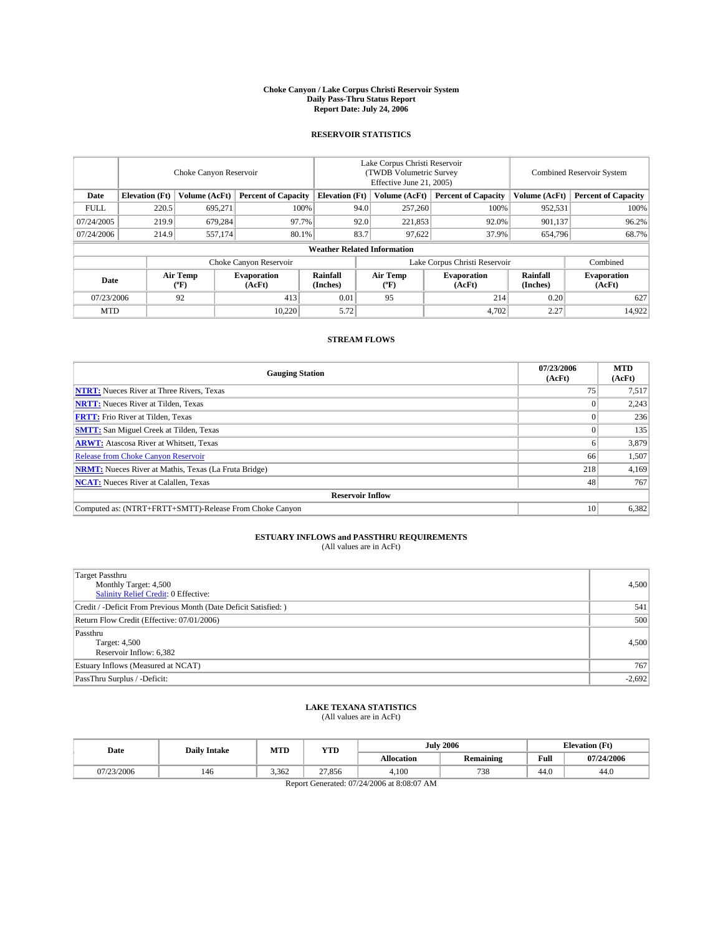#### **Choke Canyon / Lake Corpus Christi Reservoir System Daily Pass-Thru Status Report Report Date: July 24, 2006**

## **RESERVOIR STATISTICS**

|             | Choke Canyon Reservoir |                  |                              |                                    | Lake Corpus Christi Reservoir<br>(TWDB Volumetric Survey<br>Effective June 21, 2005) |                  |                              | <b>Combined Reservoir System</b> |                              |  |
|-------------|------------------------|------------------|------------------------------|------------------------------------|--------------------------------------------------------------------------------------|------------------|------------------------------|----------------------------------|------------------------------|--|
| Date        | <b>Elevation</b> (Ft)  | Volume (AcFt)    | <b>Percent of Capacity</b>   | <b>Elevation</b> (Ft)              |                                                                                      | Volume (AcFt)    | <b>Percent of Capacity</b>   | Volume (AcFt)                    | <b>Percent of Capacity</b>   |  |
| <b>FULL</b> | 220.5                  | 695.271          |                              | 100%                               | 94.0                                                                                 | 257,260          | 100%                         | 952,531                          | 100%                         |  |
| 07/24/2005  | 219.9                  | 679,284          | 97.7%                        |                                    | 92.0                                                                                 | 221,853          | 92.0%                        | 901.137                          | 96.2%                        |  |
| 07/24/2006  | 214.9                  | 557,174          |                              | 80.1%                              | 83.7                                                                                 | 97,622           | 37.9%                        | 654,796                          | 68.7%                        |  |
|             |                        |                  |                              | <b>Weather Related Information</b> |                                                                                      |                  |                              |                                  |                              |  |
|             |                        |                  | Choke Canyon Reservoir       |                                    | Lake Corpus Christi Reservoir                                                        |                  |                              |                                  | Combined                     |  |
| Date        |                        | Air Temp<br>(°F) | <b>Evaporation</b><br>(AcFt) | <b>Rainfall</b><br>(Inches)        |                                                                                      | Air Temp<br>("F) | <b>Evaporation</b><br>(AcFt) | Rainfall<br>(Inches)             | <b>Evaporation</b><br>(AcFt) |  |
| 07/23/2006  |                        | 92               | 413                          | 0.01                               |                                                                                      | 95               | 214                          | 0.20                             | 627                          |  |
| <b>MTD</b>  |                        |                  | 10.220                       | 5.72                               |                                                                                      |                  | 4,702                        | 2.27                             | 14,922                       |  |

## **STREAM FLOWS**

| <b>Gauging Station</b>                                       | 07/23/2006<br>(AcFt) | <b>MTD</b><br>(AcFt) |
|--------------------------------------------------------------|----------------------|----------------------|
| <b>NTRT:</b> Nueces River at Three Rivers, Texas             |                      | 7,517                |
| <b>NRTT:</b> Nueces River at Tilden, Texas                   |                      | 2,243                |
| <b>FRTT:</b> Frio River at Tilden, Texas                     |                      | 236                  |
| <b>SMTT:</b> San Miguel Creek at Tilden, Texas               |                      | 135                  |
| <b>ARWT:</b> Atascosa River at Whitsett, Texas               |                      | 3,879                |
| <b>Release from Choke Canyon Reservoir</b>                   | 66                   | 1,507                |
| <b>NRMT:</b> Nueces River at Mathis, Texas (La Fruta Bridge) | 218                  | 4,169                |
| <b>NCAT:</b> Nueces River at Calallen, Texas                 | 48                   | 767                  |
| <b>Reservoir Inflow</b>                                      |                      |                      |
| Computed as: (NTRT+FRTT+SMTT)-Release From Choke Canyon      | 10                   | 6,382                |

# **ESTUARY INFLOWS and PASSTHRU REQUIREMENTS**<br>(All values are in AcFt)

| <b>Target Passthru</b><br>Monthly Target: 4,500<br>Salinity Relief Credit: 0 Effective: | 4,500    |
|-----------------------------------------------------------------------------------------|----------|
| Credit / -Deficit From Previous Month (Date Deficit Satisfied: )                        | 541      |
| Return Flow Credit (Effective: 07/01/2006)                                              | 500      |
| Passthru<br>Target: 4,500<br>Reservoir Inflow: 6,382                                    | 4,500    |
| Estuary Inflows (Measured at NCAT)                                                      | 767      |
| PassThru Surplus / -Deficit:                                                            | $-2,692$ |

# **LAKE TEXANA STATISTICS** (All values are in AcFt)

| Date                                       | <b>Daily Intake</b> | <b>MTD</b> | <b>YTD</b> |            | <b>July 2006</b> |      | <b>Elevation</b> (Ft) |  |
|--------------------------------------------|---------------------|------------|------------|------------|------------------|------|-----------------------|--|
|                                            |                     |            |            | Allocation | <b>Remaining</b> | Full | 07/24/2006            |  |
| 07/23/2006                                 | 146                 | 3.362      | 27.856     | 4.100      | 738              | 44.0 | 44.0                  |  |
| Report Generated: 07/24/2006 at 8:08:07 AM |                     |            |            |            |                  |      |                       |  |

Report Generation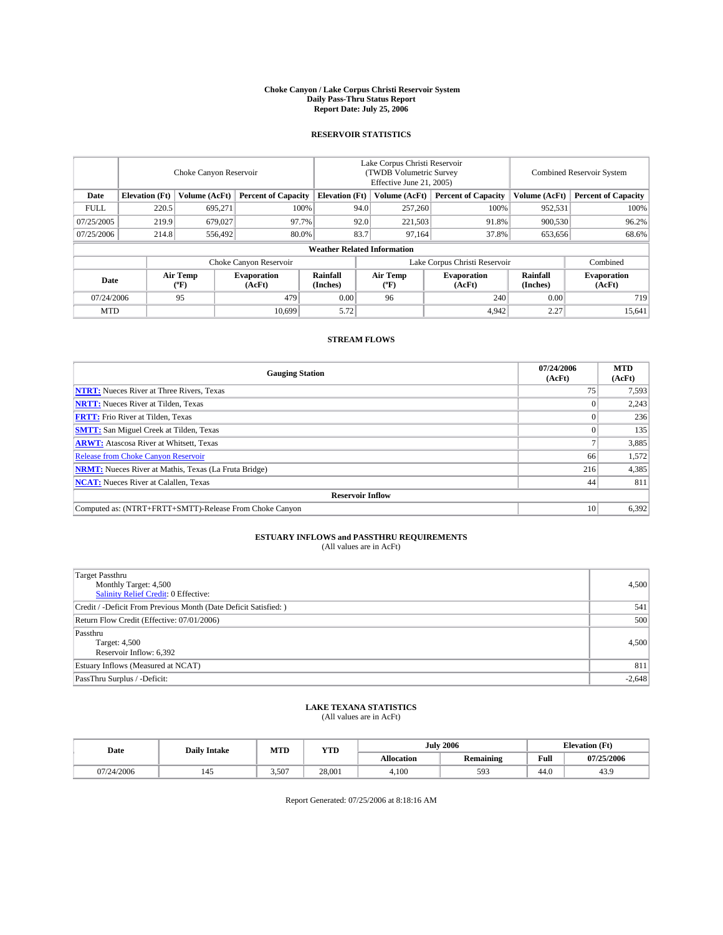#### **Choke Canyon / Lake Corpus Christi Reservoir System Daily Pass-Thru Status Report Report Date: July 25, 2006**

## **RESERVOIR STATISTICS**

|             | Choke Canyon Reservoir                                               |                  |                              |                                    | Lake Corpus Christi Reservoir<br>(TWDB Volumetric Survey<br>Effective June 21, 2005) |                            |                               |                            | Combined Reservoir System    |  |  |
|-------------|----------------------------------------------------------------------|------------------|------------------------------|------------------------------------|--------------------------------------------------------------------------------------|----------------------------|-------------------------------|----------------------------|------------------------------|--|--|
| Date        | Volume (AcFt)<br><b>Elevation</b> (Ft)<br><b>Percent of Capacity</b> |                  | <b>Elevation</b> (Ft)        |                                    | Volume (AcFt)                                                                        | <b>Percent of Capacity</b> | Volume (AcFt)                 | <b>Percent of Capacity</b> |                              |  |  |
| <b>FULL</b> | 220.5                                                                | 695.271          |                              | 100%                               | 94.0                                                                                 | 257,260                    | 100%                          | 952,531                    | 100%                         |  |  |
| 07/25/2005  | 219.9                                                                | 679,027          | 97.7%                        |                                    | 92.0                                                                                 | 221,503                    | 91.8%                         | 900,530                    | 96.2%                        |  |  |
| 07/25/2006  | 214.8                                                                | 556,492          | 80.0%                        |                                    | 83.7                                                                                 | 97.164                     | 37.8%                         | 653,656                    | 68.6%                        |  |  |
|             |                                                                      |                  |                              | <b>Weather Related Information</b> |                                                                                      |                            |                               |                            |                              |  |  |
|             |                                                                      |                  | Choke Canyon Reservoir       |                                    |                                                                                      |                            | Lake Corpus Christi Reservoir |                            | Combined                     |  |  |
| Date        |                                                                      | Air Temp<br>(°F) | <b>Evaporation</b><br>(AcFt) | Rainfall<br>(Inches)               |                                                                                      | Air Temp<br>("F)           | <b>Evaporation</b><br>(AcFt)  | Rainfall<br>(Inches)       | <b>Evaporation</b><br>(AcFt) |  |  |
| 07/24/2006  |                                                                      | 95               | 479                          | 0.00                               |                                                                                      | 96                         | 240                           | 0.00                       | 719                          |  |  |
| <b>MTD</b>  |                                                                      |                  | 10.699                       | 5.72                               |                                                                                      |                            | 4,942                         | 2.27                       | 15,641                       |  |  |

## **STREAM FLOWS**

| <b>Gauging Station</b>                                       | 07/24/2006<br>(AcFt) | <b>MTD</b><br>(AcFt) |
|--------------------------------------------------------------|----------------------|----------------------|
| <b>NTRT:</b> Nueces River at Three Rivers, Texas             |                      | 7,593                |
| <b>NRTT:</b> Nueces River at Tilden, Texas                   |                      | 2,243                |
| <b>FRTT:</b> Frio River at Tilden, Texas                     |                      | 236                  |
| <b>SMTT:</b> San Miguel Creek at Tilden, Texas               |                      | 135                  |
| <b>ARWT:</b> Atascosa River at Whitsett, Texas               |                      | 3,885                |
| <b>Release from Choke Canyon Reservoir</b>                   | 66                   | 1,572                |
| <b>NRMT:</b> Nueces River at Mathis, Texas (La Fruta Bridge) | 216                  | 4,385                |
| <b>NCAT:</b> Nueces River at Calallen, Texas                 | 44                   | 811                  |
| <b>Reservoir Inflow</b>                                      |                      |                      |
| Computed as: (NTRT+FRTT+SMTT)-Release From Choke Canyon      | 10                   | 6,392                |

# **ESTUARY INFLOWS and PASSTHRU REQUIREMENTS**<br>(All values are in AcFt)

| Target Passthru<br>Monthly Target: 4,500<br>Salinity Relief Credit: 0 Effective: | 4,500    |
|----------------------------------------------------------------------------------|----------|
| Credit / -Deficit From Previous Month (Date Deficit Satisfied: )                 | 541      |
| Return Flow Credit (Effective: 07/01/2006)                                       | 500      |
| Passthru<br>Target: 4,500<br>Reservoir Inflow: 6,392                             | 4.500    |
| Estuary Inflows (Measured at NCAT)                                               | 811      |
| PassThru Surplus / -Deficit:                                                     | $-2,648$ |

# **LAKE TEXANA STATISTICS** (All values are in AcFt)

|  | Date       | <b>Daily Intake</b> | MTD  | <b>YTD</b> | <b>July 2006</b> |                  |      | $(T_{\rm M})$<br><b>Elevation</b> (Ft) |
|--|------------|---------------------|------|------------|------------------|------------------|------|----------------------------------------|
|  |            |                     |      |            | Allocation       | <b>Remaining</b> | Full | 07/25/2006                             |
|  | 07/24/2006 | 143                 | .507 | 28,001     | 4.100            | 593              | 44.0 | 40.                                    |

Report Generated: 07/25/2006 at 8:18:16 AM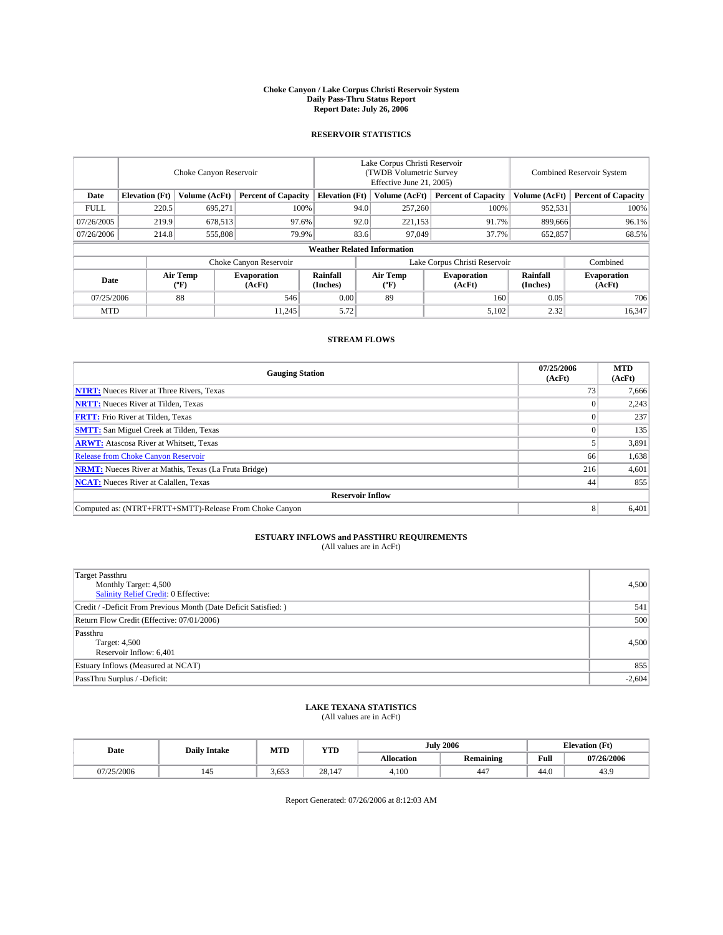#### **Choke Canyon / Lake Corpus Christi Reservoir System Daily Pass-Thru Status Report Report Date: July 26, 2006**

## **RESERVOIR STATISTICS**

|                                                                              | Choke Canyon Reservoir |                       |                              |                                    | Lake Corpus Christi Reservoir<br>(TWDB Volumetric Survey<br>Effective June 21, 2005) |                  |                               |                      | <b>Combined Reservoir System</b> |  |  |
|------------------------------------------------------------------------------|------------------------|-----------------------|------------------------------|------------------------------------|--------------------------------------------------------------------------------------|------------------|-------------------------------|----------------------|----------------------------------|--|--|
| <b>Elevation</b> (Ft)<br>Volume (AcFt)<br><b>Percent of Capacity</b><br>Date |                        | <b>Elevation</b> (Ft) |                              | Volume (AcFt)                      | <b>Percent of Capacity</b>                                                           | Volume (AcFt)    | <b>Percent of Capacity</b>    |                      |                                  |  |  |
| <b>FULL</b>                                                                  | 220.5                  | 695.271               |                              | 100%                               | 94.0                                                                                 | 257,260          | 100%                          | 952,531              | 100%                             |  |  |
| 07/26/2005                                                                   | 219.9                  | 678,513               |                              | 97.6%                              | 92.0                                                                                 | 221,153          | 91.7%                         | 899,666              | 96.1%                            |  |  |
| 07/26/2006                                                                   | 214.8                  | 555,808               |                              | 79.9%                              | 83.6                                                                                 | 97,049           | 37.7%                         | 652,857              | 68.5%                            |  |  |
|                                                                              |                        |                       |                              | <b>Weather Related Information</b> |                                                                                      |                  |                               |                      |                                  |  |  |
|                                                                              |                        |                       | Choke Canyon Reservoir       |                                    |                                                                                      |                  | Lake Corpus Christi Reservoir |                      | Combined                         |  |  |
| Date                                                                         |                        | Air Temp<br>(°F)      | <b>Evaporation</b><br>(AcFt) | <b>Rainfall</b><br>(Inches)        |                                                                                      | Air Temp<br>("F) | <b>Evaporation</b><br>(AcFt)  | Rainfall<br>(Inches) | <b>Evaporation</b><br>(AcFt)     |  |  |
| 07/25/2006                                                                   |                        | 88                    | 546                          | 0.00                               |                                                                                      | 89               | 160                           | 0.05                 | 706                              |  |  |
| <b>MTD</b>                                                                   |                        |                       | 11.245                       | 5.72                               |                                                                                      |                  | 5,102                         | 2.32                 | 16,347                           |  |  |

## **STREAM FLOWS**

| <b>Gauging Station</b>                                       | 07/25/2006<br>(AcFt) | <b>MTD</b><br>(AcFt) |
|--------------------------------------------------------------|----------------------|----------------------|
| <b>NTRT:</b> Nueces River at Three Rivers, Texas             | 73                   | 7,666                |
| <b>NRTT:</b> Nueces River at Tilden, Texas                   |                      | 2,243                |
| <b>FRTT:</b> Frio River at Tilden, Texas                     |                      | 237                  |
| <b>SMTT:</b> San Miguel Creek at Tilden, Texas               |                      | 135                  |
| <b>ARWT:</b> Atascosa River at Whitsett, Texas               |                      | 3,891                |
| <b>Release from Choke Canyon Reservoir</b>                   | 66                   | 1,638                |
| <b>NRMT:</b> Nueces River at Mathis, Texas (La Fruta Bridge) | 216                  | 4,601                |
| <b>NCAT:</b> Nueces River at Calallen, Texas                 | 44                   | 855                  |
| <b>Reservoir Inflow</b>                                      |                      |                      |
| Computed as: (NTRT+FRTT+SMTT)-Release From Choke Canyon      |                      | 6,401                |

# **ESTUARY INFLOWS and PASSTHRU REQUIREMENTS**<br>(All values are in AcFt)

| Target Passthru<br>Monthly Target: 4,500<br>Salinity Relief Credit: 0 Effective: | 4,500    |
|----------------------------------------------------------------------------------|----------|
| Credit / -Deficit From Previous Month (Date Deficit Satisfied: )                 | 541      |
| Return Flow Credit (Effective: 07/01/2006)                                       | 500      |
| Passthru<br>Target: 4,500<br>Reservoir Inflow: 6,401                             | 4.500    |
| Estuary Inflows (Measured at NCAT)                                               | 855      |
| PassThru Surplus / -Deficit:                                                     | $-2,604$ |

# **LAKE TEXANA STATISTICS** (All values are in AcFt)

|  | Date       | <b>Daily Intake</b> | MTT<br>IVI I L | <b>YTD</b>   | 2006<br>July |                       |      | <b>Elevation</b> (Ft) |
|--|------------|---------------------|----------------|--------------|--------------|-----------------------|------|-----------------------|
|  |            |                     |                |              | Allocation   | <b>Remaining</b>      | Full | 07/26/2006            |
|  | 07/25/2006 |                     | 3.653          | 28.14<br>1.4 | 4.100        | $\overline{1}$<br>44, | 44.0 | 45.5                  |

Report Generated: 07/26/2006 at 8:12:03 AM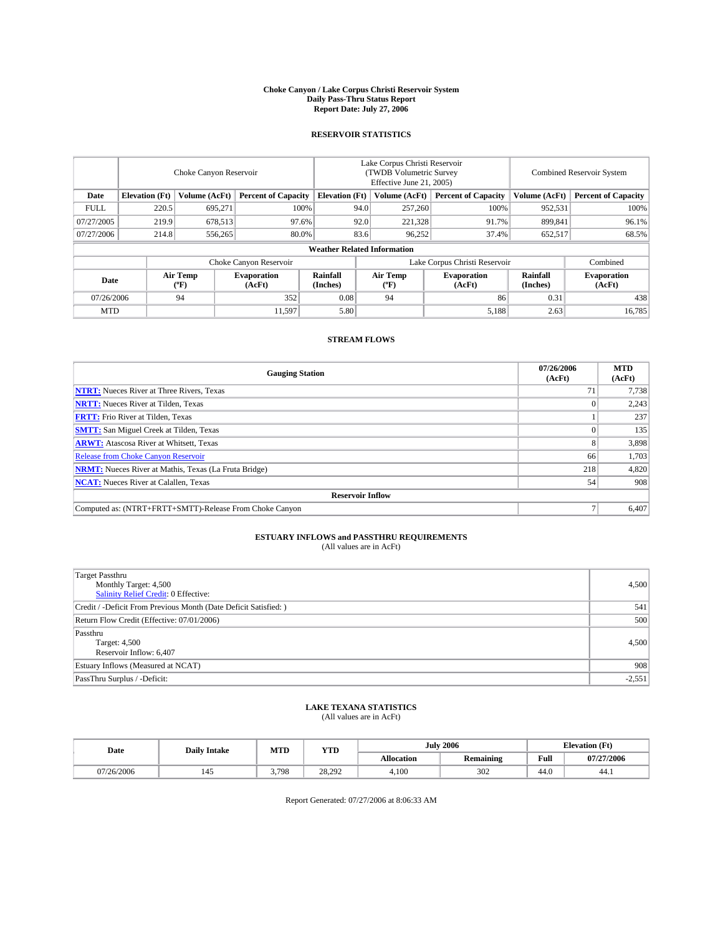#### **Choke Canyon / Lake Corpus Christi Reservoir System Daily Pass-Thru Status Report Report Date: July 27, 2006**

## **RESERVOIR STATISTICS**

|                                                                              | Choke Canyon Reservoir |                       |                              |                                    | Lake Corpus Christi Reservoir<br>(TWDB Volumetric Survey<br>Effective June 21, 2005) |                  |                               |                      | <b>Combined Reservoir System</b> |  |  |
|------------------------------------------------------------------------------|------------------------|-----------------------|------------------------------|------------------------------------|--------------------------------------------------------------------------------------|------------------|-------------------------------|----------------------|----------------------------------|--|--|
| <b>Elevation</b> (Ft)<br>Volume (AcFt)<br><b>Percent of Capacity</b><br>Date |                        | <b>Elevation</b> (Ft) |                              | Volume (AcFt)                      | <b>Percent of Capacity</b>                                                           | Volume (AcFt)    | <b>Percent of Capacity</b>    |                      |                                  |  |  |
| <b>FULL</b>                                                                  | 220.5                  | 695.271               |                              | 100%                               | 94.0                                                                                 | 257,260          | 100%                          | 952,531              | 100%                             |  |  |
| 07/27/2005                                                                   | 219.9                  | 678,513               | 97.6%                        |                                    | 92.0                                                                                 | 221,328          | 91.7%                         | 899.841              | 96.1%                            |  |  |
| 07/27/2006                                                                   | 214.8                  | 556,265               | 80.0%                        |                                    | 83.6                                                                                 | 96,252           | 37.4%                         | 652,517              | 68.5%                            |  |  |
|                                                                              |                        |                       |                              | <b>Weather Related Information</b> |                                                                                      |                  |                               |                      |                                  |  |  |
|                                                                              |                        |                       | Choke Canyon Reservoir       |                                    |                                                                                      |                  | Lake Corpus Christi Reservoir |                      | Combined                         |  |  |
| Date                                                                         |                        | Air Temp<br>(°F)      | <b>Evaporation</b><br>(AcFt) | <b>Rainfall</b><br>(Inches)        |                                                                                      | Air Temp<br>("F) | <b>Evaporation</b><br>(AcFt)  | Rainfall<br>(Inches) | <b>Evaporation</b><br>(AcFt)     |  |  |
| 07/26/2006                                                                   |                        | 94                    | 352                          | 0.08                               |                                                                                      | 94               | 86                            | 0.31                 | 438                              |  |  |
| <b>MTD</b>                                                                   |                        |                       | 11.597                       | 5.80                               |                                                                                      |                  | 5,188                         | 2.63                 | 16,785                           |  |  |

## **STREAM FLOWS**

| <b>Gauging Station</b>                                       | 07/26/2006<br>(AcFt) | <b>MTD</b><br>(AcFt) |
|--------------------------------------------------------------|----------------------|----------------------|
| <b>NTRT:</b> Nueces River at Three Rivers, Texas             |                      | 7,738                |
| <b>NRTT:</b> Nueces River at Tilden, Texas                   |                      | 2,243                |
| <b>FRTT:</b> Frio River at Tilden, Texas                     |                      | 237                  |
| <b>SMTT:</b> San Miguel Creek at Tilden, Texas               |                      | 135                  |
| <b>ARWT:</b> Atascosa River at Whitsett, Texas               | 8                    | 3,898                |
| <b>Release from Choke Canyon Reservoir</b>                   | 66                   | 1,703                |
| <b>NRMT:</b> Nueces River at Mathis, Texas (La Fruta Bridge) | 218                  | 4,820                |
| <b>NCAT:</b> Nueces River at Calallen, Texas                 | 54                   | 908                  |
| <b>Reservoir Inflow</b>                                      |                      |                      |
| Computed as: (NTRT+FRTT+SMTT)-Release From Choke Canyon      |                      | 6,407                |

# **ESTUARY INFLOWS and PASSTHRU REQUIREMENTS**<br>(All values are in AcFt)

| Target Passthru<br>Monthly Target: 4,500<br>Salinity Relief Credit: 0 Effective: | 4,500    |
|----------------------------------------------------------------------------------|----------|
| Credit / -Deficit From Previous Month (Date Deficit Satisfied: )                 | 541      |
| Return Flow Credit (Effective: 07/01/2006)                                       | 500      |
| Passthru<br>Target: 4,500<br>Reservoir Inflow: 6,407                             | 4,500    |
| Estuary Inflows (Measured at NCAT)                                               | 908      |
| PassThru Surplus / -Deficit:                                                     | $-2,551$ |

# **LAKE TEXANA STATISTICS** (All values are in AcFt)

|  | Date       | <b>Daily Intake</b> | M TTT<br>IVI I L | <b>YTD</b> |                   | 2006<br>July     |      | <b>Elevation (Ft)</b> |
|--|------------|---------------------|------------------|------------|-------------------|------------------|------|-----------------------|
|  |            |                     |                  |            | <b>Allocation</b> | <b>Remaining</b> | Full | 07/27/2006            |
|  | 07/26/2006 |                     | 3.798            | 28.292     | 4.100             | 302              | 44.0 | 44.1                  |

Report Generated: 07/27/2006 at 8:06:33 AM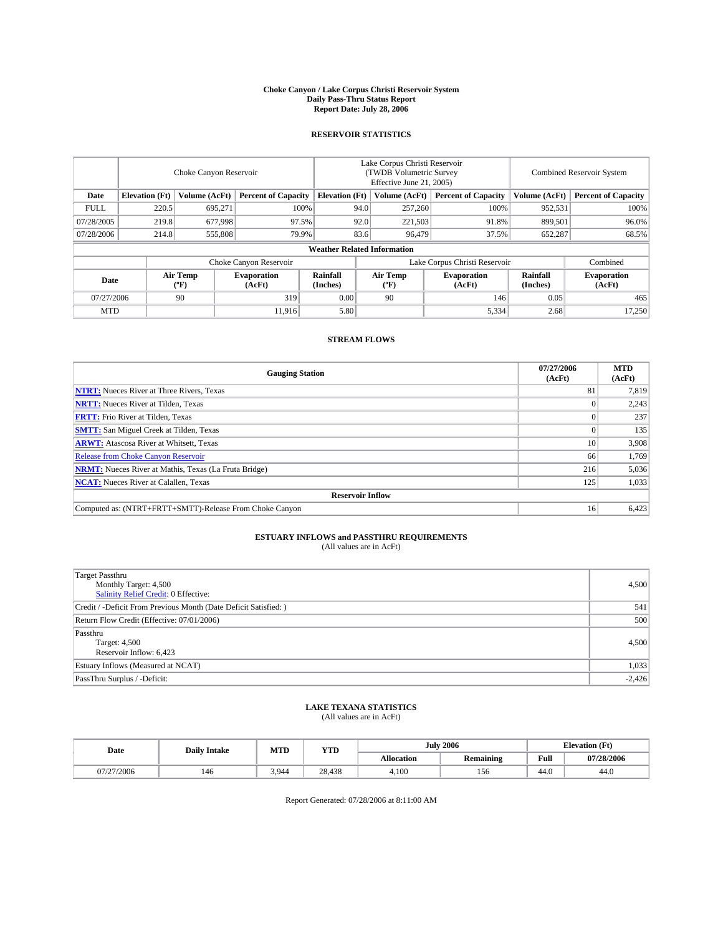#### **Choke Canyon / Lake Corpus Christi Reservoir System Daily Pass-Thru Status Report Report Date: July 28, 2006**

## **RESERVOIR STATISTICS**

|             | Choke Canyon Reservoir             |                  |                              |                             | Lake Corpus Christi Reservoir<br>(TWDB Volumetric Survey<br>Effective June 21, 2005) |                  |                               |                      | <b>Combined Reservoir System</b> |  |  |  |
|-------------|------------------------------------|------------------|------------------------------|-----------------------------|--------------------------------------------------------------------------------------|------------------|-------------------------------|----------------------|----------------------------------|--|--|--|
| Date        | <b>Elevation</b> (Ft)              | Volume (AcFt)    | <b>Percent of Capacity</b>   | <b>Elevation</b> (Ft)       |                                                                                      | Volume (AcFt)    | <b>Percent of Capacity</b>    | Volume (AcFt)        | <b>Percent of Capacity</b>       |  |  |  |
| <b>FULL</b> | 220.5                              | 695.271          |                              | 100%                        | 94.0                                                                                 | 257,260          | 100%                          | 952,531              | 100%                             |  |  |  |
| 07/28/2005  | 219.8                              | 677,998          |                              | 97.5%                       | 92.0                                                                                 | 221,503          | 91.8%                         | 899.501              | 96.0%                            |  |  |  |
| 07/28/2006  | 214.8                              | 555,808          |                              | 79.9%                       | 83.6                                                                                 | 96,479           | 37.5%                         | 652,287              | 68.5%                            |  |  |  |
|             | <b>Weather Related Information</b> |                  |                              |                             |                                                                                      |                  |                               |                      |                                  |  |  |  |
|             |                                    |                  | Choke Canyon Reservoir       |                             |                                                                                      |                  | Lake Corpus Christi Reservoir |                      | Combined                         |  |  |  |
| Date        |                                    | Air Temp<br>(°F) | <b>Evaporation</b><br>(AcFt) | <b>Rainfall</b><br>(Inches) |                                                                                      | Air Temp<br>("F) | <b>Evaporation</b><br>(AcFt)  | Rainfall<br>(Inches) | <b>Evaporation</b><br>(AcFt)     |  |  |  |
| 07/27/2006  |                                    | 90               | 319                          | 0.00                        |                                                                                      | 90               | 146                           | 0.05                 | 465                              |  |  |  |
| <b>MTD</b>  |                                    |                  | 11.916                       | 5.80                        |                                                                                      |                  | 5,334                         | 2.68                 | 17,250                           |  |  |  |

## **STREAM FLOWS**

| <b>Gauging Station</b>                                       | 07/27/2006<br>(AcFt) | <b>MTD</b><br>(AcFt) |
|--------------------------------------------------------------|----------------------|----------------------|
| <b>NTRT:</b> Nueces River at Three Rivers, Texas             | 81                   | 7,819                |
| <b>NRTT:</b> Nueces River at Tilden, Texas                   |                      | 2,243                |
| <b>FRTT:</b> Frio River at Tilden, Texas                     |                      | 237                  |
| <b>SMTT:</b> San Miguel Creek at Tilden, Texas               |                      | 135                  |
| <b>ARWT:</b> Atascosa River at Whitsett, Texas               | 10                   | 3,908                |
| <b>Release from Choke Canyon Reservoir</b>                   | 66                   | 1,769                |
| <b>NRMT:</b> Nueces River at Mathis, Texas (La Fruta Bridge) | 216                  | 5,036                |
| <b>NCAT:</b> Nueces River at Calallen, Texas                 | 125                  | 1,033                |
| <b>Reservoir Inflow</b>                                      |                      |                      |
| Computed as: (NTRT+FRTT+SMTT)-Release From Choke Canyon      | 16                   | 6,423                |

# **ESTUARY INFLOWS and PASSTHRU REQUIREMENTS**<br>(All values are in AcFt)

| Target Passthru<br>Monthly Target: 4,500<br>Salinity Relief Credit: 0 Effective: | 4,500    |
|----------------------------------------------------------------------------------|----------|
| Credit / -Deficit From Previous Month (Date Deficit Satisfied: )                 | 541      |
| Return Flow Credit (Effective: 07/01/2006)                                       | 500      |
| Passthru<br>Target: 4,500<br>Reservoir Inflow: 6,423                             | 4.500    |
| Estuary Inflows (Measured at NCAT)                                               | 1,033    |
| PassThru Surplus / -Deficit:                                                     | $-2,426$ |

# **LAKE TEXANA STATISTICS** (All values are in AcFt)

| Date       | <b>Daily Intake</b> | MTT<br>IVI I L | YTD    | July       | 2006             | <b>Elevation (Ft)</b> |            |
|------------|---------------------|----------------|--------|------------|------------------|-----------------------|------------|
|            |                     |                |        | Allocation | <b>Remaining</b> | Full                  | 07/28/2006 |
| 07/27/2006 | 140                 | 3.944          | 28,438 | 4.100      | 156              | 44.0                  | 44.0       |

Report Generated: 07/28/2006 at 8:11:00 AM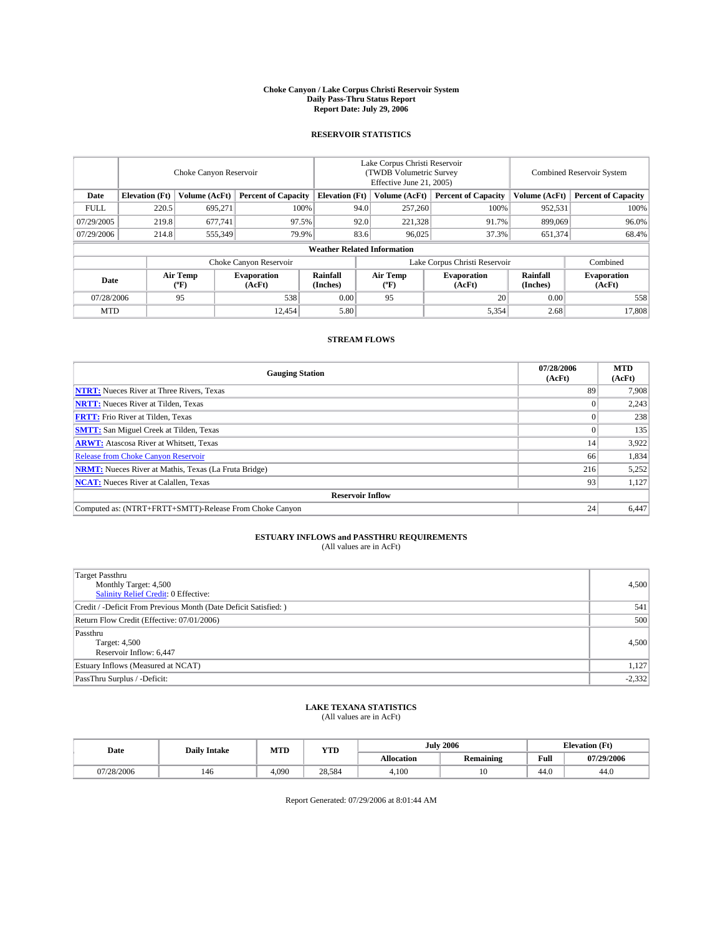#### **Choke Canyon / Lake Corpus Christi Reservoir System Daily Pass-Thru Status Report Report Date: July 29, 2006**

## **RESERVOIR STATISTICS**

|             | Choke Canyon Reservoir             |                  |                              |                             | Lake Corpus Christi Reservoir<br>(TWDB Volumetric Survey<br>Effective June 21, 2005) |                  |                               |                      | <b>Combined Reservoir System</b> |  |  |  |  |
|-------------|------------------------------------|------------------|------------------------------|-----------------------------|--------------------------------------------------------------------------------------|------------------|-------------------------------|----------------------|----------------------------------|--|--|--|--|
| Date        | <b>Elevation</b> (Ft)              | Volume (AcFt)    | <b>Percent of Capacity</b>   | <b>Elevation</b> (Ft)       |                                                                                      | Volume (AcFt)    | <b>Percent of Capacity</b>    | Volume (AcFt)        | <b>Percent of Capacity</b>       |  |  |  |  |
| <b>FULL</b> | 220.5                              | 695.271          |                              | 100%                        | 94.0                                                                                 | 257,260          | 100%                          | 952,531              | 100%                             |  |  |  |  |
| 07/29/2005  | 219.8                              | 677.741          | 97.5%                        |                             | 92.0                                                                                 | 221,328          | 91.7%                         | 899,069              | 96.0%                            |  |  |  |  |
| 07/29/2006  | 214.8                              | 555,349          |                              | 79.9%                       | 83.6                                                                                 | 96.025           | 37.3%                         | 651,374              | 68.4%                            |  |  |  |  |
|             | <b>Weather Related Information</b> |                  |                              |                             |                                                                                      |                  |                               |                      |                                  |  |  |  |  |
|             |                                    |                  | Choke Canyon Reservoir       |                             |                                                                                      |                  | Lake Corpus Christi Reservoir |                      | Combined                         |  |  |  |  |
| Date        |                                    | Air Temp<br>(°F) | <b>Evaporation</b><br>(AcFt) | <b>Rainfall</b><br>(Inches) |                                                                                      | Air Temp<br>("F) | <b>Evaporation</b><br>(AcFt)  | Rainfall<br>(Inches) | <b>Evaporation</b><br>(AcFt)     |  |  |  |  |
| 07/28/2006  |                                    | 95               | 538                          | 0.00                        |                                                                                      | 95               | 20                            | 0.00                 | 558                              |  |  |  |  |
| <b>MTD</b>  |                                    |                  | 12.454                       | 5.80                        |                                                                                      |                  | 5,354                         | 2.68                 | 17,808                           |  |  |  |  |

## **STREAM FLOWS**

| <b>Gauging Station</b>                                       | 07/28/2006<br>(AcFt) | <b>MTD</b><br>(AcFt) |
|--------------------------------------------------------------|----------------------|----------------------|
| <b>NTRT:</b> Nueces River at Three Rivers, Texas             | 89                   | 7,908                |
| <b>NRTT:</b> Nueces River at Tilden, Texas                   |                      | 2,243                |
| <b>FRTT:</b> Frio River at Tilden, Texas                     |                      | 238                  |
| <b>SMTT:</b> San Miguel Creek at Tilden, Texas               |                      | 135                  |
| <b>ARWT:</b> Atascosa River at Whitsett, Texas               | 14                   | 3,922                |
| <b>Release from Choke Canyon Reservoir</b>                   | 66                   | 1,834                |
| <b>NRMT:</b> Nueces River at Mathis, Texas (La Fruta Bridge) | 216                  | 5,252                |
| <b>NCAT:</b> Nueces River at Calallen, Texas                 | 93                   | 1,127                |
| <b>Reservoir Inflow</b>                                      |                      |                      |
| Computed as: (NTRT+FRTT+SMTT)-Release From Choke Canyon      | 24                   | 6,447                |

# **ESTUARY INFLOWS and PASSTHRU REQUIREMENTS**<br>(All values are in AcFt)

| Target Passthru<br>Monthly Target: 4,500<br>Salinity Relief Credit: 0 Effective: | 4,500    |
|----------------------------------------------------------------------------------|----------|
| Credit / -Deficit From Previous Month (Date Deficit Satisfied: )                 | 541      |
| Return Flow Credit (Effective: 07/01/2006)                                       | 500      |
| Passthru<br>Target: 4,500<br>Reservoir Inflow: 6,447                             | 4,500    |
| Estuary Inflows (Measured at NCAT)                                               | 1,127    |
| PassThru Surplus / -Deficit:                                                     | $-2,332$ |

### **LAKE TEXANA STATISTICS** (All values are in AcFt)

| Date       | <b>Daily Intake</b> |       | MTD<br><b>YTD</b> |            | <b>July 2006</b> | $(T_{\rm M})$<br><b>Elevation</b> (Ft) |                |
|------------|---------------------|-------|-------------------|------------|------------------|----------------------------------------|----------------|
|            |                     |       |                   | Allocation | <b>Remaining</b> | Full                                   | 07/29/2006     |
| 07/28/2006 | 146                 | 4.090 | 28.584            | 4.100      | 1 V              | 44.0                                   | $\sim$<br>44.0 |

Report Generated: 07/29/2006 at 8:01:44 AM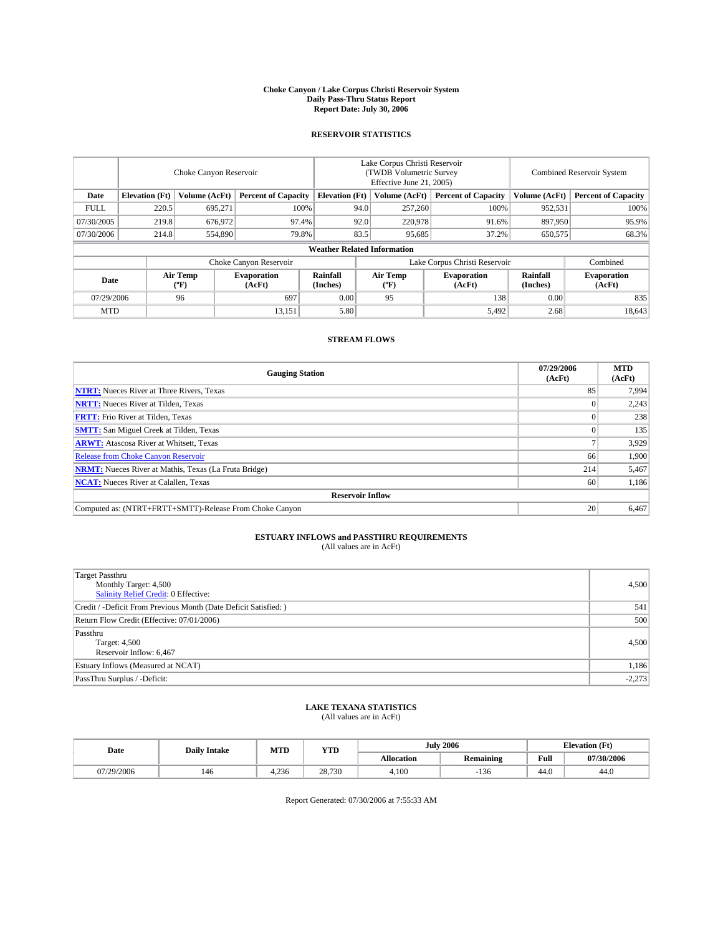#### **Choke Canyon / Lake Corpus Christi Reservoir System Daily Pass-Thru Status Report Report Date: July 30, 2006**

## **RESERVOIR STATISTICS**

|             | Choke Canyon Reservoir |                  |                              |                                    | Lake Corpus Christi Reservoir<br>(TWDB Volumetric Survey<br>Effective June 21, 2005) |                  |                               |                      | Combined Reservoir System    |  |  |
|-------------|------------------------|------------------|------------------------------|------------------------------------|--------------------------------------------------------------------------------------|------------------|-------------------------------|----------------------|------------------------------|--|--|
| Date        | <b>Elevation</b> (Ft)  | Volume (AcFt)    | <b>Percent of Capacity</b>   | <b>Elevation</b> (Ft)              |                                                                                      | Volume (AcFt)    | <b>Percent of Capacity</b>    | Volume (AcFt)        | <b>Percent of Capacity</b>   |  |  |
| <b>FULL</b> | 220.5                  | 695,271          | 100%                         |                                    | 94.0                                                                                 | 257,260          | 100%                          | 952,531              | 100%                         |  |  |
| 07/30/2005  | 219.8                  | 676,972          | 97.4%                        |                                    | 92.0                                                                                 | 220,978          | 91.6%                         | 897,950              | 95.9%                        |  |  |
| 07/30/2006  | 214.8                  | 554,890          | 79.8%                        |                                    | 83.5                                                                                 | 95,685           | 37.2%                         | 650,575              | 68.3%                        |  |  |
|             |                        |                  |                              | <b>Weather Related Information</b> |                                                                                      |                  |                               |                      |                              |  |  |
|             |                        |                  | Choke Canyon Reservoir       |                                    |                                                                                      |                  | Lake Corpus Christi Reservoir |                      | Combined                     |  |  |
| Date        |                        | Air Temp<br>(°F) | <b>Evaporation</b><br>(AcFt) | Rainfall<br>(Inches)               |                                                                                      | Air Temp<br>("F) | <b>Evaporation</b><br>(AcFt)  | Rainfall<br>(Inches) | <b>Evaporation</b><br>(AcFt) |  |  |
| 07/29/2006  |                        | 96               | 697                          | 0.00                               |                                                                                      | 95               | 138                           | 0.00                 | 835                          |  |  |
| <b>MTD</b>  |                        |                  | 13,151                       | 5.80                               |                                                                                      |                  | 5,492                         | 2.68                 | 18,643                       |  |  |

## **STREAM FLOWS**

| <b>Gauging Station</b>                                       | 07/29/2006<br>(AcFt) | <b>MTD</b><br>(AcFt) |
|--------------------------------------------------------------|----------------------|----------------------|
| <b>NTRT:</b> Nueces River at Three Rivers, Texas             | 85                   | 7,994                |
| <b>NRTT:</b> Nueces River at Tilden, Texas                   |                      | 2,243                |
| <b>FRTT:</b> Frio River at Tilden, Texas                     |                      | 238                  |
| <b>SMTT:</b> San Miguel Creek at Tilden, Texas               |                      | 135                  |
| <b>ARWT:</b> Atascosa River at Whitsett, Texas               |                      | 3,929                |
| <b>Release from Choke Canyon Reservoir</b>                   | 66                   | 1,900                |
| <b>NRMT:</b> Nueces River at Mathis, Texas (La Fruta Bridge) | 214                  | 5,467                |
| <b>NCAT:</b> Nueces River at Calallen, Texas                 | 60                   | 1,186                |
| <b>Reservoir Inflow</b>                                      |                      |                      |
| Computed as: (NTRT+FRTT+SMTT)-Release From Choke Canyon      | 20                   | 6,467                |

# **ESTUARY INFLOWS and PASSTHRU REQUIREMENTS**<br>(All values are in AcFt)

| Target Passthru<br>Monthly Target: 4,500<br>Salinity Relief Credit: 0 Effective: | 4,500    |
|----------------------------------------------------------------------------------|----------|
| Credit / -Deficit From Previous Month (Date Deficit Satisfied: )                 | 541      |
| Return Flow Credit (Effective: 07/01/2006)                                       | 500      |
| Passthru<br>Target: 4,500<br>Reservoir Inflow: 6,467                             | 4,500    |
| Estuary Inflows (Measured at NCAT)                                               | 1,186    |
| PassThru Surplus / -Deficit:                                                     | $-2,273$ |

# **LAKE TEXANA STATISTICS** (All values are in AcFt)

| Date       |     | <b>YTD</b><br>MTD<br><b>Daily Intake</b> |        |            | <b>July 2006</b> | $(T_{\rm M})$<br><b>Elevation</b> (Ft) |            |
|------------|-----|------------------------------------------|--------|------------|------------------|----------------------------------------|------------|
|            |     |                                          |        | Allocation | <b>Remaining</b> | Full                                   | 07/30/2006 |
| 07/29/2006 | 146 | 1936<br>1.2JU                            | 28.730 | 4.100      | 136              | 44.0                                   | 44.0       |

Report Generated: 07/30/2006 at 7:55:33 AM